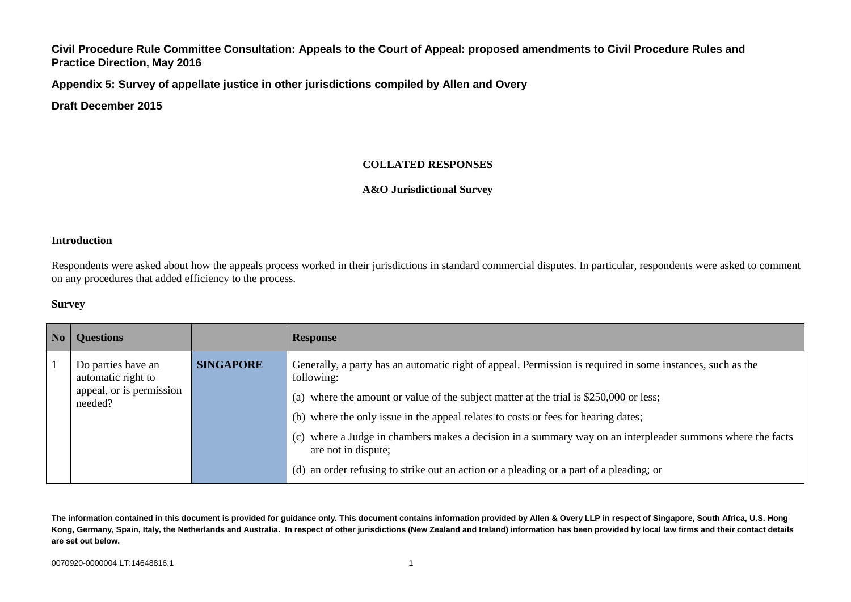**Appendix 5: Survey of appellate justice in other jurisdictions compiled by Allen and Overy**

**Draft December 2015**

#### **COLLATED RESPONSES**

#### **A&O Jurisdictional Survey**

#### **Introduction**

Respondents were asked about how the appeals process worked in their jurisdictions in standard commercial disputes. In particular, respondents were asked to comment on any procedures that added efficiency to the process.

#### **Survey**

| <b>Questions</b>                         |                  | <b>Response</b>                                                                                                                   |
|------------------------------------------|------------------|-----------------------------------------------------------------------------------------------------------------------------------|
| Do parties have an<br>automatic right to | <b>SINGAPORE</b> | Generally, a party has an automatic right of appeal. Permission is required in some instances, such as the<br>following:          |
| appeal, or is permission<br>needed?      |                  | (a) where the amount or value of the subject matter at the trial is \$250,000 or less;                                            |
|                                          |                  | (b) where the only issue in the appeal relates to costs or fees for hearing dates;                                                |
|                                          |                  | (c) where a Judge in chambers makes a decision in a summary way on an interpleader summons where the facts<br>are not in dispute; |
|                                          |                  | (d) an order refusing to strike out an action or a pleading or a part of a pleading; or                                           |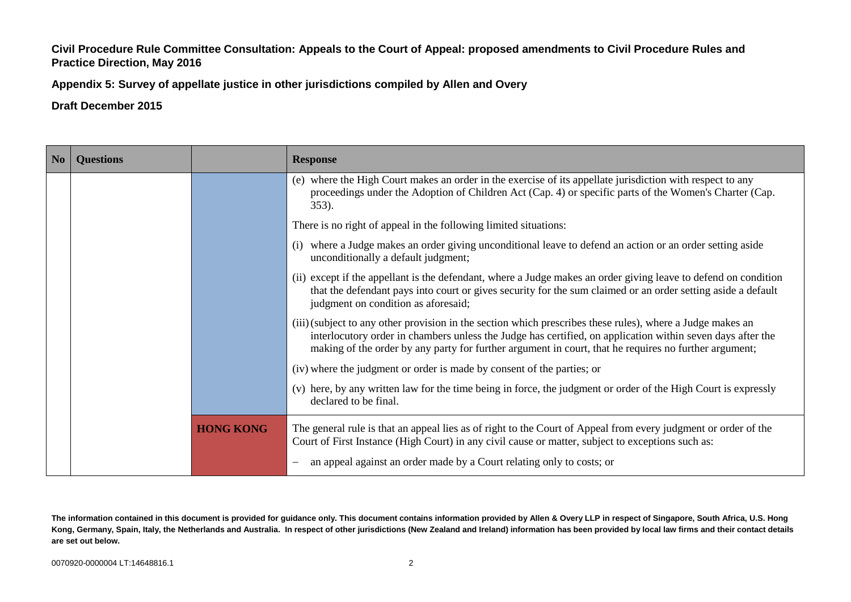**Appendix 5: Survey of appellate justice in other jurisdictions compiled by Allen and Overy**

**Draft December 2015**

| N <sub>0</sub> | <b>Questions</b> |                  | <b>Response</b>                                                                                                                                                                                                                                                                                                                   |
|----------------|------------------|------------------|-----------------------------------------------------------------------------------------------------------------------------------------------------------------------------------------------------------------------------------------------------------------------------------------------------------------------------------|
|                |                  |                  | (e) where the High Court makes an order in the exercise of its appellate jurisdiction with respect to any<br>proceedings under the Adoption of Children Act (Cap. 4) or specific parts of the Women's Charter (Cap.<br>353).                                                                                                      |
|                |                  |                  | There is no right of appeal in the following limited situations:                                                                                                                                                                                                                                                                  |
|                |                  |                  | where a Judge makes an order giving unconditional leave to defend an action or an order setting aside<br>unconditionally a default judgment;                                                                                                                                                                                      |
|                |                  |                  | (ii) except if the appellant is the defendant, where a Judge makes an order giving leave to defend on condition<br>that the defendant pays into court or gives security for the sum claimed or an order setting aside a default<br>judgment on condition as aforesaid;                                                            |
|                |                  |                  | (iii) (subject to any other provision in the section which prescribes these rules), where a Judge makes an<br>interlocutory order in chambers unless the Judge has certified, on application within seven days after the<br>making of the order by any party for further argument in court, that he requires no further argument; |
|                |                  |                  | (iv) where the judgment or order is made by consent of the parties; or                                                                                                                                                                                                                                                            |
|                |                  |                  | (v) here, by any written law for the time being in force, the judgment or order of the High Court is expressly<br>declared to be final.                                                                                                                                                                                           |
|                |                  | <b>HONG KONG</b> | The general rule is that an appeal lies as of right to the Court of Appeal from every judgment or order of the<br>Court of First Instance (High Court) in any civil cause or matter, subject to exceptions such as:<br>an appeal against an order made by a Court relating only to costs; or                                      |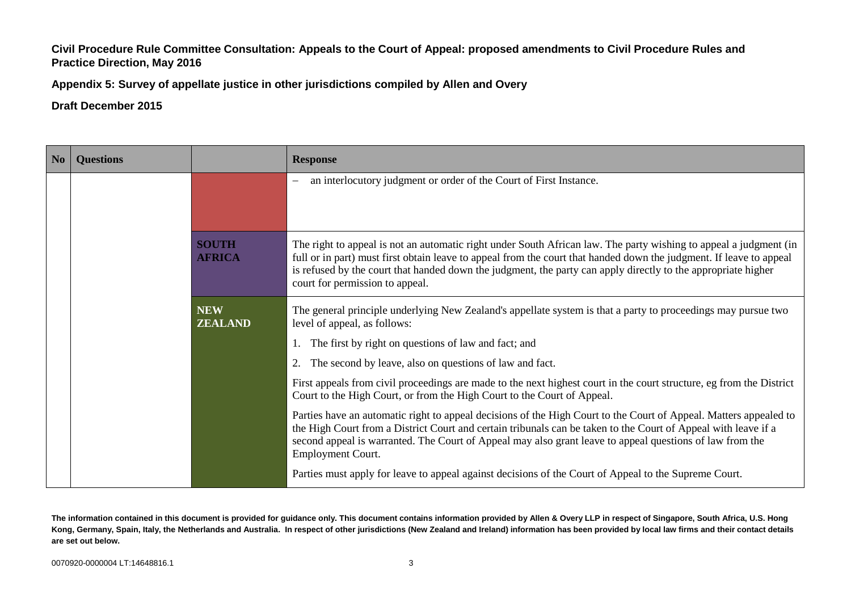**Appendix 5: Survey of appellate justice in other jurisdictions compiled by Allen and Overy**

**Draft December 2015**

| N <sub>0</sub> | <b>Questions</b> |                               | <b>Response</b>                                                                                                                                                                                                                                                                                                                                                                              |
|----------------|------------------|-------------------------------|----------------------------------------------------------------------------------------------------------------------------------------------------------------------------------------------------------------------------------------------------------------------------------------------------------------------------------------------------------------------------------------------|
|                |                  |                               | an interlocutory judgment or order of the Court of First Instance.                                                                                                                                                                                                                                                                                                                           |
|                |                  | <b>SOUTH</b><br><b>AFRICA</b> | The right to appeal is not an automatic right under South African law. The party wishing to appeal a judgment (in<br>full or in part) must first obtain leave to appeal from the court that handed down the judgment. If leave to appeal<br>is refused by the court that handed down the judgment, the party can apply directly to the appropriate higher<br>court for permission to appeal. |
|                |                  | <b>NEW</b><br><b>ZEALAND</b>  | The general principle underlying New Zealand's appellate system is that a party to proceedings may pursue two<br>level of appeal, as follows:                                                                                                                                                                                                                                                |
|                |                  |                               | The first by right on questions of law and fact; and                                                                                                                                                                                                                                                                                                                                         |
|                |                  |                               | The second by leave, also on questions of law and fact.                                                                                                                                                                                                                                                                                                                                      |
|                |                  |                               | First appeals from civil proceedings are made to the next highest court in the court structure, eg from the District<br>Court to the High Court, or from the High Court to the Court of Appeal.                                                                                                                                                                                              |
|                |                  |                               | Parties have an automatic right to appeal decisions of the High Court to the Court of Appeal. Matters appealed to<br>the High Court from a District Court and certain tribunals can be taken to the Court of Appeal with leave if a<br>second appeal is warranted. The Court of Appeal may also grant leave to appeal questions of law from the<br>Employment Court.                         |
|                |                  |                               | Parties must apply for leave to appeal against decisions of the Court of Appeal to the Supreme Court.                                                                                                                                                                                                                                                                                        |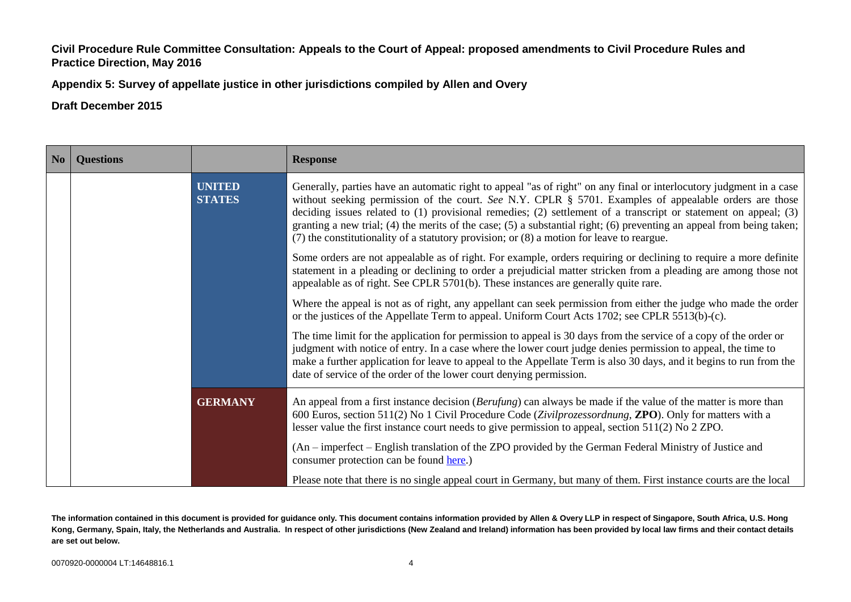**Appendix 5: Survey of appellate justice in other jurisdictions compiled by Allen and Overy**

**Draft December 2015**

| No | <b>Questions</b> |                                | <b>Response</b>                                                                                                                                                                                                                                                                                                                                                                                                                                                                                                                                                                       |
|----|------------------|--------------------------------|---------------------------------------------------------------------------------------------------------------------------------------------------------------------------------------------------------------------------------------------------------------------------------------------------------------------------------------------------------------------------------------------------------------------------------------------------------------------------------------------------------------------------------------------------------------------------------------|
|    |                  | <b>UNITED</b><br><b>STATES</b> | Generally, parties have an automatic right to appeal "as of right" on any final or interlocutory judgment in a case<br>without seeking permission of the court. See N.Y. CPLR $\S$ 5701. Examples of appealable orders are those<br>deciding issues related to $(1)$ provisional remedies; $(2)$ settlement of a transcript or statement on appeal; $(3)$<br>granting a new trial; $(4)$ the merits of the case; $(5)$ a substantial right; $(6)$ preventing an appeal from being taken;<br>(7) the constitutionality of a statutory provision; or (8) a motion for leave to reargue. |
|    |                  |                                | Some orders are not appealable as of right. For example, orders requiring or declining to require a more definite<br>statement in a pleading or declining to order a prejudicial matter stricken from a pleading are among those not<br>appealable as of right. See CPLR 5701(b). These instances are generally quite rare.                                                                                                                                                                                                                                                           |
|    |                  |                                | Where the appeal is not as of right, any appellant can seek permission from either the judge who made the order<br>or the justices of the Appellate Term to appeal. Uniform Court Acts 1702; see CPLR 5513(b)-(c).                                                                                                                                                                                                                                                                                                                                                                    |
|    |                  |                                | The time limit for the application for permission to appeal is 30 days from the service of a copy of the order or<br>judgment with notice of entry. In a case where the lower court judge denies permission to appeal, the time to<br>make a further application for leave to appeal to the Appellate Term is also 30 days, and it begins to run from the<br>date of service of the order of the lower court denying permission.                                                                                                                                                      |
|    |                  | <b>GERMANY</b>                 | An appeal from a first instance decision (Berufung) can always be made if the value of the matter is more than<br>600 Euros, section 511(2) No 1 Civil Procedure Code (Zivilprozessordnung, ZPO). Only for matters with a<br>lesser value the first instance court needs to give permission to appeal, section $511(2)$ No 2 ZPO.                                                                                                                                                                                                                                                     |
|    |                  |                                | (An – imperfect – English translation of the ZPO provided by the German Federal Ministry of Justice and<br>consumer protection can be found here.)                                                                                                                                                                                                                                                                                                                                                                                                                                    |
|    |                  |                                | Please note that there is no single appeal court in Germany, but many of them. First instance courts are the local                                                                                                                                                                                                                                                                                                                                                                                                                                                                    |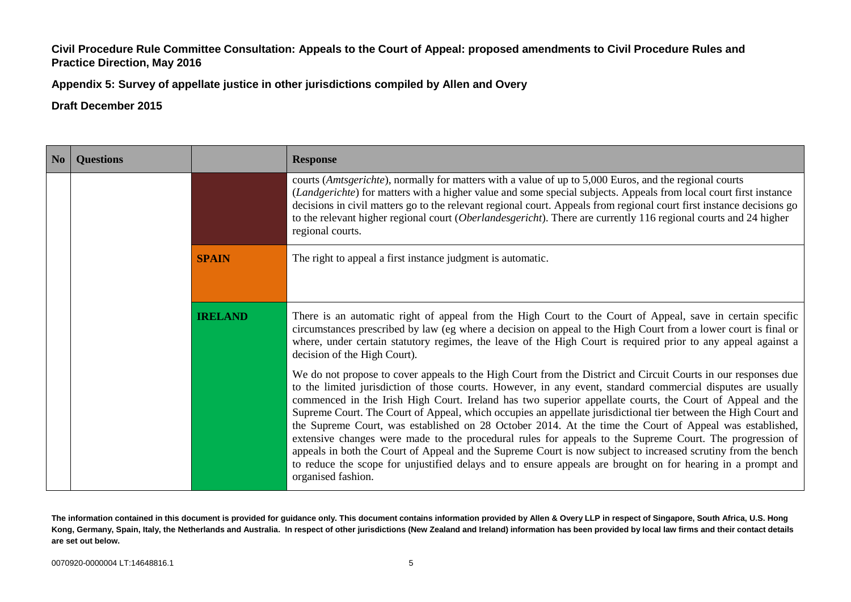**Appendix 5: Survey of appellate justice in other jurisdictions compiled by Allen and Overy**

| No | <b>Questions</b> |                | <b>Response</b>                                                                                                                                                                                                                                                                                                                                                                                                                                                                                                                                                                                                                                                                                                                                                                                                                                                                                                                            |
|----|------------------|----------------|--------------------------------------------------------------------------------------------------------------------------------------------------------------------------------------------------------------------------------------------------------------------------------------------------------------------------------------------------------------------------------------------------------------------------------------------------------------------------------------------------------------------------------------------------------------------------------------------------------------------------------------------------------------------------------------------------------------------------------------------------------------------------------------------------------------------------------------------------------------------------------------------------------------------------------------------|
|    |                  |                | courts ( <i>Amtsgerichte</i> ), normally for matters with a value of up to 5,000 Euros, and the regional courts<br>( <i>Landgerichte</i> ) for matters with a higher value and some special subjects. Appeals from local court first instance<br>decisions in civil matters go to the relevant regional court. Appeals from regional court first instance decisions go<br>to the relevant higher regional court (Oberlandesgericht). There are currently 116 regional courts and 24 higher<br>regional courts.                                                                                                                                                                                                                                                                                                                                                                                                                             |
|    |                  | <b>SPAIN</b>   | The right to appeal a first instance judgment is automatic.                                                                                                                                                                                                                                                                                                                                                                                                                                                                                                                                                                                                                                                                                                                                                                                                                                                                                |
|    |                  | <b>IRELAND</b> | There is an automatic right of appeal from the High Court to the Court of Appeal, save in certain specific<br>circumstances prescribed by law (eg where a decision on appeal to the High Court from a lower court is final or<br>where, under certain statutory regimes, the leave of the High Court is required prior to any appeal against a<br>decision of the High Court).                                                                                                                                                                                                                                                                                                                                                                                                                                                                                                                                                             |
|    |                  |                | We do not propose to cover appeals to the High Court from the District and Circuit Courts in our responses due<br>to the limited jurisdiction of those courts. However, in any event, standard commercial disputes are usually<br>commenced in the Irish High Court. Ireland has two superior appellate courts, the Court of Appeal and the<br>Supreme Court. The Court of Appeal, which occupies an appellate jurisdictional tier between the High Court and<br>the Supreme Court, was established on 28 October 2014. At the time the Court of Appeal was established,<br>extensive changes were made to the procedural rules for appeals to the Supreme Court. The progression of<br>appeals in both the Court of Appeal and the Supreme Court is now subject to increased scrutiny from the bench<br>to reduce the scope for unjustified delays and to ensure appeals are brought on for hearing in a prompt and<br>organised fashion. |

**The information contained in this document is provided for guidance only. This document contains information provided by Allen & Overy LLP in respect of Singapore, South Africa, U.S. Hong Kong, Germany, Spain, Italy, the Netherlands and Australia. In respect of other jurisdictions (New Zealand and Ireland) information has been provided by local law firms and their contact details are set out below.**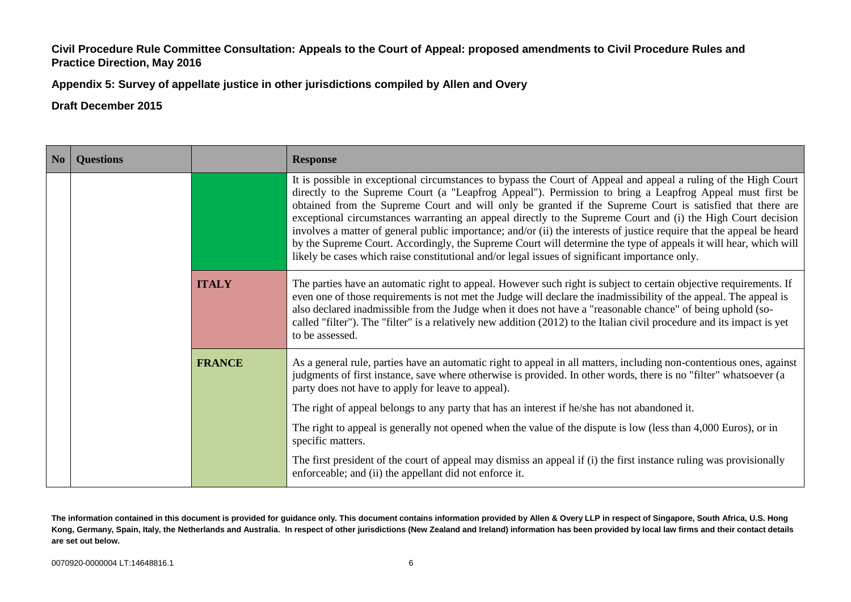**Appendix 5: Survey of appellate justice in other jurisdictions compiled by Allen and Overy**

**Draft December 2015**

| No | <b>Questions</b> |               | <b>Response</b>                                                                                                                                                                                                                                                                                                                                                                                                                                                                                                                                                                                                                                                                                                                                                                                         |
|----|------------------|---------------|---------------------------------------------------------------------------------------------------------------------------------------------------------------------------------------------------------------------------------------------------------------------------------------------------------------------------------------------------------------------------------------------------------------------------------------------------------------------------------------------------------------------------------------------------------------------------------------------------------------------------------------------------------------------------------------------------------------------------------------------------------------------------------------------------------|
|    |                  |               | It is possible in exceptional circumstances to bypass the Court of Appeal and appeal a ruling of the High Court<br>directly to the Supreme Court (a "Leapfrog Appeal"). Permission to bring a Leapfrog Appeal must first be<br>obtained from the Supreme Court and will only be granted if the Supreme Court is satisfied that there are<br>exceptional circumstances warranting an appeal directly to the Supreme Court and (i) the High Court decision<br>involves a matter of general public importance; and/or (ii) the interests of justice require that the appeal be heard<br>by the Supreme Court. Accordingly, the Supreme Court will determine the type of appeals it will hear, which will<br>likely be cases which raise constitutional and/or legal issues of significant importance only. |
|    |                  | <b>ITALY</b>  | The parties have an automatic right to appeal. However such right is subject to certain objective requirements. If<br>even one of those requirements is not met the Judge will declare the inadmissibility of the appeal. The appeal is<br>also declared inadmissible from the Judge when it does not have a "reasonable chance" of being uphold (so-<br>called "filter"). The "filter" is a relatively new addition (2012) to the Italian civil procedure and its impact is yet<br>to be assessed.                                                                                                                                                                                                                                                                                                     |
|    |                  | <b>FRANCE</b> | As a general rule, parties have an automatic right to appeal in all matters, including non-contentious ones, against<br>judgments of first instance, save where otherwise is provided. In other words, there is no "filter" whatsoever (a<br>party does not have to apply for leave to appeal).                                                                                                                                                                                                                                                                                                                                                                                                                                                                                                         |
|    |                  |               | The right of appeal belongs to any party that has an interest if he/she has not abandoned it.                                                                                                                                                                                                                                                                                                                                                                                                                                                                                                                                                                                                                                                                                                           |
|    |                  |               | The right to appeal is generally not opened when the value of the dispute is low (less than 4,000 Euros), or in<br>specific matters.                                                                                                                                                                                                                                                                                                                                                                                                                                                                                                                                                                                                                                                                    |
|    |                  |               | The first president of the court of appeal may dismiss an appeal if (i) the first instance ruling was provisionally<br>enforceable; and (ii) the appellant did not enforce it.                                                                                                                                                                                                                                                                                                                                                                                                                                                                                                                                                                                                                          |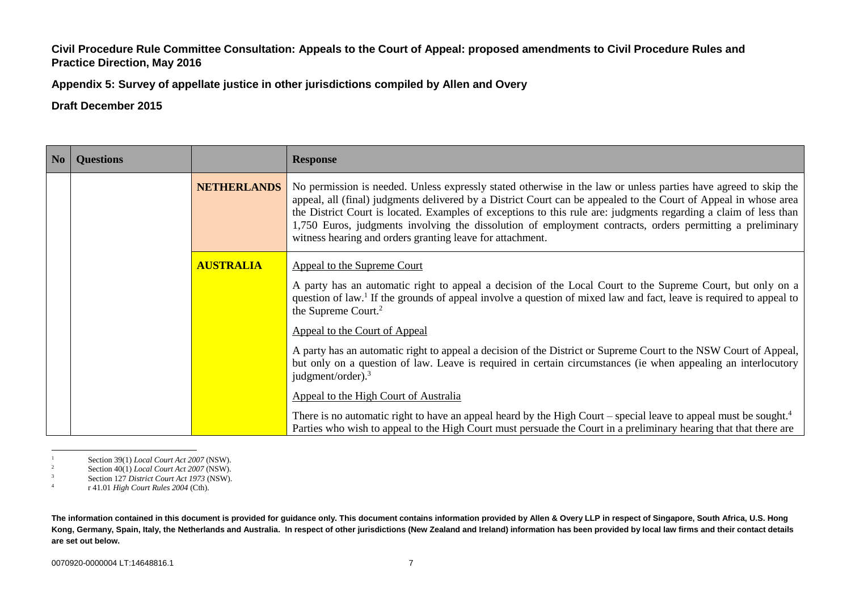**Appendix 5: Survey of appellate justice in other jurisdictions compiled by Allen and Overy**

**Draft December 2015**

| N <sub>0</sub> | <b>Questions</b> |                    | <b>Response</b>                                                                                                                                                                                                                                                                                                                                                                                                                                                                                                                   |
|----------------|------------------|--------------------|-----------------------------------------------------------------------------------------------------------------------------------------------------------------------------------------------------------------------------------------------------------------------------------------------------------------------------------------------------------------------------------------------------------------------------------------------------------------------------------------------------------------------------------|
|                |                  | <b>NETHERLANDS</b> | No permission is needed. Unless expressly stated otherwise in the law or unless parties have agreed to skip the<br>appeal, all (final) judgments delivered by a District Court can be appealed to the Court of Appeal in whose area<br>the District Court is located. Examples of exceptions to this rule are: judgments regarding a claim of less than<br>1,750 Euros, judgments involving the dissolution of employment contracts, orders permitting a preliminary<br>witness hearing and orders granting leave for attachment. |
|                |                  | <b>AUSTRALIA</b>   | Appeal to the Supreme Court                                                                                                                                                                                                                                                                                                                                                                                                                                                                                                       |
|                |                  |                    | A party has an automatic right to appeal a decision of the Local Court to the Supreme Court, but only on a<br>question of law. <sup>1</sup> If the grounds of appeal involve a question of mixed law and fact, leave is required to appeal to<br>the Supreme Court. <sup>2</sup>                                                                                                                                                                                                                                                  |
|                |                  |                    | Appeal to the Court of Appeal                                                                                                                                                                                                                                                                                                                                                                                                                                                                                                     |
|                |                  |                    | A party has an automatic right to appeal a decision of the District or Supreme Court to the NSW Court of Appeal,<br>but only on a question of law. Leave is required in certain circumstances (ie when appealing an interlocutory<br>judgment/order). $3$                                                                                                                                                                                                                                                                         |
|                |                  |                    | Appeal to the High Court of Australia                                                                                                                                                                                                                                                                                                                                                                                                                                                                                             |
|                |                  |                    | There is no automatic right to have an appeal heard by the High Court – special leave to appeal must be sought. <sup>4</sup><br>Parties who wish to appeal to the High Court must persuade the Court in a preliminary hearing that that there are                                                                                                                                                                                                                                                                                 |

 $\mathbf{1}$ <sup>1</sup> Section 39(1) *Local Court Act 2007* (NSW).<br><sup>2</sup> Section 40(1) *Local Court Act 2007* (NSW)

<sup>2</sup> Section 40(1) *Local Court Act 2007* (NSW).

<sup>3</sup> Section 127 *District Court Act 1973* (NSW).

4 r 41.01 *High Court Rules 2004* (Cth).

**The information contained in this document is provided for guidance only. This document contains information provided by Allen & Overy LLP in respect of Singapore, South Africa, U.S. Hong Kong, Germany, Spain, Italy, the Netherlands and Australia. In respect of other jurisdictions (New Zealand and Ireland) information has been provided by local law firms and their contact details are set out below.**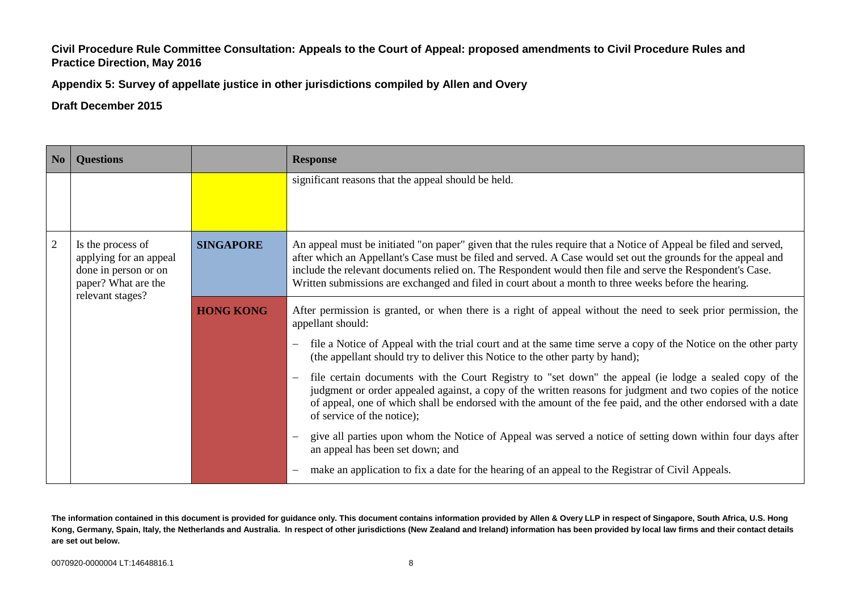**Appendix 5: Survey of appellate justice in other jurisdictions compiled by Allen and Overy**

# **Draft December 2015**

| No | <b>Questions</b>                                                                                               |                  | <b>Response</b>                                                                                                                                                                                                                                                                                                                                                                                                                                         |
|----|----------------------------------------------------------------------------------------------------------------|------------------|---------------------------------------------------------------------------------------------------------------------------------------------------------------------------------------------------------------------------------------------------------------------------------------------------------------------------------------------------------------------------------------------------------------------------------------------------------|
|    |                                                                                                                |                  | significant reasons that the appeal should be held.                                                                                                                                                                                                                                                                                                                                                                                                     |
| 2  | Is the process of<br>applying for an appeal<br>done in person or on<br>paper? What are the<br>relevant stages? | <b>SINGAPORE</b> | An appeal must be initiated "on paper" given that the rules require that a Notice of Appeal be filed and served,<br>after which an Appellant's Case must be filed and served. A Case would set out the grounds for the appeal and<br>include the relevant documents relied on. The Respondent would then file and serve the Respondent's Case.<br>Written submissions are exchanged and filed in court about a month to three weeks before the hearing. |
|    |                                                                                                                | <b>HONG KONG</b> | After permission is granted, or when there is a right of appeal without the need to seek prior permission, the<br>appellant should:                                                                                                                                                                                                                                                                                                                     |
|    |                                                                                                                |                  | file a Notice of Appeal with the trial court and at the same time serve a copy of the Notice on the other party<br>(the appellant should try to deliver this Notice to the other party by hand);                                                                                                                                                                                                                                                        |
|    |                                                                                                                |                  | file certain documents with the Court Registry to "set down" the appeal (ie lodge a sealed copy of the<br>$\overline{\phantom{0}}$<br>judgment or order appealed against, a copy of the written reasons for judgment and two copies of the notice<br>of appeal, one of which shall be endorsed with the amount of the fee paid, and the other endorsed with a date<br>of service of the notice);                                                        |
|    |                                                                                                                |                  | give all parties upon whom the Notice of Appeal was served a notice of setting down within four days after<br>an appeal has been set down; and                                                                                                                                                                                                                                                                                                          |
|    |                                                                                                                |                  | make an application to fix a date for the hearing of an appeal to the Registrar of Civil Appeals.                                                                                                                                                                                                                                                                                                                                                       |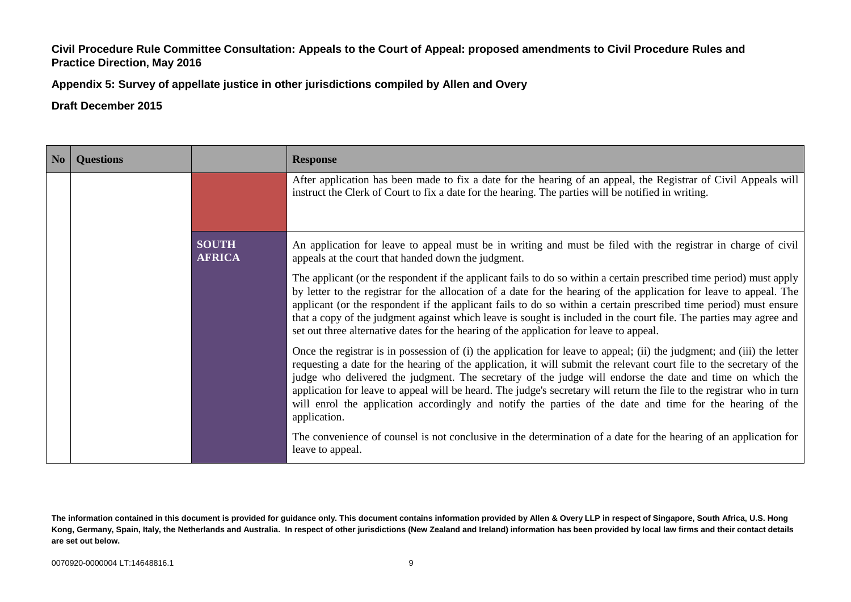**Appendix 5: Survey of appellate justice in other jurisdictions compiled by Allen and Overy**

| N <sub>0</sub> | <b>Questions</b> |                               | <b>Response</b>                                                                                                                                                                                                                                                                                                                                                                                                                                                                                                                                                                                                    |
|----------------|------------------|-------------------------------|--------------------------------------------------------------------------------------------------------------------------------------------------------------------------------------------------------------------------------------------------------------------------------------------------------------------------------------------------------------------------------------------------------------------------------------------------------------------------------------------------------------------------------------------------------------------------------------------------------------------|
|                |                  |                               | After application has been made to fix a date for the hearing of an appeal, the Registrar of Civil Appeals will<br>instruct the Clerk of Court to fix a date for the hearing. The parties will be notified in writing.                                                                                                                                                                                                                                                                                                                                                                                             |
|                |                  | <b>SOUTH</b><br><b>AFRICA</b> | An application for leave to appeal must be in writing and must be filed with the registrar in charge of civil<br>appeals at the court that handed down the judgment.                                                                                                                                                                                                                                                                                                                                                                                                                                               |
|                |                  |                               | The applicant (or the respondent if the applicant fails to do so within a certain prescribed time period) must apply<br>by letter to the registrar for the allocation of a date for the hearing of the application for leave to appeal. The<br>applicant (or the respondent if the applicant fails to do so within a certain prescribed time period) must ensure<br>that a copy of the judgment against which leave is sought is included in the court file. The parties may agree and<br>set out three alternative dates for the hearing of the application for leave to appeal.                                  |
|                |                  |                               | Once the registrar is in possession of (i) the application for leave to appeal; (ii) the judgment; and (iii) the letter<br>requesting a date for the hearing of the application, it will submit the relevant court file to the secretary of the<br>judge who delivered the judgment. The secretary of the judge will endorse the date and time on which the<br>application for leave to appeal will be heard. The judge's secretary will return the file to the registrar who in turn<br>will enrol the application accordingly and notify the parties of the date and time for the hearing of the<br>application. |
|                |                  |                               | The convenience of counsel is not conclusive in the determination of a date for the hearing of an application for<br>leave to appeal.                                                                                                                                                                                                                                                                                                                                                                                                                                                                              |

**The information contained in this document is provided for guidance only. This document contains information provided by Allen & Overy LLP in respect of Singapore, South Africa, U.S. Hong Kong, Germany, Spain, Italy, the Netherlands and Australia. In respect of other jurisdictions (New Zealand and Ireland) information has been provided by local law firms and their contact details are set out below.**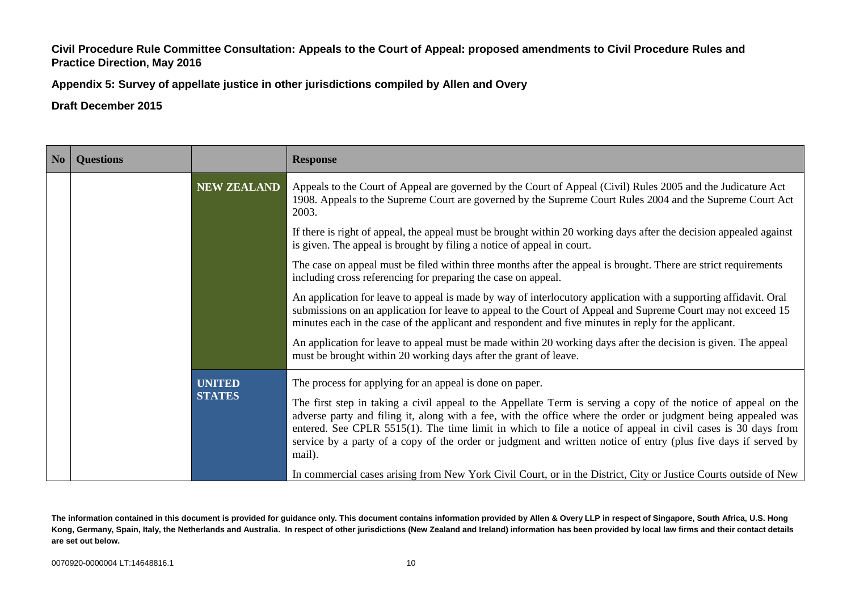**Appendix 5: Survey of appellate justice in other jurisdictions compiled by Allen and Overy**

**Draft December 2015**

| N <sub>0</sub> | <b>Questions</b> |                                | <b>Response</b>                                                                                                                                                                                                                                                                                                                                                                                                                                                                                                                         |
|----------------|------------------|--------------------------------|-----------------------------------------------------------------------------------------------------------------------------------------------------------------------------------------------------------------------------------------------------------------------------------------------------------------------------------------------------------------------------------------------------------------------------------------------------------------------------------------------------------------------------------------|
|                |                  | <b>NEW ZEALAND</b>             | Appeals to the Court of Appeal are governed by the Court of Appeal (Civil) Rules 2005 and the Judicature Act<br>1908. Appeals to the Supreme Court are governed by the Supreme Court Rules 2004 and the Supreme Court Act<br>2003.                                                                                                                                                                                                                                                                                                      |
|                |                  |                                | If there is right of appeal, the appeal must be brought within 20 working days after the decision appealed against<br>is given. The appeal is brought by filing a notice of appeal in court.                                                                                                                                                                                                                                                                                                                                            |
|                |                  |                                | The case on appeal must be filed within three months after the appeal is brought. There are strict requirements<br>including cross referencing for preparing the case on appeal.                                                                                                                                                                                                                                                                                                                                                        |
|                |                  |                                | An application for leave to appeal is made by way of interlocutory application with a supporting affidavit. Oral<br>submissions on an application for leave to appeal to the Court of Appeal and Supreme Court may not exceed 15<br>minutes each in the case of the applicant and respondent and five minutes in reply for the applicant.                                                                                                                                                                                               |
|                |                  |                                | An application for leave to appeal must be made within 20 working days after the decision is given. The appeal<br>must be brought within 20 working days after the grant of leave.                                                                                                                                                                                                                                                                                                                                                      |
|                |                  | <b>UNITED</b><br><b>STATES</b> | The process for applying for an appeal is done on paper.<br>The first step in taking a civil appeal to the Appellate Term is serving a copy of the notice of appeal on the<br>adverse party and filing it, along with a fee, with the office where the order or judgment being appealed was<br>entered. See CPLR 5515(1). The time limit in which to file a notice of appeal in civil cases is 30 days from<br>service by a party of a copy of the order or judgment and written notice of entry (plus five days if served by<br>mail). |
|                |                  |                                | In commercial cases arising from New York Civil Court, or in the District, City or Justice Courts outside of New                                                                                                                                                                                                                                                                                                                                                                                                                        |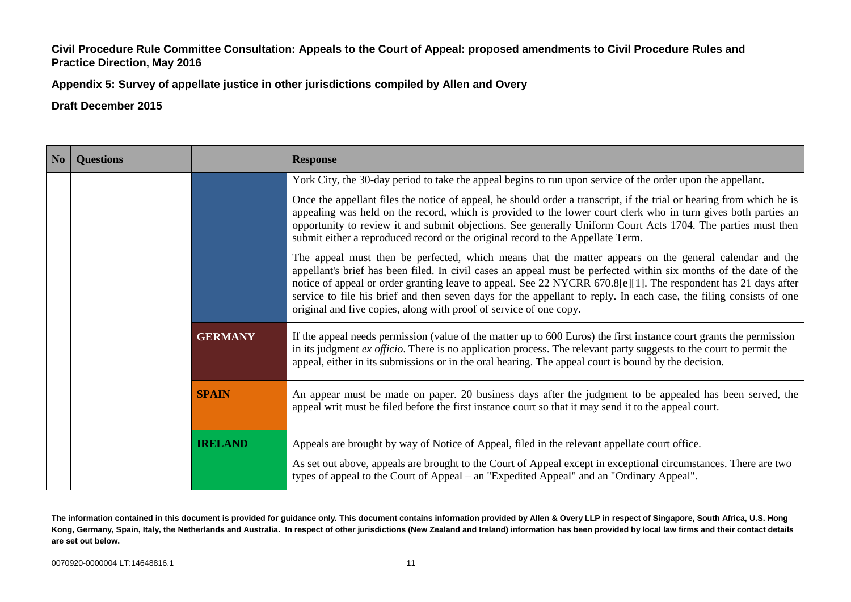**Appendix 5: Survey of appellate justice in other jurisdictions compiled by Allen and Overy**

**Draft December 2015**

| No | <b>Questions</b> |                | <b>Response</b>                                                                                                                                                                                                                                                                                                                                                                                                                                                                                                                           |
|----|------------------|----------------|-------------------------------------------------------------------------------------------------------------------------------------------------------------------------------------------------------------------------------------------------------------------------------------------------------------------------------------------------------------------------------------------------------------------------------------------------------------------------------------------------------------------------------------------|
|    |                  |                | York City, the 30-day period to take the appeal begins to run upon service of the order upon the appellant.                                                                                                                                                                                                                                                                                                                                                                                                                               |
|    |                  |                | Once the appellant files the notice of appeal, he should order a transcript, if the trial or hearing from which he is<br>appealing was held on the record, which is provided to the lower court clerk who in turn gives both parties an<br>opportunity to review it and submit objections. See generally Uniform Court Acts 1704. The parties must then<br>submit either a reproduced record or the original record to the Appellate Term.                                                                                                |
|    |                  |                | The appeal must then be perfected, which means that the matter appears on the general calendar and the<br>appellant's brief has been filed. In civil cases an appeal must be perfected within six months of the date of the<br>notice of appeal or order granting leave to appeal. See 22 NYCRR 670.8[e][1]. The respondent has 21 days after<br>service to file his brief and then seven days for the appellant to reply. In each case, the filing consists of one<br>original and five copies, along with proof of service of one copy. |
|    |                  | <b>GERMANY</b> | If the appeal needs permission (value of the matter up to 600 Euros) the first instance court grants the permission<br>in its judgment <i>ex officio</i> . There is no application process. The relevant party suggests to the court to permit the<br>appeal, either in its submissions or in the oral hearing. The appeal court is bound by the decision.                                                                                                                                                                                |
|    |                  | <b>SPAIN</b>   | An appear must be made on paper. 20 business days after the judgment to be appealed has been served, the<br>appeal writ must be filed before the first instance court so that it may send it to the appeal court.                                                                                                                                                                                                                                                                                                                         |
|    |                  | <b>IRELAND</b> | Appeals are brought by way of Notice of Appeal, filed in the relevant appellate court office.<br>As set out above, appeals are brought to the Court of Appeal except in exceptional circumstances. There are two<br>types of appeal to the Court of Appeal – an "Expedited Appeal" and an "Ordinary Appeal".                                                                                                                                                                                                                              |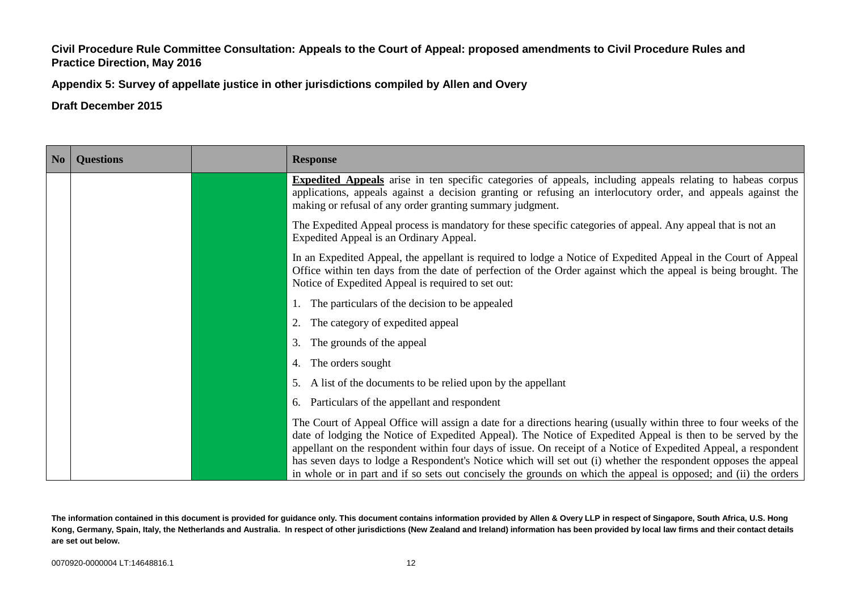**Appendix 5: Survey of appellate justice in other jurisdictions compiled by Allen and Overy**

**Draft December 2015**

| $\vert$ No $\vert$ | <b>Questions</b> | <b>Response</b>                                                                                                                                                                                                                                                                                                                                                                                                                                                                                                                                                                           |
|--------------------|------------------|-------------------------------------------------------------------------------------------------------------------------------------------------------------------------------------------------------------------------------------------------------------------------------------------------------------------------------------------------------------------------------------------------------------------------------------------------------------------------------------------------------------------------------------------------------------------------------------------|
|                    |                  | <b>Expedited Appeals</b> arise in ten specific categories of appeals, including appeals relating to habeas corpus<br>applications, appeals against a decision granting or refusing an interlocutory order, and appeals against the<br>making or refusal of any order granting summary judgment.                                                                                                                                                                                                                                                                                           |
|                    |                  | The Expedited Appeal process is mandatory for these specific categories of appeal. Any appeal that is not an<br>Expedited Appeal is an Ordinary Appeal.                                                                                                                                                                                                                                                                                                                                                                                                                                   |
|                    |                  | In an Expedited Appeal, the appellant is required to lodge a Notice of Expedited Appeal in the Court of Appeal<br>Office within ten days from the date of perfection of the Order against which the appeal is being brought. The<br>Notice of Expedited Appeal is required to set out:                                                                                                                                                                                                                                                                                                    |
|                    |                  | 1. The particulars of the decision to be appealed                                                                                                                                                                                                                                                                                                                                                                                                                                                                                                                                         |
|                    |                  | The category of expedited appeal                                                                                                                                                                                                                                                                                                                                                                                                                                                                                                                                                          |
|                    |                  | 3. The grounds of the appeal                                                                                                                                                                                                                                                                                                                                                                                                                                                                                                                                                              |
|                    |                  | 4. The orders sought                                                                                                                                                                                                                                                                                                                                                                                                                                                                                                                                                                      |
|                    |                  | A list of the documents to be relied upon by the appellant<br>5.                                                                                                                                                                                                                                                                                                                                                                                                                                                                                                                          |
|                    |                  | 6. Particulars of the appellant and respondent                                                                                                                                                                                                                                                                                                                                                                                                                                                                                                                                            |
|                    |                  | The Court of Appeal Office will assign a date for a directions hearing (usually within three to four weeks of the<br>date of lodging the Notice of Expedited Appeal). The Notice of Expedited Appeal is then to be served by the<br>appellant on the respondent within four days of issue. On receipt of a Notice of Expedited Appeal, a respondent<br>has seven days to lodge a Respondent's Notice which will set out (i) whether the respondent opposes the appeal<br>in whole or in part and if so sets out concisely the grounds on which the appeal is opposed; and (ii) the orders |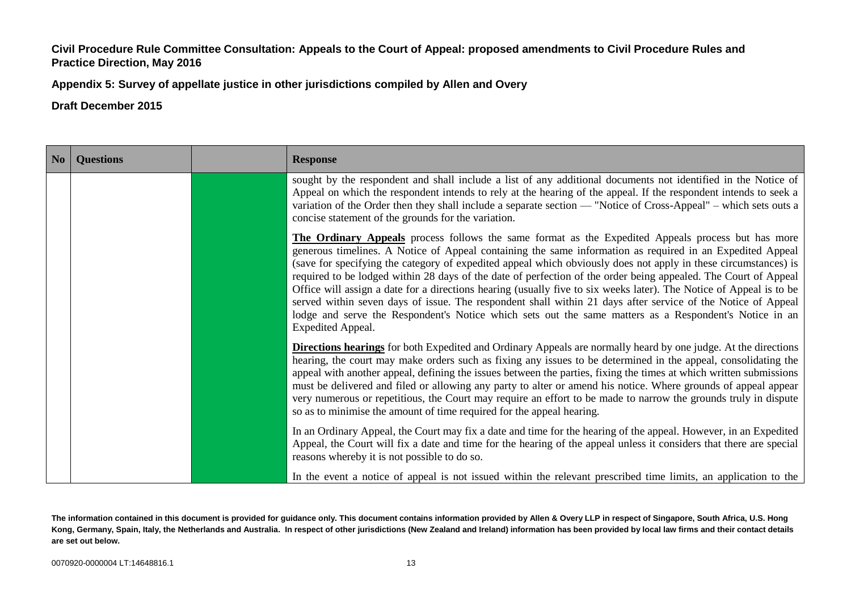**Appendix 5: Survey of appellate justice in other jurisdictions compiled by Allen and Overy**

| No | <b>Questions</b> | <b>Response</b>   |                                                                                                                                                                                                                                                                                                                                                                                                                                                                                                                                                                                                                                                                                                                                                                                                        |
|----|------------------|-------------------|--------------------------------------------------------------------------------------------------------------------------------------------------------------------------------------------------------------------------------------------------------------------------------------------------------------------------------------------------------------------------------------------------------------------------------------------------------------------------------------------------------------------------------------------------------------------------------------------------------------------------------------------------------------------------------------------------------------------------------------------------------------------------------------------------------|
|    |                  |                   | sought by the respondent and shall include a list of any additional documents not identified in the Notice of<br>Appeal on which the respondent intends to rely at the hearing of the appeal. If the respondent intends to seek a<br>variation of the Order then they shall include a separate section — "Notice of Cross-Appeal" – which sets outs a<br>concise statement of the grounds for the variation.                                                                                                                                                                                                                                                                                                                                                                                           |
|    |                  | Expedited Appeal. | The Ordinary Appeals process follows the same format as the Expedited Appeals process but has more<br>generous timelines. A Notice of Appeal containing the same information as required in an Expedited Appeal<br>(save for specifying the category of expedited appeal which obviously does not apply in these circumstances) is<br>required to be lodged within 28 days of the date of perfection of the order being appealed. The Court of Appeal<br>Office will assign a date for a directions hearing (usually five to six weeks later). The Notice of Appeal is to be<br>served within seven days of issue. The respondent shall within 21 days after service of the Notice of Appeal<br>lodge and serve the Respondent's Notice which sets out the same matters as a Respondent's Notice in an |
|    |                  |                   | <b>Directions hearings</b> for both Expedited and Ordinary Appeals are normally heard by one judge. At the directions<br>hearing, the court may make orders such as fixing any issues to be determined in the appeal, consolidating the<br>appeal with another appeal, defining the issues between the parties, fixing the times at which written submissions<br>must be delivered and filed or allowing any party to alter or amend his notice. Where grounds of appeal appear<br>very numerous or repetitious, the Court may require an effort to be made to narrow the grounds truly in dispute<br>so as to minimise the amount of time required for the appeal hearing.                                                                                                                            |
|    |                  |                   | In an Ordinary Appeal, the Court may fix a date and time for the hearing of the appeal. However, in an Expedited<br>Appeal, the Court will fix a date and time for the hearing of the appeal unless it considers that there are special<br>reasons whereby it is not possible to do so.                                                                                                                                                                                                                                                                                                                                                                                                                                                                                                                |
|    |                  |                   | In the event a notice of appeal is not issued within the relevant prescribed time limits, an application to the                                                                                                                                                                                                                                                                                                                                                                                                                                                                                                                                                                                                                                                                                        |

**The information contained in this document is provided for guidance only. This document contains information provided by Allen & Overy LLP in respect of Singapore, South Africa, U.S. Hong Kong, Germany, Spain, Italy, the Netherlands and Australia. In respect of other jurisdictions (New Zealand and Ireland) information has been provided by local law firms and their contact details are set out below.**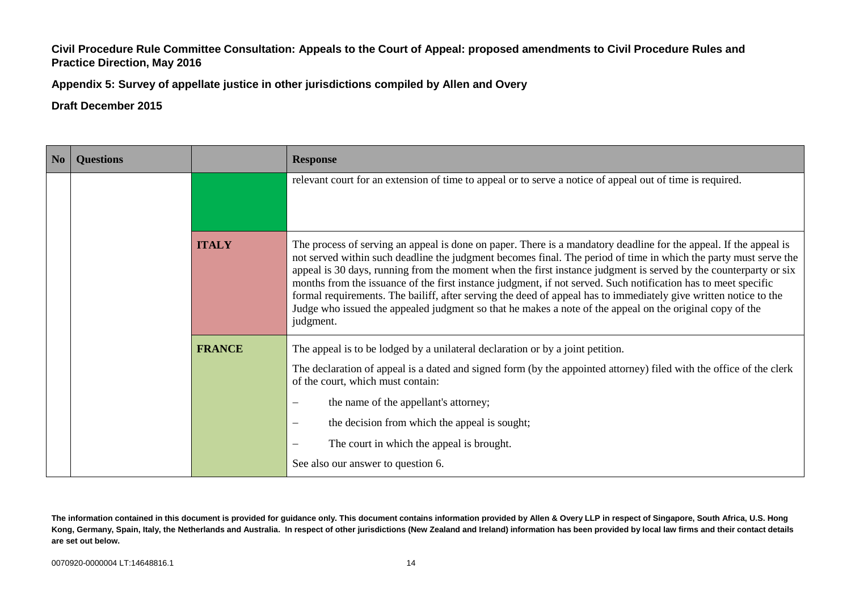**Appendix 5: Survey of appellate justice in other jurisdictions compiled by Allen and Overy**

### **Draft December 2015**

| No | <b>Questions</b> |               | <b>Response</b>                                                                                                                                                                                                                                                                                                                                                                                                                                                                                                                                                                                                                                                                                                          |
|----|------------------|---------------|--------------------------------------------------------------------------------------------------------------------------------------------------------------------------------------------------------------------------------------------------------------------------------------------------------------------------------------------------------------------------------------------------------------------------------------------------------------------------------------------------------------------------------------------------------------------------------------------------------------------------------------------------------------------------------------------------------------------------|
|    |                  |               | relevant court for an extension of time to appeal or to serve a notice of appeal out of time is required.                                                                                                                                                                                                                                                                                                                                                                                                                                                                                                                                                                                                                |
|    |                  | <b>ITALY</b>  | The process of serving an appeal is done on paper. There is a mandatory deadline for the appeal. If the appeal is<br>not served within such deadline the judgment becomes final. The period of time in which the party must serve the<br>appeal is 30 days, running from the moment when the first instance judgment is served by the counterparty or six<br>months from the issuance of the first instance judgment, if not served. Such notification has to meet specific<br>formal requirements. The bailiff, after serving the deed of appeal has to immediately give written notice to the<br>Judge who issued the appealed judgment so that he makes a note of the appeal on the original copy of the<br>judgment. |
|    |                  | <b>FRANCE</b> | The appeal is to be lodged by a unilateral declaration or by a joint petition.<br>The declaration of appeal is a dated and signed form (by the appointed attorney) filed with the office of the clerk<br>of the court, which must contain:<br>the name of the appellant's attorney;<br>$\overline{\phantom{m}}$<br>the decision from which the appeal is sought;<br>$\overline{\phantom{m}}$<br>The court in which the appeal is brought.<br>$\overline{\phantom{m}}$<br>See also our answer to question 6.                                                                                                                                                                                                              |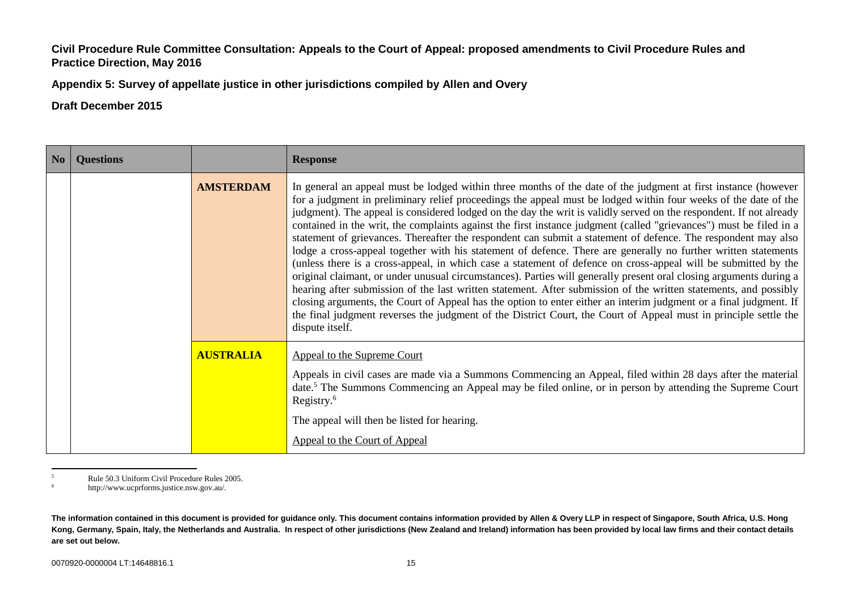**Appendix 5: Survey of appellate justice in other jurisdictions compiled by Allen and Overy**

**Draft December 2015**

| No | <b>Questions</b> |                  | <b>Response</b>                                                                                                                                                                                                                                                                                                                                                                                                                                                                                                                                                                                                                                                                                                                                                                                                                                                                                                                                                                                                                                                                                                                                                                                                                                                                                                                          |
|----|------------------|------------------|------------------------------------------------------------------------------------------------------------------------------------------------------------------------------------------------------------------------------------------------------------------------------------------------------------------------------------------------------------------------------------------------------------------------------------------------------------------------------------------------------------------------------------------------------------------------------------------------------------------------------------------------------------------------------------------------------------------------------------------------------------------------------------------------------------------------------------------------------------------------------------------------------------------------------------------------------------------------------------------------------------------------------------------------------------------------------------------------------------------------------------------------------------------------------------------------------------------------------------------------------------------------------------------------------------------------------------------|
|    |                  | <b>AMSTERDAM</b> | In general an appeal must be lodged within three months of the date of the judgment at first instance (however<br>for a judgment in preliminary relief proceedings the appeal must be lodged within four weeks of the date of the<br>judgment). The appeal is considered lodged on the day the writ is validly served on the respondent. If not already<br>contained in the writ, the complaints against the first instance judgment (called "grievances") must be filed in a<br>statement of grievances. Thereafter the respondent can submit a statement of defence. The respondent may also<br>lodge a cross-appeal together with his statement of defence. There are generally no further written statements<br>(unless there is a cross-appeal, in which case a statement of defence on cross-appeal will be submitted by the<br>original claimant, or under unusual circumstances). Parties will generally present oral closing arguments during a<br>hearing after submission of the last written statement. After submission of the written statements, and possibly<br>closing arguments, the Court of Appeal has the option to enter either an interim judgment or a final judgment. If<br>the final judgment reverses the judgment of the District Court, the Court of Appeal must in principle settle the<br>dispute itself. |
|    |                  | <b>AUSTRALIA</b> | Appeal to the Supreme Court<br>Appeals in civil cases are made via a Summons Commencing an Appeal, filed within 28 days after the material<br>date. <sup>5</sup> The Summons Commencing an Appeal may be filed online, or in person by attending the Supreme Court<br>Registry. $6$<br>The appeal will then be listed for hearing.<br>Appeal to the Court of Appeal                                                                                                                                                                                                                                                                                                                                                                                                                                                                                                                                                                                                                                                                                                                                                                                                                                                                                                                                                                      |

 $\overline{\phantom{0}}$  $5$  Rule 50.3 Uniform Civil Procedure Rules 2005.

<sup>6</sup> http://www.ucprforms.justice.nsw.gov.au/.

**The information contained in this document is provided for guidance only. This document contains information provided by Allen & Overy LLP in respect of Singapore, South Africa, U.S. Hong Kong, Germany, Spain, Italy, the Netherlands and Australia. In respect of other jurisdictions (New Zealand and Ireland) information has been provided by local law firms and their contact details are set out below.**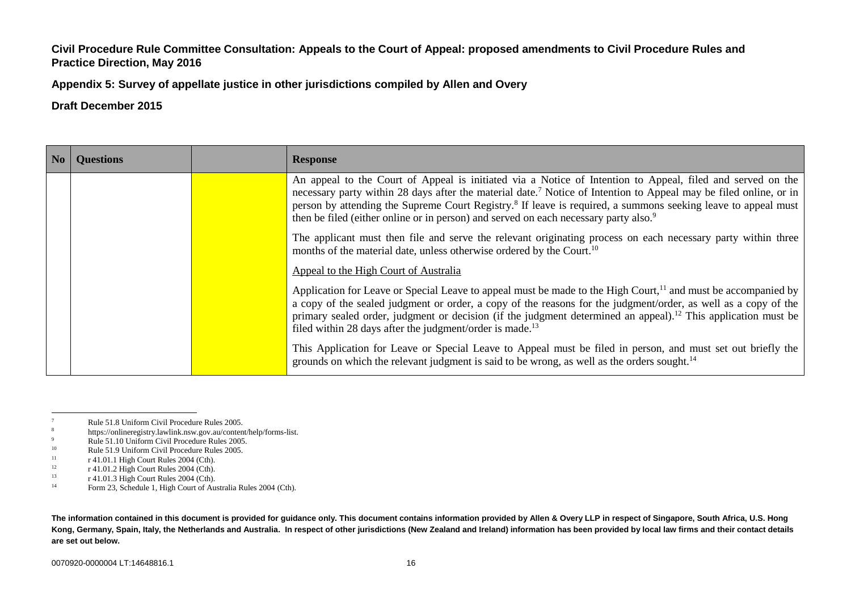**Appendix 5: Survey of appellate justice in other jurisdictions compiled by Allen and Overy**

**Draft December 2015**

| No. | <b>Ouestions</b> | <b>Response</b>                                                                                                                                                                                                                                                                                                                                                                                                                                                              |
|-----|------------------|------------------------------------------------------------------------------------------------------------------------------------------------------------------------------------------------------------------------------------------------------------------------------------------------------------------------------------------------------------------------------------------------------------------------------------------------------------------------------|
|     |                  | An appeal to the Court of Appeal is initiated via a Notice of Intention to Appeal, filed and served on the<br>necessary party within 28 days after the material date. <sup>7</sup> Notice of Intention to Appeal may be filed online, or in<br>person by attending the Supreme Court Registry. <sup>8</sup> If leave is required, a summons seeking leave to appeal must<br>then be filed (either online or in person) and served on each necessary party also. <sup>9</sup> |
|     |                  | The applicant must then file and serve the relevant originating process on each necessary party within three<br>months of the material date, unless otherwise ordered by the Court. <sup>10</sup>                                                                                                                                                                                                                                                                            |
|     |                  | Appeal to the High Court of Australia                                                                                                                                                                                                                                                                                                                                                                                                                                        |
|     |                  | Application for Leave or Special Leave to appeal must be made to the High Court, <sup>11</sup> and must be accompanied by<br>a copy of the sealed judgment or order, a copy of the reasons for the judgment/order, as well as a copy of the<br>primary sealed order, judgment or decision (if the judgment determined an appeal). <sup>12</sup> This application must be<br>filed within 28 days after the judgment/order is made. <sup>13</sup>                             |
|     |                  | This Application for Leave or Special Leave to Appeal must be filed in person, and must set out briefly the<br>grounds on which the relevant judgment is said to be wrong, as well as the orders sought. <sup>14</sup>                                                                                                                                                                                                                                                       |

- <sup>8</sup><br>https://onlineregistry.lawlink.nsw.gov.au/content/help/forms-list.<br> $R_{\text{B}}$
- <sup>9</sup><br>Rule 51.10 Uniform Civil Procedure Rules 2005.<br> $\frac{10}{2005}$

<sup>11</sup> r 41.01.1 High Court Rules 2004 (Cth).<br> $r^{41.01.2}$  High Court Pulse 2004 (Cth).

 $\overline{7}$  $\frac{7}{8}$  Rule 51.8 Uniform Civil Procedure Rules 2005.

<sup>&</sup>lt;sup>10</sup> Rule 51.9 Uniform Civil Procedure Rules 2005.

<sup>&</sup>lt;sup>12</sup> r 41.01.2 High Court Rules 2004 (Cth).<br> $r^{41.01.2}$  High Court Pulse 2004 (Cth)

<sup>&</sup>lt;sup>13</sup> r 41.01.3 High Court Rules 2004 (Cth).<br><sup>14</sup> Eorm 23, Schodule 1, High Court of Au

Form 23, Schedule 1, High Court of Australia Rules 2004 (Cth).

**The information contained in this document is provided for guidance only. This document contains information provided by Allen & Overy LLP in respect of Singapore, South Africa, U.S. Hong Kong, Germany, Spain, Italy, the Netherlands and Australia. In respect of other jurisdictions (New Zealand and Ireland) information has been provided by local law firms and their contact details are set out below.**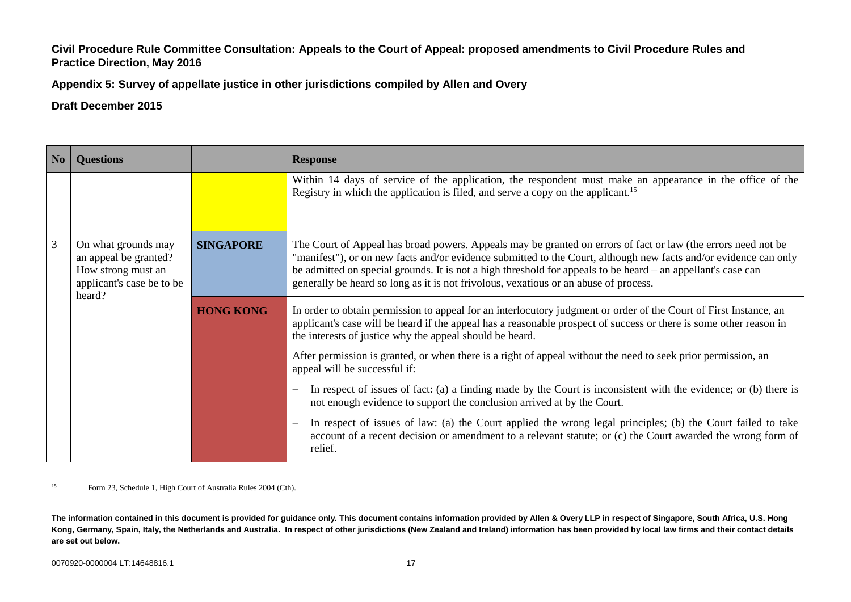**Appendix 5: Survey of appellate justice in other jurisdictions compiled by Allen and Overy**

# **Draft December 2015**

| No | <b>Questions</b>                                                                                          |                  | <b>Response</b>                                                                                                                                                                                                                                                                                                                                                                                                                           |
|----|-----------------------------------------------------------------------------------------------------------|------------------|-------------------------------------------------------------------------------------------------------------------------------------------------------------------------------------------------------------------------------------------------------------------------------------------------------------------------------------------------------------------------------------------------------------------------------------------|
|    |                                                                                                           |                  | Within 14 days of service of the application, the respondent must make an appearance in the office of the<br>Registry in which the application is filed, and serve a copy on the applicant. <sup>15</sup>                                                                                                                                                                                                                                 |
| 3  | On what grounds may<br>an appeal be granted?<br>How strong must an<br>applicant's case be to be<br>heard? | <b>SINGAPORE</b> | The Court of Appeal has broad powers. Appeals may be granted on errors of fact or law (the errors need not be<br>"manifest"), or on new facts and/or evidence submitted to the Court, although new facts and/or evidence can only<br>be admitted on special grounds. It is not a high threshold for appeals to be heard – an appellant's case can<br>generally be heard so long as it is not frivolous, vexatious or an abuse of process. |
|    |                                                                                                           | <b>HONG KONG</b> | In order to obtain permission to appeal for an interlocutory judgment or order of the Court of First Instance, an<br>applicant's case will be heard if the appeal has a reasonable prospect of success or there is some other reason in<br>the interests of justice why the appeal should be heard.                                                                                                                                       |
|    |                                                                                                           |                  | After permission is granted, or when there is a right of appeal without the need to seek prior permission, an<br>appeal will be successful if:                                                                                                                                                                                                                                                                                            |
|    |                                                                                                           |                  | In respect of issues of fact: (a) a finding made by the Court is inconsistent with the evidence; or (b) there is<br>not enough evidence to support the conclusion arrived at by the Court.                                                                                                                                                                                                                                                |
|    |                                                                                                           |                  | In respect of issues of law: (a) the Court applied the wrong legal principles; (b) the Court failed to take<br>account of a recent decision or amendment to a relevant statute; or (c) the Court awarded the wrong form of<br>relief.                                                                                                                                                                                                     |

 $15$ Form 23, Schedule 1, High Court of Australia Rules 2004 (Cth).

**The information contained in this document is provided for guidance only. This document contains information provided by Allen & Overy LLP in respect of Singapore, South Africa, U.S. Hong Kong, Germany, Spain, Italy, the Netherlands and Australia. In respect of other jurisdictions (New Zealand and Ireland) information has been provided by local law firms and their contact details are set out below.**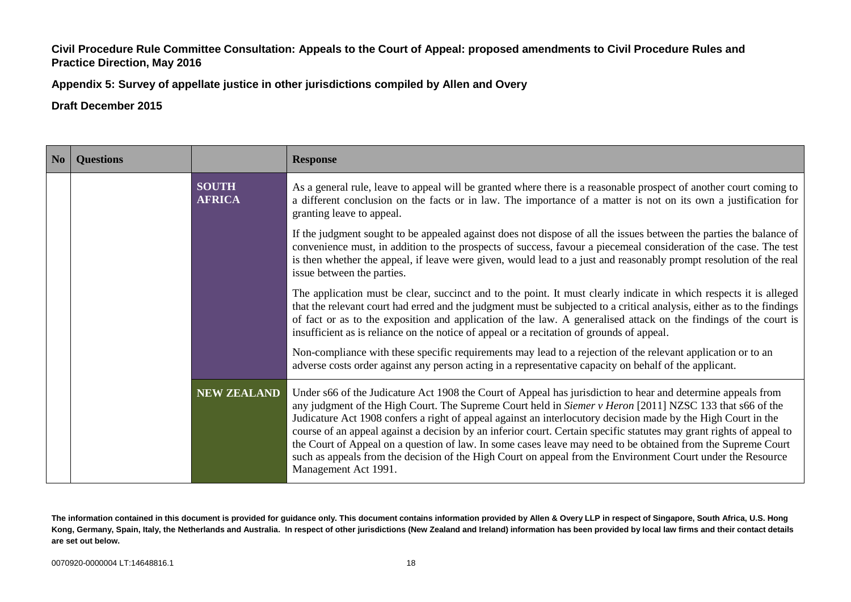**Appendix 5: Survey of appellate justice in other jurisdictions compiled by Allen and Overy**

| No | <b>Questions</b> |                               | <b>Response</b>                                                                                                                                                                                                                                                                                                                                                                                                                                                                                                                                                                                                                                                                                                          |
|----|------------------|-------------------------------|--------------------------------------------------------------------------------------------------------------------------------------------------------------------------------------------------------------------------------------------------------------------------------------------------------------------------------------------------------------------------------------------------------------------------------------------------------------------------------------------------------------------------------------------------------------------------------------------------------------------------------------------------------------------------------------------------------------------------|
|    |                  | <b>SOUTH</b><br><b>AFRICA</b> | As a general rule, leave to appeal will be granted where there is a reasonable prospect of another court coming to<br>a different conclusion on the facts or in law. The importance of a matter is not on its own a justification for<br>granting leave to appeal.                                                                                                                                                                                                                                                                                                                                                                                                                                                       |
|    |                  |                               | If the judgment sought to be appealed against does not dispose of all the issues between the parties the balance of<br>convenience must, in addition to the prospects of success, favour a piecemeal consideration of the case. The test<br>is then whether the appeal, if leave were given, would lead to a just and reasonably prompt resolution of the real<br>issue between the parties.                                                                                                                                                                                                                                                                                                                             |
|    |                  |                               | The application must be clear, succinct and to the point. It must clearly indicate in which respects it is alleged<br>that the relevant court had erred and the judgment must be subjected to a critical analysis, either as to the findings<br>of fact or as to the exposition and application of the law. A generalised attack on the findings of the court is<br>insufficient as is reliance on the notice of appeal or a recitation of grounds of appeal.                                                                                                                                                                                                                                                            |
|    |                  |                               | Non-compliance with these specific requirements may lead to a rejection of the relevant application or to an<br>adverse costs order against any person acting in a representative capacity on behalf of the applicant.                                                                                                                                                                                                                                                                                                                                                                                                                                                                                                   |
|    |                  | <b>NEW ZEALAND</b>            | Under s66 of the Judicature Act 1908 the Court of Appeal has jurisdiction to hear and determine appeals from<br>any judgment of the High Court. The Supreme Court held in Siemer v Heron [2011] NZSC 133 that s66 of the<br>Judicature Act 1908 confers a right of appeal against an interlocutory decision made by the High Court in the<br>course of an appeal against a decision by an inferior court. Certain specific statutes may grant rights of appeal to<br>the Court of Appeal on a question of law. In some cases leave may need to be obtained from the Supreme Court<br>such as appeals from the decision of the High Court on appeal from the Environment Court under the Resource<br>Management Act 1991. |

**The information contained in this document is provided for guidance only. This document contains information provided by Allen & Overy LLP in respect of Singapore, South Africa, U.S. Hong Kong, Germany, Spain, Italy, the Netherlands and Australia. In respect of other jurisdictions (New Zealand and Ireland) information has been provided by local law firms and their contact details are set out below.**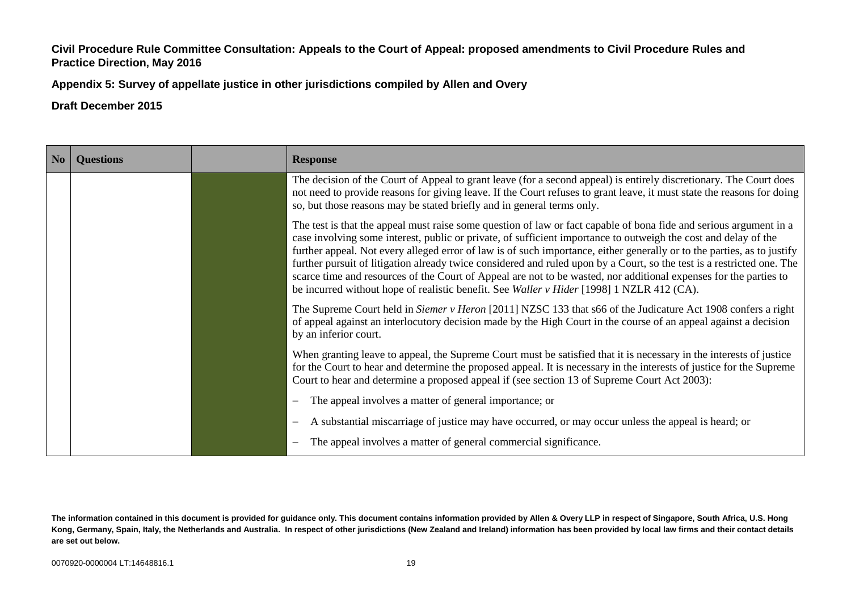**Appendix 5: Survey of appellate justice in other jurisdictions compiled by Allen and Overy**

| N <sub>o</sub> | <b>Questions</b> | <b>Response</b>                                                                                                                                                                                                                                                                                                                                                                                                                                                                                                                                                                                                                                                                                              |
|----------------|------------------|--------------------------------------------------------------------------------------------------------------------------------------------------------------------------------------------------------------------------------------------------------------------------------------------------------------------------------------------------------------------------------------------------------------------------------------------------------------------------------------------------------------------------------------------------------------------------------------------------------------------------------------------------------------------------------------------------------------|
|                |                  | The decision of the Court of Appeal to grant leave (for a second appeal) is entirely discretionary. The Court does<br>not need to provide reasons for giving leave. If the Court refuses to grant leave, it must state the reasons for doing<br>so, but those reasons may be stated briefly and in general terms only.                                                                                                                                                                                                                                                                                                                                                                                       |
|                |                  | The test is that the appeal must raise some question of law or fact capable of bona fide and serious argument in a<br>case involving some interest, public or private, of sufficient importance to outweigh the cost and delay of the<br>further appeal. Not every alleged error of law is of such importance, either generally or to the parties, as to justify<br>further pursuit of litigation already twice considered and ruled upon by a Court, so the test is a restricted one. The<br>scarce time and resources of the Court of Appeal are not to be wasted, nor additional expenses for the parties to<br>be incurred without hope of realistic benefit. See Waller v Hider [1998] 1 NZLR 412 (CA). |
|                |                  | The Supreme Court held in Siemer v Heron [2011] NZSC 133 that s66 of the Judicature Act 1908 confers a right<br>of appeal against an interlocutory decision made by the High Court in the course of an appeal against a decision<br>by an inferior court.                                                                                                                                                                                                                                                                                                                                                                                                                                                    |
|                |                  | When granting leave to appeal, the Supreme Court must be satisfied that it is necessary in the interests of justice<br>for the Court to hear and determine the proposed appeal. It is necessary in the interests of justice for the Supreme<br>Court to hear and determine a proposed appeal if (see section 13 of Supreme Court Act 2003):                                                                                                                                                                                                                                                                                                                                                                  |
|                |                  | The appeal involves a matter of general importance; or                                                                                                                                                                                                                                                                                                                                                                                                                                                                                                                                                                                                                                                       |
|                |                  | A substantial miscarriage of justice may have occurred, or may occur unless the appeal is heard; or                                                                                                                                                                                                                                                                                                                                                                                                                                                                                                                                                                                                          |
|                |                  | The appeal involves a matter of general commercial significance.                                                                                                                                                                                                                                                                                                                                                                                                                                                                                                                                                                                                                                             |

**The information contained in this document is provided for guidance only. This document contains information provided by Allen & Overy LLP in respect of Singapore, South Africa, U.S. Hong Kong, Germany, Spain, Italy, the Netherlands and Australia. In respect of other jurisdictions (New Zealand and Ireland) information has been provided by local law firms and their contact details are set out below.**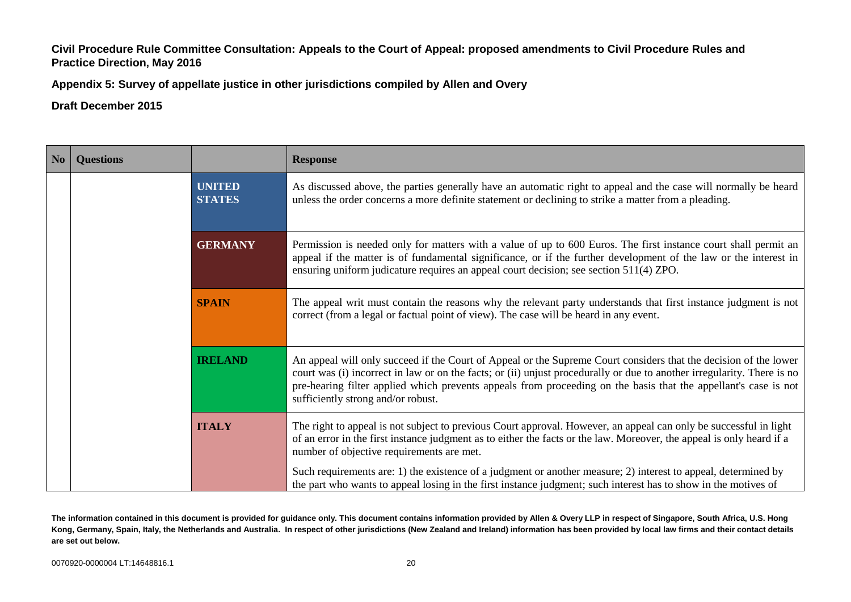**Appendix 5: Survey of appellate justice in other jurisdictions compiled by Allen and Overy**

**Draft December 2015**

| N <sub>o</sub> | <b>Questions</b> |                                | <b>Response</b>                                                                                                                                                                                                                                                                                                                                                                                      |
|----------------|------------------|--------------------------------|------------------------------------------------------------------------------------------------------------------------------------------------------------------------------------------------------------------------------------------------------------------------------------------------------------------------------------------------------------------------------------------------------|
|                |                  | <b>UNITED</b><br><b>STATES</b> | As discussed above, the parties generally have an automatic right to appeal and the case will normally be heard<br>unless the order concerns a more definite statement or declining to strike a matter from a pleading.                                                                                                                                                                              |
|                |                  | <b>GERMANY</b>                 | Permission is needed only for matters with a value of up to 600 Euros. The first instance court shall permit an<br>appeal if the matter is of fundamental significance, or if the further development of the law or the interest in<br>ensuring uniform judicature requires an appeal court decision; see section 511(4) ZPO.                                                                        |
|                |                  | <b>SPAIN</b>                   | The appeal writ must contain the reasons why the relevant party understands that first instance judgment is not<br>correct (from a legal or factual point of view). The case will be heard in any event.                                                                                                                                                                                             |
|                |                  | <b>IRELAND</b>                 | An appeal will only succeed if the Court of Appeal or the Supreme Court considers that the decision of the lower<br>court was (i) incorrect in law or on the facts; or (ii) unjust procedurally or due to another irregularity. There is no<br>pre-hearing filter applied which prevents appeals from proceeding on the basis that the appellant's case is not<br>sufficiently strong and/or robust. |
|                |                  | <b>ITALY</b>                   | The right to appeal is not subject to previous Court approval. However, an appeal can only be successful in light<br>of an error in the first instance judgment as to either the facts or the law. Moreover, the appeal is only heard if a<br>number of objective requirements are met.                                                                                                              |
|                |                  |                                | Such requirements are: 1) the existence of a judgment or another measure; 2) interest to appeal, determined by<br>the part who wants to appeal losing in the first instance judgment; such interest has to show in the motives of                                                                                                                                                                    |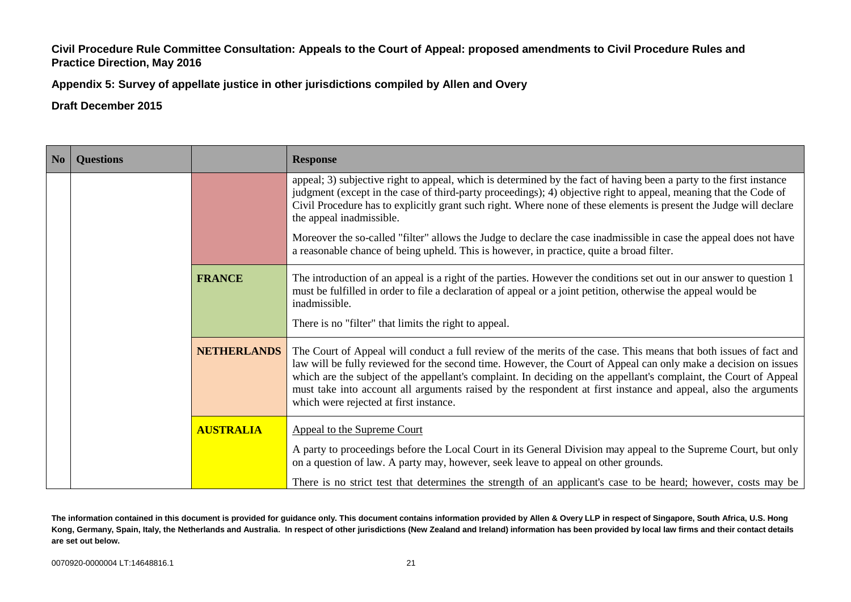**Appendix 5: Survey of appellate justice in other jurisdictions compiled by Allen and Overy**

**Draft December 2015**

| $\vert$ No $\vert$ | <b>Questions</b> |                    | <b>Response</b>                                                                                                                                                                                                                                                                                                                                                                                                                                                                                                                                                                                             |
|--------------------|------------------|--------------------|-------------------------------------------------------------------------------------------------------------------------------------------------------------------------------------------------------------------------------------------------------------------------------------------------------------------------------------------------------------------------------------------------------------------------------------------------------------------------------------------------------------------------------------------------------------------------------------------------------------|
|                    |                  |                    | appeal; 3) subjective right to appeal, which is determined by the fact of having been a party to the first instance<br>judgment (except in the case of third-party proceedings); 4) objective right to appeal, meaning that the Code of<br>Civil Procedure has to explicitly grant such right. Where none of these elements is present the Judge will declare<br>the appeal inadmissible.<br>Moreover the so-called "filter" allows the Judge to declare the case inadmissible in case the appeal does not have<br>a reasonable chance of being upheld. This is however, in practice, quite a broad filter. |
|                    |                  | <b>FRANCE</b>      | The introduction of an appeal is a right of the parties. However the conditions set out in our answer to question 1<br>must be fulfilled in order to file a declaration of appeal or a joint petition, otherwise the appeal would be<br>inadmissible.<br>There is no "filter" that limits the right to appeal.                                                                                                                                                                                                                                                                                              |
|                    |                  | <b>NETHERLANDS</b> | The Court of Appeal will conduct a full review of the merits of the case. This means that both issues of fact and<br>law will be fully reviewed for the second time. However, the Court of Appeal can only make a decision on issues<br>which are the subject of the appellant's complaint. In deciding on the appellant's complaint, the Court of Appeal<br>must take into account all arguments raised by the respondent at first instance and appeal, also the arguments<br>which were rejected at first instance.                                                                                       |
|                    |                  | <b>AUSTRALIA</b>   | Appeal to the Supreme Court<br>A party to proceedings before the Local Court in its General Division may appeal to the Supreme Court, but only<br>on a question of law. A party may, however, seek leave to appeal on other grounds.<br>There is no strict test that determines the strength of an applicant's case to be heard; however, costs may be                                                                                                                                                                                                                                                      |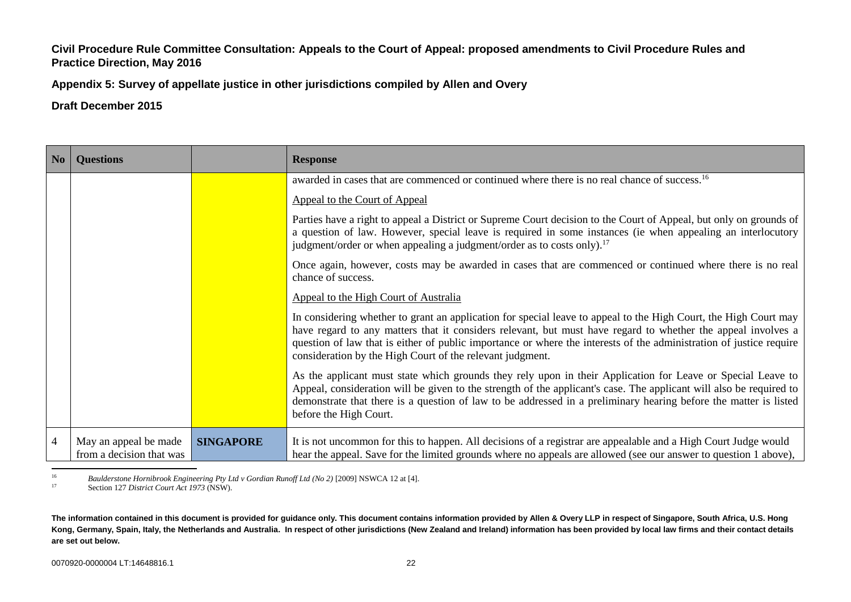**Appendix 5: Survey of appellate justice in other jurisdictions compiled by Allen and Overy**

**Draft December 2015**

| No             | <b>Questions</b>                                  |                  | <b>Response</b>                                                                                                                                                                                                                                                                                                                                                                                                      |
|----------------|---------------------------------------------------|------------------|----------------------------------------------------------------------------------------------------------------------------------------------------------------------------------------------------------------------------------------------------------------------------------------------------------------------------------------------------------------------------------------------------------------------|
|                |                                                   |                  | awarded in cases that are commenced or continued where there is no real chance of success. <sup>16</sup>                                                                                                                                                                                                                                                                                                             |
|                |                                                   |                  | Appeal to the Court of Appeal                                                                                                                                                                                                                                                                                                                                                                                        |
|                |                                                   |                  | Parties have a right to appeal a District or Supreme Court decision to the Court of Appeal, but only on grounds of<br>a question of law. However, special leave is required in some instances (ie when appealing an interlocutory<br>judgment/order or when appealing a judgment/order as to costs only). <sup>17</sup>                                                                                              |
|                |                                                   |                  | Once again, however, costs may be awarded in cases that are commenced or continued where there is no real<br>chance of success.                                                                                                                                                                                                                                                                                      |
|                |                                                   |                  | Appeal to the High Court of Australia                                                                                                                                                                                                                                                                                                                                                                                |
|                |                                                   |                  | In considering whether to grant an application for special leave to appeal to the High Court, the High Court may<br>have regard to any matters that it considers relevant, but must have regard to whether the appeal involves a<br>question of law that is either of public importance or where the interests of the administration of justice require<br>consideration by the High Court of the relevant judgment. |
|                |                                                   |                  | As the applicant must state which grounds they rely upon in their Application for Leave or Special Leave to<br>Appeal, consideration will be given to the strength of the applicant's case. The applicant will also be required to<br>demonstrate that there is a question of law to be addressed in a preliminary hearing before the matter is listed<br>before the High Court.                                     |
| $\overline{4}$ | May an appeal be made<br>from a decision that was | <b>SINGAPORE</b> | It is not uncommon for this to happen. All decisions of a registrar are appealable and a High Court Judge would<br>hear the appeal. Save for the limited grounds where no appeals are allowed (see our answer to question 1 above),                                                                                                                                                                                  |

 $16$ <sup>16</sup> *Baulderstone Hornibrook Engineering Pty Ltd v Gordian Runoff Ltd (No 2)* [2009] NSWCA 12 at [4].

<sup>17</sup> Section 127 *District Court Act 1973* (NSW).

**The information contained in this document is provided for guidance only. This document contains information provided by Allen & Overy LLP in respect of Singapore, South Africa, U.S. Hong Kong, Germany, Spain, Italy, the Netherlands and Australia. In respect of other jurisdictions (New Zealand and Ireland) information has been provided by local law firms and their contact details are set out below.**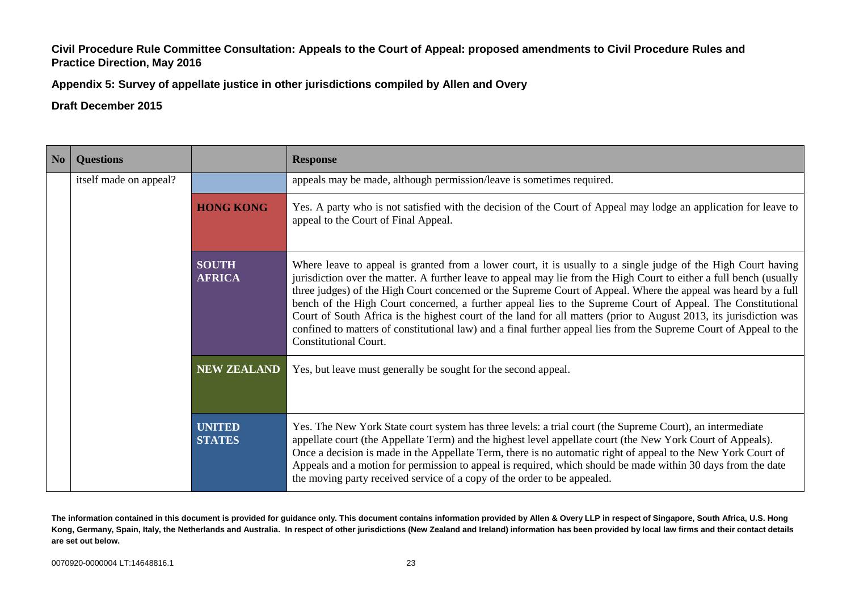**Appendix 5: Survey of appellate justice in other jurisdictions compiled by Allen and Overy**

# **Draft December 2015**

| $\overline{\phantom{a}}$ No | <b>Questions</b>       |                                | <b>Response</b>                                                                                                                                                                                                                                                                                                                                                                                                                                                                                                                                                                                                                                                                                                                                   |
|-----------------------------|------------------------|--------------------------------|---------------------------------------------------------------------------------------------------------------------------------------------------------------------------------------------------------------------------------------------------------------------------------------------------------------------------------------------------------------------------------------------------------------------------------------------------------------------------------------------------------------------------------------------------------------------------------------------------------------------------------------------------------------------------------------------------------------------------------------------------|
|                             | itself made on appeal? |                                | appeals may be made, although permission/leave is sometimes required.                                                                                                                                                                                                                                                                                                                                                                                                                                                                                                                                                                                                                                                                             |
|                             |                        | <b>HONG KONG</b>               | Yes. A party who is not satisfied with the decision of the Court of Appeal may lodge an application for leave to<br>appeal to the Court of Final Appeal.                                                                                                                                                                                                                                                                                                                                                                                                                                                                                                                                                                                          |
|                             |                        | <b>SOUTH</b><br><b>AFRICA</b>  | Where leave to appeal is granted from a lower court, it is usually to a single judge of the High Court having<br>jurisdiction over the matter. A further leave to appeal may lie from the High Court to either a full bench (usually<br>three judges) of the High Court concerned or the Supreme Court of Appeal. Where the appeal was heard by a full<br>bench of the High Court concerned, a further appeal lies to the Supreme Court of Appeal. The Constitutional<br>Court of South Africa is the highest court of the land for all matters (prior to August 2013, its jurisdiction was<br>confined to matters of constitutional law) and a final further appeal lies from the Supreme Court of Appeal to the<br><b>Constitutional Court.</b> |
|                             |                        | <b>NEW ZEALAND</b>             | Yes, but leave must generally be sought for the second appeal.                                                                                                                                                                                                                                                                                                                                                                                                                                                                                                                                                                                                                                                                                    |
|                             |                        | <b>UNITED</b><br><b>STATES</b> | Yes. The New York State court system has three levels: a trial court (the Supreme Court), an intermediate<br>appellate court (the Appellate Term) and the highest level appellate court (the New York Court of Appeals).<br>Once a decision is made in the Appellate Term, there is no automatic right of appeal to the New York Court of<br>Appeals and a motion for permission to appeal is required, which should be made within 30 days from the date<br>the moving party received service of a copy of the order to be appealed.                                                                                                                                                                                                             |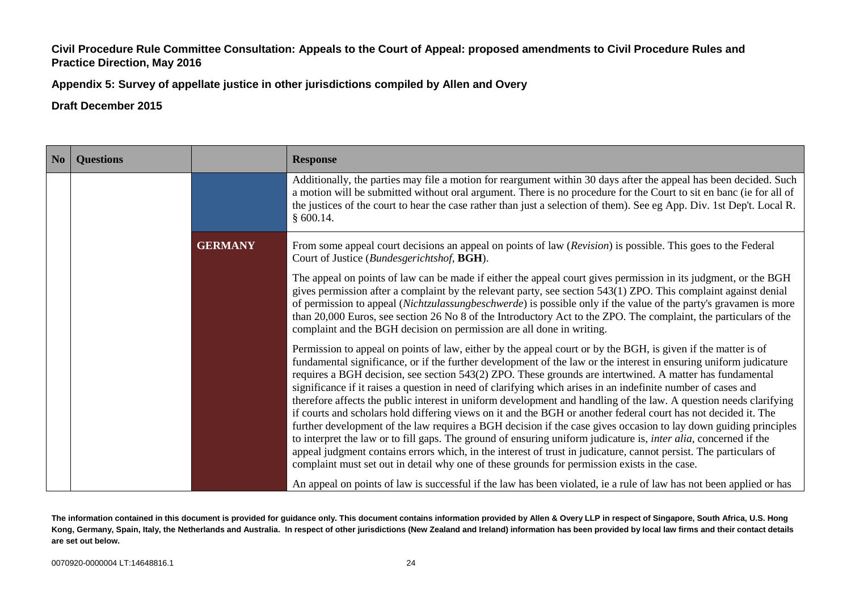**Appendix 5: Survey of appellate justice in other jurisdictions compiled by Allen and Overy**

| No | <b>Questions</b> |                | <b>Response</b>                                                                                                                                                                                                                                                                                                                                                                                                                                                                                                                                                                                                                                                                                                                                                                                                                                                                                                                                                                                                                                                                                                                                                                                                                                                                                   |
|----|------------------|----------------|---------------------------------------------------------------------------------------------------------------------------------------------------------------------------------------------------------------------------------------------------------------------------------------------------------------------------------------------------------------------------------------------------------------------------------------------------------------------------------------------------------------------------------------------------------------------------------------------------------------------------------------------------------------------------------------------------------------------------------------------------------------------------------------------------------------------------------------------------------------------------------------------------------------------------------------------------------------------------------------------------------------------------------------------------------------------------------------------------------------------------------------------------------------------------------------------------------------------------------------------------------------------------------------------------|
|    |                  |                | Additionally, the parties may file a motion for reargument within 30 days after the appeal has been decided. Such<br>a motion will be submitted without oral argument. There is no procedure for the Court to sit en banc (ie for all of<br>the justices of the court to hear the case rather than just a selection of them). See eg App. Div. 1st Dep't. Local R.<br>§ 600.14.                                                                                                                                                                                                                                                                                                                                                                                                                                                                                                                                                                                                                                                                                                                                                                                                                                                                                                                   |
|    |                  | <b>GERMANY</b> | From some appeal court decisions an appeal on points of law (Revision) is possible. This goes to the Federal<br>Court of Justice (Bundesgerichtshof, BGH).                                                                                                                                                                                                                                                                                                                                                                                                                                                                                                                                                                                                                                                                                                                                                                                                                                                                                                                                                                                                                                                                                                                                        |
|    |                  |                | The appeal on points of law can be made if either the appeal court gives permission in its judgment, or the BGH<br>gives permission after a complaint by the relevant party, see section $543(1)$ ZPO. This complaint against denial<br>of permission to appeal (Nichtzulassungbeschwerde) is possible only if the value of the party's gravamen is more<br>than 20,000 Euros, see section 26 No 8 of the Introductory Act to the ZPO. The complaint, the particulars of the<br>complaint and the BGH decision on permission are all done in writing.                                                                                                                                                                                                                                                                                                                                                                                                                                                                                                                                                                                                                                                                                                                                             |
|    |                  |                | Permission to appeal on points of law, either by the appeal court or by the BGH, is given if the matter is of<br>fundamental significance, or if the further development of the law or the interest in ensuring uniform judicature<br>requires a BGH decision, see section 543(2) ZPO. These grounds are intertwined. A matter has fundamental<br>significance if it raises a question in need of clarifying which arises in an indefinite number of cases and<br>therefore affects the public interest in uniform development and handling of the law. A question needs clarifying<br>if courts and scholars hold differing views on it and the BGH or another federal court has not decided it. The<br>further development of the law requires a BGH decision if the case gives occasion to lay down guiding principles<br>to interpret the law or to fill gaps. The ground of ensuring uniform judicature is, <i>inter alia</i> , concerned if the<br>appeal judgment contains errors which, in the interest of trust in judicature, cannot persist. The particulars of<br>complaint must set out in detail why one of these grounds for permission exists in the case.<br>An appeal on points of law is successful if the law has been violated, ie a rule of law has not been applied or has |

**The information contained in this document is provided for guidance only. This document contains information provided by Allen & Overy LLP in respect of Singapore, South Africa, U.S. Hong Kong, Germany, Spain, Italy, the Netherlands and Australia. In respect of other jurisdictions (New Zealand and Ireland) information has been provided by local law firms and their contact details are set out below.**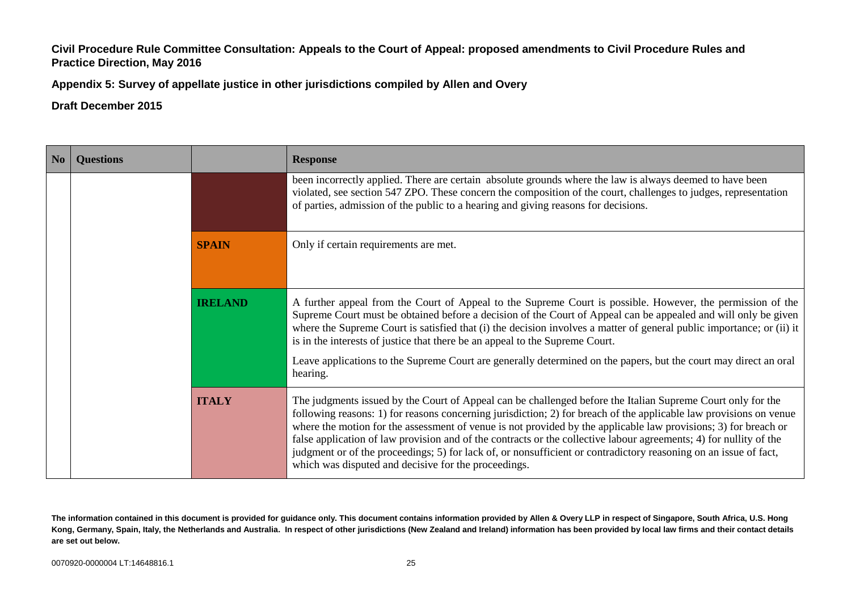**Appendix 5: Survey of appellate justice in other jurisdictions compiled by Allen and Overy**

## **Draft December 2015**

| N <sub>o</sub> | <b>Ouestions</b> |                                                                                                                  | <b>Response</b>                                                                                                                                                                                                                                                                                                                                                                                                                                                                                                                                                                                                                                        |
|----------------|------------------|------------------------------------------------------------------------------------------------------------------|--------------------------------------------------------------------------------------------------------------------------------------------------------------------------------------------------------------------------------------------------------------------------------------------------------------------------------------------------------------------------------------------------------------------------------------------------------------------------------------------------------------------------------------------------------------------------------------------------------------------------------------------------------|
|                |                  |                                                                                                                  | been incorrectly applied. There are certain absolute grounds where the law is always deemed to have been<br>violated, see section 547 ZPO. These concern the composition of the court, challenges to judges, representation<br>of parties, admission of the public to a hearing and giving reasons for decisions.                                                                                                                                                                                                                                                                                                                                      |
|                |                  | <b>SPAIN</b>                                                                                                     | Only if certain requirements are met.                                                                                                                                                                                                                                                                                                                                                                                                                                                                                                                                                                                                                  |
|                |                  | <b>IRELAND</b>                                                                                                   | A further appeal from the Court of Appeal to the Supreme Court is possible. However, the permission of the<br>Supreme Court must be obtained before a decision of the Court of Appeal can be appealed and will only be given<br>where the Supreme Court is satisfied that (i) the decision involves a matter of general public importance; or (ii) it<br>is in the interests of justice that there be an appeal to the Supreme Court.                                                                                                                                                                                                                  |
|                | hearing.         | Leave applications to the Supreme Court are generally determined on the papers, but the court may direct an oral |                                                                                                                                                                                                                                                                                                                                                                                                                                                                                                                                                                                                                                                        |
|                |                  | <b>ITALY</b>                                                                                                     | The judgments issued by the Court of Appeal can be challenged before the Italian Supreme Court only for the<br>following reasons: 1) for reasons concerning jurisdiction; 2) for breach of the applicable law provisions on venue<br>where the motion for the assessment of venue is not provided by the applicable law provisions; 3) for breach or<br>false application of law provision and of the contracts or the collective labour agreements; 4) for nullity of the<br>judgment or of the proceedings; 5) for lack of, or nonsufficient or contradictory reasoning on an issue of fact,<br>which was disputed and decisive for the proceedings. |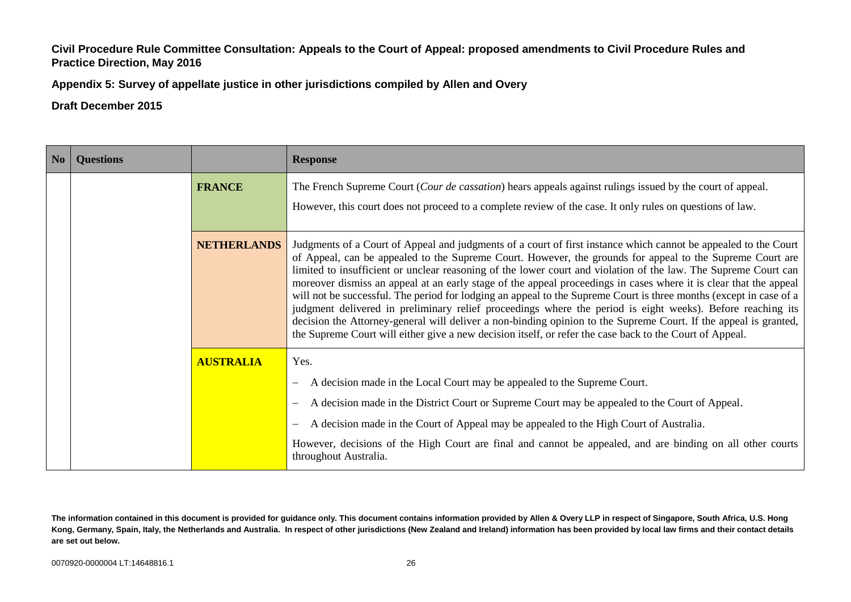**Appendix 5: Survey of appellate justice in other jurisdictions compiled by Allen and Overy**

**Draft December 2015**

| No | <b>Questions</b> |                    | <b>Response</b>                                                                                                                                                                                                                                                                                                                                                                                                                                                                                                                                                                                                                                                                                                                                                                                                                                                                                                                          |
|----|------------------|--------------------|------------------------------------------------------------------------------------------------------------------------------------------------------------------------------------------------------------------------------------------------------------------------------------------------------------------------------------------------------------------------------------------------------------------------------------------------------------------------------------------------------------------------------------------------------------------------------------------------------------------------------------------------------------------------------------------------------------------------------------------------------------------------------------------------------------------------------------------------------------------------------------------------------------------------------------------|
|    |                  | <b>FRANCE</b>      | The French Supreme Court (Cour de cassation) hears appeals against rulings issued by the court of appeal.                                                                                                                                                                                                                                                                                                                                                                                                                                                                                                                                                                                                                                                                                                                                                                                                                                |
|    |                  |                    | However, this court does not proceed to a complete review of the case. It only rules on questions of law.                                                                                                                                                                                                                                                                                                                                                                                                                                                                                                                                                                                                                                                                                                                                                                                                                                |
|    |                  | <b>NETHERLANDS</b> | Judgments of a Court of Appeal and judgments of a court of first instance which cannot be appealed to the Court<br>of Appeal, can be appealed to the Supreme Court. However, the grounds for appeal to the Supreme Court are<br>limited to insufficient or unclear reasoning of the lower court and violation of the law. The Supreme Court can<br>moreover dismiss an appeal at an early stage of the appeal proceedings in cases where it is clear that the appeal<br>will not be successful. The period for lodging an appeal to the Supreme Court is three months (except in case of a<br>judgment delivered in preliminary relief proceedings where the period is eight weeks). Before reaching its<br>decision the Attorney-general will deliver a non-binding opinion to the Supreme Court. If the appeal is granted,<br>the Supreme Court will either give a new decision itself, or refer the case back to the Court of Appeal. |
|    |                  | <b>AUSTRALIA</b>   | Yes.                                                                                                                                                                                                                                                                                                                                                                                                                                                                                                                                                                                                                                                                                                                                                                                                                                                                                                                                     |
|    |                  |                    | A decision made in the Local Court may be appealed to the Supreme Court.<br>$\overline{\phantom{m}}$                                                                                                                                                                                                                                                                                                                                                                                                                                                                                                                                                                                                                                                                                                                                                                                                                                     |
|    |                  |                    | A decision made in the District Court or Supreme Court may be appealed to the Court of Appeal.                                                                                                                                                                                                                                                                                                                                                                                                                                                                                                                                                                                                                                                                                                                                                                                                                                           |
|    |                  |                    | A decision made in the Court of Appeal may be appealed to the High Court of Australia.                                                                                                                                                                                                                                                                                                                                                                                                                                                                                                                                                                                                                                                                                                                                                                                                                                                   |
|    |                  |                    | However, decisions of the High Court are final and cannot be appealed, and are binding on all other courts<br>throughout Australia.                                                                                                                                                                                                                                                                                                                                                                                                                                                                                                                                                                                                                                                                                                                                                                                                      |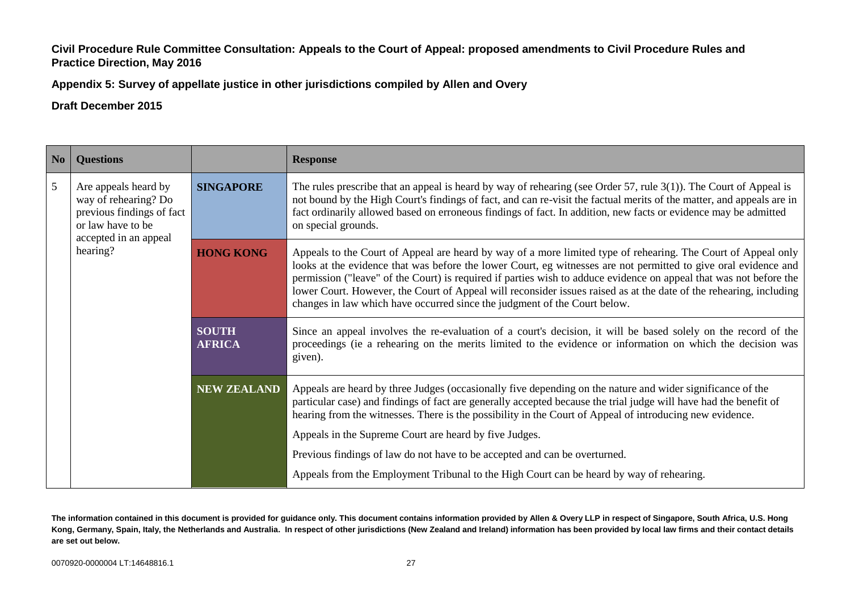**Appendix 5: Survey of appellate justice in other jurisdictions compiled by Allen and Overy**

# **Draft December 2015**

| N <sub>o</sub> | <b>Questions</b>                                                                                                                    |                               | <b>Response</b>                                                                                                                                                                                                                                                                                                                                                                                                                                                                                                                                           |
|----------------|-------------------------------------------------------------------------------------------------------------------------------------|-------------------------------|-----------------------------------------------------------------------------------------------------------------------------------------------------------------------------------------------------------------------------------------------------------------------------------------------------------------------------------------------------------------------------------------------------------------------------------------------------------------------------------------------------------------------------------------------------------|
| 5              | Are appeals heard by<br>way of rehearing? Do<br>previous findings of fact<br>or law have to be<br>accepted in an appeal<br>hearing? | <b>SINGAPORE</b>              | The rules prescribe that an appeal is heard by way of rehearing (see Order 57, rule $3(1)$ ). The Court of Appeal is<br>not bound by the High Court's findings of fact, and can re-visit the factual merits of the matter, and appeals are in<br>fact ordinarily allowed based on erroneous findings of fact. In addition, new facts or evidence may be admitted<br>on special grounds.                                                                                                                                                                   |
|                |                                                                                                                                     | <b>HONG KONG</b>              | Appeals to the Court of Appeal are heard by way of a more limited type of rehearing. The Court of Appeal only<br>looks at the evidence that was before the lower Court, eg witnesses are not permitted to give oral evidence and<br>permission ("leave" of the Court) is required if parties wish to adduce evidence on appeal that was not before the<br>lower Court. However, the Court of Appeal will reconsider issues raised as at the date of the rehearing, including<br>changes in law which have occurred since the judgment of the Court below. |
|                |                                                                                                                                     | <b>SOUTH</b><br><b>AFRICA</b> | Since an appeal involves the re-evaluation of a court's decision, it will be based solely on the record of the<br>proceedings (ie a rehearing on the merits limited to the evidence or information on which the decision was<br>given).                                                                                                                                                                                                                                                                                                                   |
|                |                                                                                                                                     | <b>NEW ZEALAND</b>            | Appeals are heard by three Judges (occasionally five depending on the nature and wider significance of the<br>particular case) and findings of fact are generally accepted because the trial judge will have had the benefit of<br>hearing from the witnesses. There is the possibility in the Court of Appeal of introducing new evidence.                                                                                                                                                                                                               |
|                |                                                                                                                                     |                               | Appeals in the Supreme Court are heard by five Judges.                                                                                                                                                                                                                                                                                                                                                                                                                                                                                                    |
|                |                                                                                                                                     |                               | Previous findings of law do not have to be accepted and can be overturned.                                                                                                                                                                                                                                                                                                                                                                                                                                                                                |
|                |                                                                                                                                     |                               | Appeals from the Employment Tribunal to the High Court can be heard by way of rehearing.                                                                                                                                                                                                                                                                                                                                                                                                                                                                  |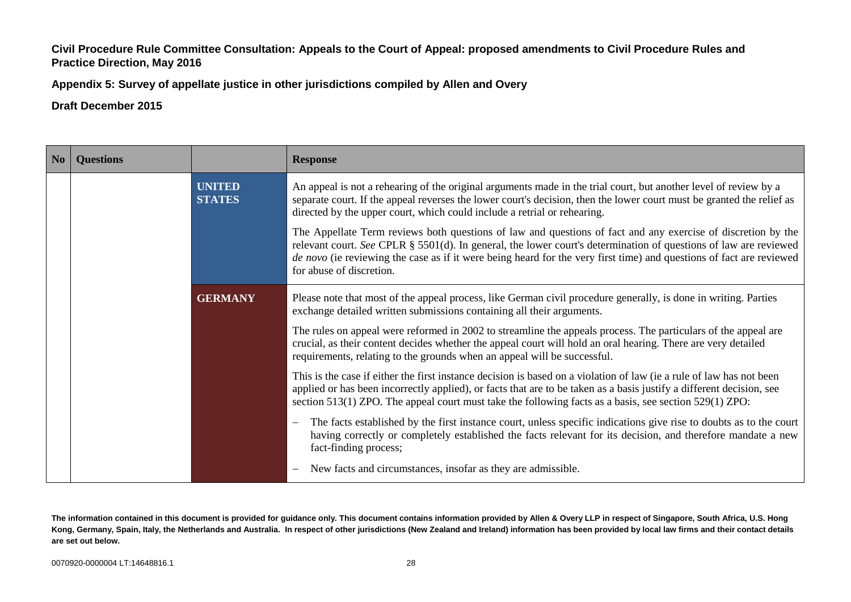**Appendix 5: Survey of appellate justice in other jurisdictions compiled by Allen and Overy**

**Draft December 2015**

| N <sub>0</sub> | <b>Questions</b> |                                | <b>Response</b>                                                                                                                                                                                                                                                                                                                                                                         |
|----------------|------------------|--------------------------------|-----------------------------------------------------------------------------------------------------------------------------------------------------------------------------------------------------------------------------------------------------------------------------------------------------------------------------------------------------------------------------------------|
|                |                  | <b>UNITED</b><br><b>STATES</b> | An appeal is not a rehearing of the original arguments made in the trial court, but another level of review by a<br>separate court. If the appeal reverses the lower court's decision, then the lower court must be granted the relief as<br>directed by the upper court, which could include a retrial or rehearing.                                                                   |
|                |                  |                                | The Appellate Term reviews both questions of law and questions of fact and any exercise of discretion by the<br>relevant court. See CPLR $\S$ 5501(d). In general, the lower court's determination of questions of law are reviewed<br>de novo (ie reviewing the case as if it were being heard for the very first time) and questions of fact are reviewed<br>for abuse of discretion. |
|                |                  | <b>GERMANY</b>                 | Please note that most of the appeal process, like German civil procedure generally, is done in writing. Parties<br>exchange detailed written submissions containing all their arguments.                                                                                                                                                                                                |
|                |                  |                                | The rules on appeal were reformed in 2002 to streamline the appeals process. The particulars of the appeal are<br>crucial, as their content decides whether the appeal court will hold an oral hearing. There are very detailed<br>requirements, relating to the grounds when an appeal will be successful.                                                                             |
|                |                  |                                | This is the case if either the first instance decision is based on a violation of law (ie a rule of law has not been<br>applied or has been incorrectly applied), or facts that are to be taken as a basis justify a different decision, see<br>section $513(1)$ ZPO. The appeal court must take the following facts as a basis, see section $529(1)$ ZPO:                              |
|                |                  |                                | The facts established by the first instance court, unless specific indications give rise to doubts as to the court<br>$\overline{\phantom{m}}$<br>having correctly or completely established the facts relevant for its decision, and therefore mandate a new<br>fact-finding process;                                                                                                  |
|                |                  |                                | New facts and circumstances, insofar as they are admissible.<br>$\overline{\phantom{m}}$                                                                                                                                                                                                                                                                                                |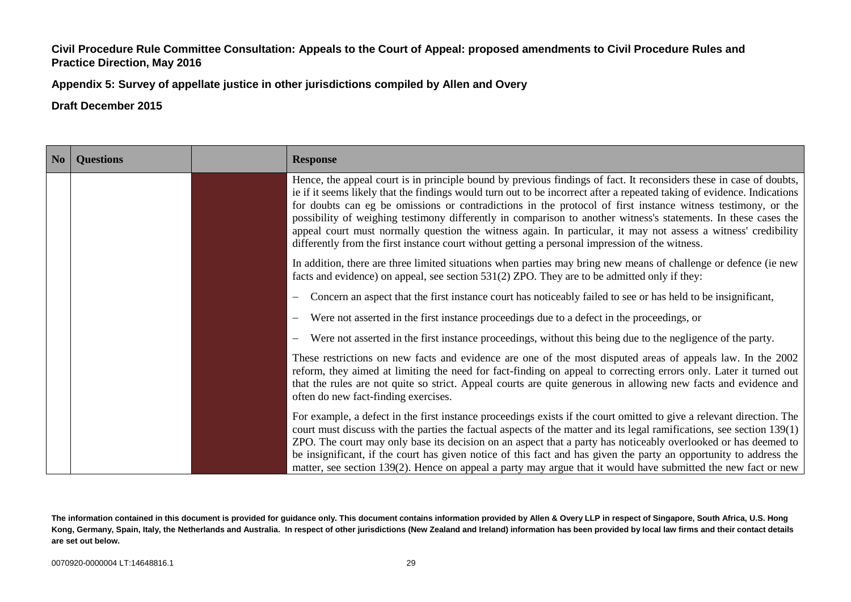**Appendix 5: Survey of appellate justice in other jurisdictions compiled by Allen and Overy**

| No | <b>Questions</b> | <b>Response</b>                                                                                                                                                                                                                                                                                                                                                                                                                                                                                                                                                                                                                                                                                        |
|----|------------------|--------------------------------------------------------------------------------------------------------------------------------------------------------------------------------------------------------------------------------------------------------------------------------------------------------------------------------------------------------------------------------------------------------------------------------------------------------------------------------------------------------------------------------------------------------------------------------------------------------------------------------------------------------------------------------------------------------|
|    |                  | Hence, the appeal court is in principle bound by previous findings of fact. It reconsiders these in case of doubts,<br>ie if it seems likely that the findings would turn out to be incorrect after a repeated taking of evidence. Indications<br>for doubts can eg be omissions or contradictions in the protocol of first instance witness testimony, or the<br>possibility of weighing testimony differently in comparison to another witness's statements. In these cases the<br>appeal court must normally question the witness again. In particular, it may not assess a witness' credibility<br>differently from the first instance court without getting a personal impression of the witness. |
|    |                  | In addition, there are three limited situations when parties may bring new means of challenge or defence (ie new<br>facts and evidence) on appeal, see section 531(2) ZPO. They are to be admitted only if they:                                                                                                                                                                                                                                                                                                                                                                                                                                                                                       |
|    |                  | Concern an aspect that the first instance court has noticeably failed to see or has held to be insignificant,<br>$\overline{\phantom{m}}$                                                                                                                                                                                                                                                                                                                                                                                                                                                                                                                                                              |
|    |                  | Were not asserted in the first instance proceedings due to a defect in the proceedings, or                                                                                                                                                                                                                                                                                                                                                                                                                                                                                                                                                                                                             |
|    |                  | Were not asserted in the first instance proceedings, without this being due to the negligence of the party.<br>$\overline{\phantom{m}}$                                                                                                                                                                                                                                                                                                                                                                                                                                                                                                                                                                |
|    |                  | These restrictions on new facts and evidence are one of the most disputed areas of appeals law. In the 2002<br>reform, they aimed at limiting the need for fact-finding on appeal to correcting errors only. Later it turned out<br>that the rules are not quite so strict. Appeal courts are quite generous in allowing new facts and evidence and<br>often do new fact-finding exercises.                                                                                                                                                                                                                                                                                                            |
|    |                  | For example, a defect in the first instance proceedings exists if the court omitted to give a relevant direction. The<br>court must discuss with the parties the factual aspects of the matter and its legal ramifications, see section 139(1)<br>ZPO. The court may only base its decision on an aspect that a party has noticeably overlooked or has deemed to<br>be insignificant, if the court has given notice of this fact and has given the party an opportunity to address the<br>matter, see section 139(2). Hence on appeal a party may argue that it would have submitted the new fact or new                                                                                               |

**The information contained in this document is provided for guidance only. This document contains information provided by Allen & Overy LLP in respect of Singapore, South Africa, U.S. Hong Kong, Germany, Spain, Italy, the Netherlands and Australia. In respect of other jurisdictions (New Zealand and Ireland) information has been provided by local law firms and their contact details are set out below.**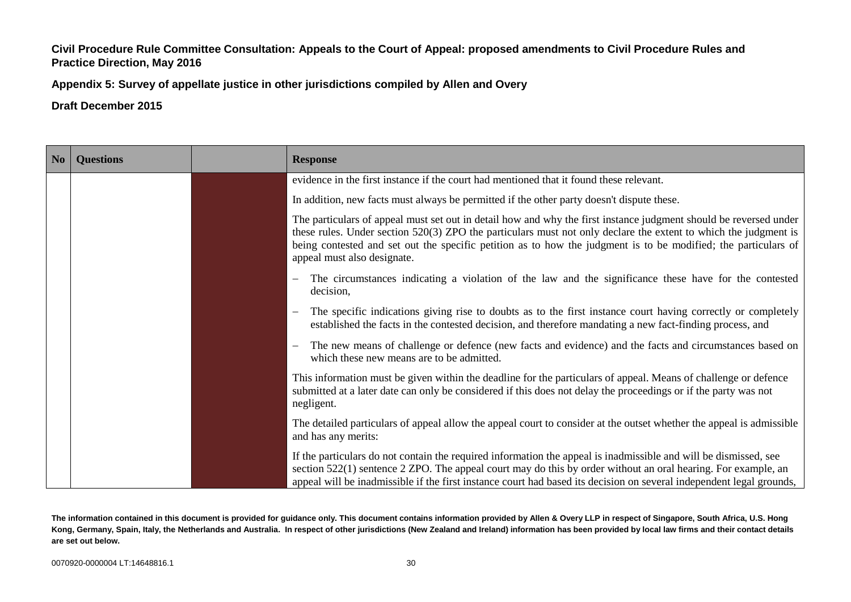**Appendix 5: Survey of appellate justice in other jurisdictions compiled by Allen and Overy**

**Draft December 2015**

| No | <b>Questions</b> | <b>Response</b>                                                                                                                                                                                                                                                                                                                                                                       |
|----|------------------|---------------------------------------------------------------------------------------------------------------------------------------------------------------------------------------------------------------------------------------------------------------------------------------------------------------------------------------------------------------------------------------|
|    |                  | evidence in the first instance if the court had mentioned that it found these relevant.                                                                                                                                                                                                                                                                                               |
|    |                  | In addition, new facts must always be permitted if the other party doesn't dispute these.                                                                                                                                                                                                                                                                                             |
|    |                  | The particulars of appeal must set out in detail how and why the first instance judgment should be reversed under<br>these rules. Under section 520(3) ZPO the particulars must not only declare the extent to which the judgment is<br>being contested and set out the specific petition as to how the judgment is to be modified; the particulars of<br>appeal must also designate. |
|    |                  | The circumstances indicating a violation of the law and the significance these have for the contested<br>decision,                                                                                                                                                                                                                                                                    |
|    |                  | The specific indications giving rise to doubts as to the first instance court having correctly or completely<br>established the facts in the contested decision, and therefore mandating a new fact-finding process, and                                                                                                                                                              |
|    |                  | The new means of challenge or defence (new facts and evidence) and the facts and circumstances based on<br>which these new means are to be admitted.                                                                                                                                                                                                                                  |
|    |                  | This information must be given within the deadline for the particulars of appeal. Means of challenge or defence<br>submitted at a later date can only be considered if this does not delay the proceedings or if the party was not<br>negligent.                                                                                                                                      |
|    |                  | The detailed particulars of appeal allow the appeal court to consider at the outset whether the appeal is admissible<br>and has any merits:                                                                                                                                                                                                                                           |
|    |                  | If the particulars do not contain the required information the appeal is inadmissible and will be dismissed, see<br>section $522(1)$ sentence $2$ ZPO. The appeal court may do this by order without an oral hearing. For example, an<br>appeal will be inadmissible if the first instance court had based its decision on several independent legal grounds,                         |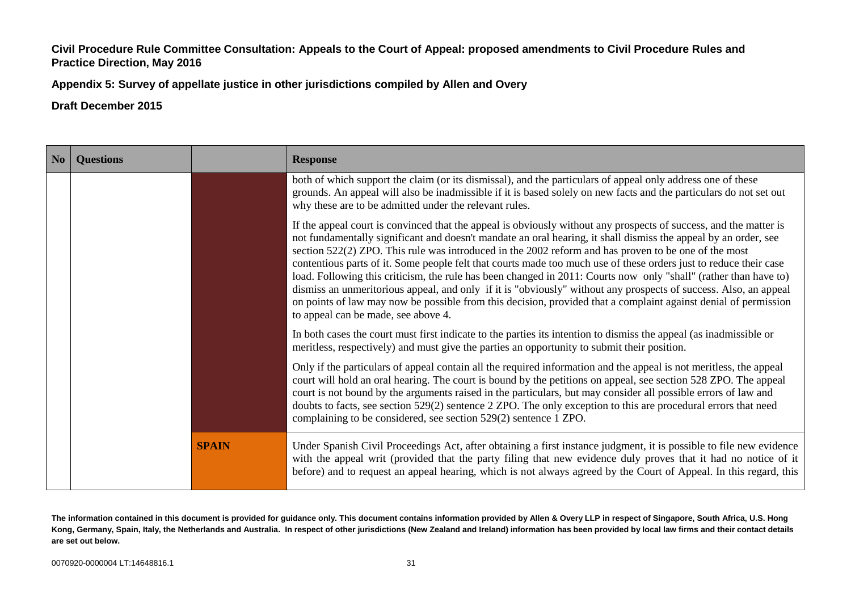**Appendix 5: Survey of appellate justice in other jurisdictions compiled by Allen and Overy**

**Draft December 2015**

| No | <b>Questions</b> |              | <b>Response</b>                                                                                                                                                                                                                                                                                                                                                                                                                                                                                                                                                                                                                                                                                                                                                                                                                                                     |
|----|------------------|--------------|---------------------------------------------------------------------------------------------------------------------------------------------------------------------------------------------------------------------------------------------------------------------------------------------------------------------------------------------------------------------------------------------------------------------------------------------------------------------------------------------------------------------------------------------------------------------------------------------------------------------------------------------------------------------------------------------------------------------------------------------------------------------------------------------------------------------------------------------------------------------|
|    |                  |              | both of which support the claim (or its dismissal), and the particulars of appeal only address one of these<br>grounds. An appeal will also be inadmissible if it is based solely on new facts and the particulars do not set out<br>why these are to be admitted under the relevant rules.                                                                                                                                                                                                                                                                                                                                                                                                                                                                                                                                                                         |
|    |                  |              | If the appeal court is convinced that the appeal is obviously without any prospects of success, and the matter is<br>not fundamentally significant and doesn't mandate an oral hearing, it shall dismiss the appeal by an order, see<br>section 522(2) ZPO. This rule was introduced in the 2002 reform and has proven to be one of the most<br>contentious parts of it. Some people felt that courts made too much use of these orders just to reduce their case<br>load. Following this criticism, the rule has been changed in 2011: Courts now only "shall" (rather than have to)<br>dismiss an unmeritorious appeal, and only if it is "obviously" without any prospects of success. Also, an appeal<br>on points of law may now be possible from this decision, provided that a complaint against denial of permission<br>to appeal can be made, see above 4. |
|    |                  |              | In both cases the court must first indicate to the parties its intention to dismiss the appeal (as inadmissible or<br>meritless, respectively) and must give the parties an opportunity to submit their position.                                                                                                                                                                                                                                                                                                                                                                                                                                                                                                                                                                                                                                                   |
|    |                  |              | Only if the particulars of appeal contain all the required information and the appeal is not meritless, the appeal<br>court will hold an oral hearing. The court is bound by the petitions on appeal, see section 528 ZPO. The appeal<br>court is not bound by the arguments raised in the particulars, but may consider all possible errors of law and<br>doubts to facts, see section 529(2) sentence 2 ZPO. The only exception to this are procedural errors that need<br>complaining to be considered, see section 529(2) sentence 1 ZPO.                                                                                                                                                                                                                                                                                                                       |
|    |                  | <b>SPAIN</b> | Under Spanish Civil Proceedings Act, after obtaining a first instance judgment, it is possible to file new evidence<br>with the appeal writ (provided that the party filing that new evidence duly proves that it had no notice of it<br>before) and to request an appeal hearing, which is not always agreed by the Court of Appeal. In this regard, this                                                                                                                                                                                                                                                                                                                                                                                                                                                                                                          |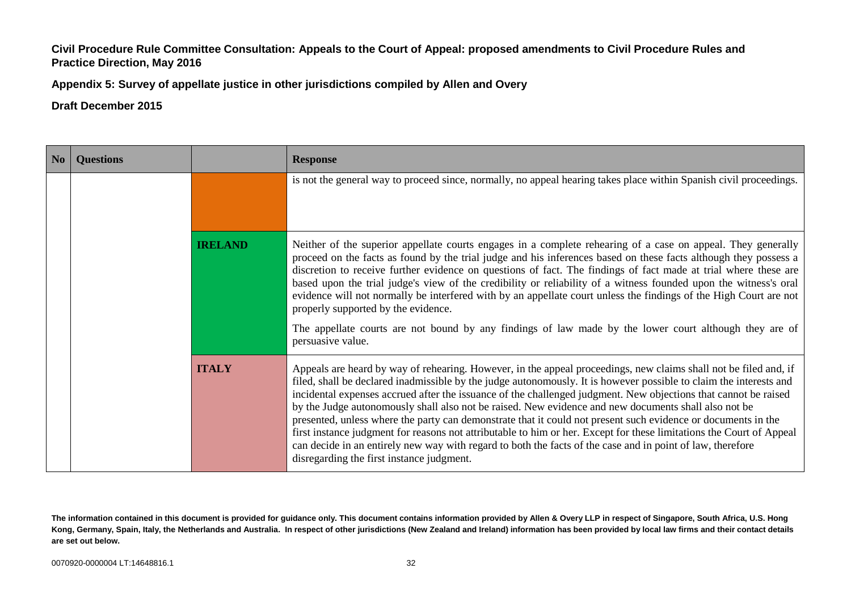**Appendix 5: Survey of appellate justice in other jurisdictions compiled by Allen and Overy**

| No | <b>Questions</b>                                                                                                   |                | <b>Response</b>                                                                                                                                                                                                                                                                                                                                                                                                                                                                                                                                                                                                                                                                                                                                                                                                                                                       |  |
|----|--------------------------------------------------------------------------------------------------------------------|----------------|-----------------------------------------------------------------------------------------------------------------------------------------------------------------------------------------------------------------------------------------------------------------------------------------------------------------------------------------------------------------------------------------------------------------------------------------------------------------------------------------------------------------------------------------------------------------------------------------------------------------------------------------------------------------------------------------------------------------------------------------------------------------------------------------------------------------------------------------------------------------------|--|
|    | is not the general way to proceed since, normally, no appeal hearing takes place within Spanish civil proceedings. |                |                                                                                                                                                                                                                                                                                                                                                                                                                                                                                                                                                                                                                                                                                                                                                                                                                                                                       |  |
|    |                                                                                                                    | <b>IRELAND</b> | Neither of the superior appellate courts engages in a complete rehearing of a case on appeal. They generally<br>proceed on the facts as found by the trial judge and his inferences based on these facts although they possess a<br>discretion to receive further evidence on questions of fact. The findings of fact made at trial where these are<br>based upon the trial judge's view of the credibility or reliability of a witness founded upon the witness's oral<br>evidence will not normally be interfered with by an appellate court unless the findings of the High Court are not<br>properly supported by the evidence.<br>The appellate courts are not bound by any findings of law made by the lower court although they are of<br>persuasive value.                                                                                                    |  |
|    |                                                                                                                    | <b>ITALY</b>   | Appeals are heard by way of rehearing. However, in the appeal proceedings, new claims shall not be filed and, if<br>filed, shall be declared inadmissible by the judge autonomously. It is however possible to claim the interests and<br>incidental expenses accrued after the issuance of the challenged judgment. New objections that cannot be raised<br>by the Judge autonomously shall also not be raised. New evidence and new documents shall also not be<br>presented, unless where the party can demonstrate that it could not present such evidence or documents in the<br>first instance judgment for reasons not attributable to him or her. Except for these limitations the Court of Appeal<br>can decide in an entirely new way with regard to both the facts of the case and in point of law, therefore<br>disregarding the first instance judgment. |  |

**The information contained in this document is provided for guidance only. This document contains information provided by Allen & Overy LLP in respect of Singapore, South Africa, U.S. Hong Kong, Germany, Spain, Italy, the Netherlands and Australia. In respect of other jurisdictions (New Zealand and Ireland) information has been provided by local law firms and their contact details are set out below.**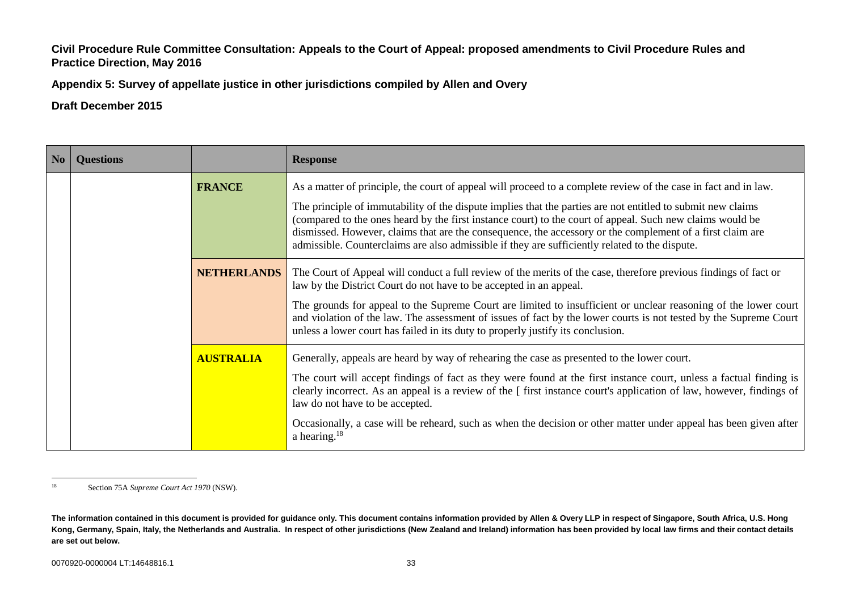**Appendix 5: Survey of appellate justice in other jurisdictions compiled by Allen and Overy**

| N <sub>o</sub> | <b>Questions</b> |                    | <b>Response</b>                                                                                                                                                                                                                                                                                                                                                                                                                         |
|----------------|------------------|--------------------|-----------------------------------------------------------------------------------------------------------------------------------------------------------------------------------------------------------------------------------------------------------------------------------------------------------------------------------------------------------------------------------------------------------------------------------------|
|                |                  | <b>FRANCE</b>      | As a matter of principle, the court of appeal will proceed to a complete review of the case in fact and in law.                                                                                                                                                                                                                                                                                                                         |
|                |                  |                    | The principle of immutability of the dispute implies that the parties are not entitled to submit new claims<br>(compared to the ones heard by the first instance court) to the court of appeal. Such new claims would be<br>dismissed. However, claims that are the consequence, the accessory or the complement of a first claim are<br>admissible. Counterclaims are also admissible if they are sufficiently related to the dispute. |
|                |                  | <b>NETHERLANDS</b> | The Court of Appeal will conduct a full review of the merits of the case, therefore previous findings of fact or<br>law by the District Court do not have to be accepted in an appeal.                                                                                                                                                                                                                                                  |
|                |                  |                    | The grounds for appeal to the Supreme Court are limited to insufficient or unclear reasoning of the lower court<br>and violation of the law. The assessment of issues of fact by the lower courts is not tested by the Supreme Court<br>unless a lower court has failed in its duty to properly justify its conclusion.                                                                                                                 |
|                |                  | <b>AUSTRALIA</b>   | Generally, appeals are heard by way of rehearing the case as presented to the lower court.                                                                                                                                                                                                                                                                                                                                              |
|                |                  |                    | The court will accept findings of fact as they were found at the first instance court, unless a factual finding is<br>clearly incorrect. As an appeal is a review of the [ first instance court's application of law, however, findings of<br>law do not have to be accepted.                                                                                                                                                           |
|                |                  |                    | Occasionally, a case will be reheard, such as when the decision or other matter under appeal has been given after<br>a hearing. $18$                                                                                                                                                                                                                                                                                                    |

<sup>18</sup> <sup>18</sup> Section 75A *Supreme Court Act 1970* (NSW).

**The information contained in this document is provided for guidance only. This document contains information provided by Allen & Overy LLP in respect of Singapore, South Africa, U.S. Hong Kong, Germany, Spain, Italy, the Netherlands and Australia. In respect of other jurisdictions (New Zealand and Ireland) information has been provided by local law firms and their contact details are set out below.**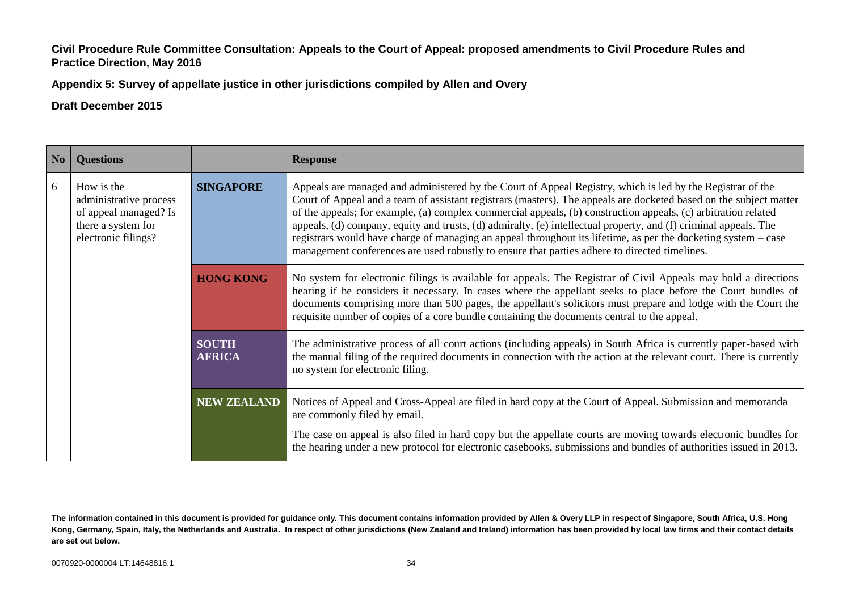**Appendix 5: Survey of appellate justice in other jurisdictions compiled by Allen and Overy**

| No | <b>Questions</b>                                                                                                                                                                                                        |                                                                                                                                                                                                                                                                                                                                                                                                                                                                                                                                                                                                                                                                                           | <b>Response</b>                                                                                                                                                                                                                                                                                                                                                                                                                                   |
|----|-------------------------------------------------------------------------------------------------------------------------------------------------------------------------------------------------------------------------|-------------------------------------------------------------------------------------------------------------------------------------------------------------------------------------------------------------------------------------------------------------------------------------------------------------------------------------------------------------------------------------------------------------------------------------------------------------------------------------------------------------------------------------------------------------------------------------------------------------------------------------------------------------------------------------------|---------------------------------------------------------------------------------------------------------------------------------------------------------------------------------------------------------------------------------------------------------------------------------------------------------------------------------------------------------------------------------------------------------------------------------------------------|
| 6  | How is the<br><b>SINGAPORE</b><br>administrative process<br>of appeal managed? Is<br>there a system for<br>electronic filings?<br><b>HONG KONG</b><br><b>SOUTH</b><br><b>AFRICA</b><br>no system for electronic filing. | Appeals are managed and administered by the Court of Appeal Registry, which is led by the Registrar of the<br>Court of Appeal and a team of assistant registrars (masters). The appeals are docketed based on the subject matter<br>of the appeals; for example, (a) complex commercial appeals, (b) construction appeals, (c) arbitration related<br>appeals, (d) company, equity and trusts, (d) admiralty, (e) intellectual property, and (f) criminal appeals. The<br>registrars would have charge of managing an appeal throughout its lifetime, as per the docketing system – case<br>management conferences are used robustly to ensure that parties adhere to directed timelines. |                                                                                                                                                                                                                                                                                                                                                                                                                                                   |
|    |                                                                                                                                                                                                                         |                                                                                                                                                                                                                                                                                                                                                                                                                                                                                                                                                                                                                                                                                           | No system for electronic filings is available for appeals. The Registrar of Civil Appeals may hold a directions<br>hearing if he considers it necessary. In cases where the appellant seeks to place before the Court bundles of<br>documents comprising more than 500 pages, the appellant's solicitors must prepare and lodge with the Court the<br>requisite number of copies of a core bundle containing the documents central to the appeal. |
|    |                                                                                                                                                                                                                         |                                                                                                                                                                                                                                                                                                                                                                                                                                                                                                                                                                                                                                                                                           | The administrative process of all court actions (including appeals) in South Africa is currently paper-based with<br>the manual filing of the required documents in connection with the action at the relevant court. There is currently                                                                                                                                                                                                          |
|    |                                                                                                                                                                                                                         | <b>NEW ZEALAND</b>                                                                                                                                                                                                                                                                                                                                                                                                                                                                                                                                                                                                                                                                        | Notices of Appeal and Cross-Appeal are filed in hard copy at the Court of Appeal. Submission and memoranda<br>are commonly filed by email.                                                                                                                                                                                                                                                                                                        |
|    |                                                                                                                                                                                                                         |                                                                                                                                                                                                                                                                                                                                                                                                                                                                                                                                                                                                                                                                                           | The case on appeal is also filed in hard copy but the appellate courts are moving towards electronic bundles for<br>the hearing under a new protocol for electronic casebooks, submissions and bundles of authorities issued in 2013.                                                                                                                                                                                                             |

**The information contained in this document is provided for guidance only. This document contains information provided by Allen & Overy LLP in respect of Singapore, South Africa, U.S. Hong Kong, Germany, Spain, Italy, the Netherlands and Australia. In respect of other jurisdictions (New Zealand and Ireland) information has been provided by local law firms and their contact details are set out below.**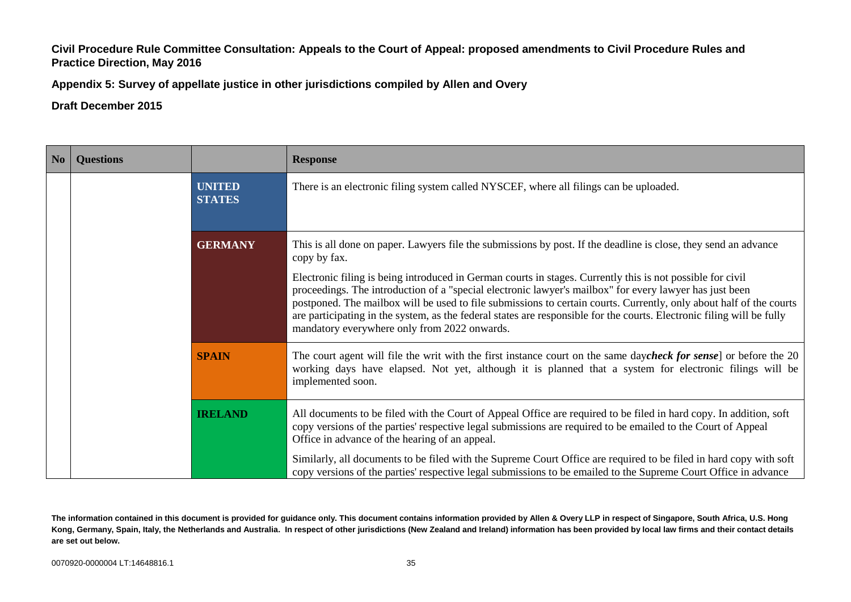**Appendix 5: Survey of appellate justice in other jurisdictions compiled by Allen and Overy**

**Draft December 2015**

| No | <b>Questions</b> |                                | <b>Response</b>                                                                                                                                                                                                                                                                                                                                                                                                                                                                                                        |
|----|------------------|--------------------------------|------------------------------------------------------------------------------------------------------------------------------------------------------------------------------------------------------------------------------------------------------------------------------------------------------------------------------------------------------------------------------------------------------------------------------------------------------------------------------------------------------------------------|
|    |                  | <b>UNITED</b><br><b>STATES</b> | There is an electronic filing system called NYSCEF, where all filings can be uploaded.                                                                                                                                                                                                                                                                                                                                                                                                                                 |
|    |                  | <b>GERMANY</b>                 | This is all done on paper. Lawyers file the submissions by post. If the deadline is close, they send an advance<br>copy by fax.                                                                                                                                                                                                                                                                                                                                                                                        |
|    |                  |                                | Electronic filing is being introduced in German courts in stages. Currently this is not possible for civil<br>proceedings. The introduction of a "special electronic lawyer's mailbox" for every lawyer has just been<br>postponed. The mailbox will be used to file submissions to certain courts. Currently, only about half of the courts<br>are participating in the system, as the federal states are responsible for the courts. Electronic filing will be fully<br>mandatory everywhere only from 2022 onwards. |
|    |                  | <b>SPAIN</b>                   | The court agent will file the writ with the first instance court on the same daycheck for sense] or before the 20<br>working days have elapsed. Not yet, although it is planned that a system for electronic filings will be<br>implemented soon.                                                                                                                                                                                                                                                                      |
|    |                  | <b>IRELAND</b>                 | All documents to be filed with the Court of Appeal Office are required to be filed in hard copy. In addition, soft<br>copy versions of the parties' respective legal submissions are required to be emailed to the Court of Appeal<br>Office in advance of the hearing of an appeal.                                                                                                                                                                                                                                   |
|    |                  |                                | Similarly, all documents to be filed with the Supreme Court Office are required to be filed in hard copy with soft<br>copy versions of the parties' respective legal submissions to be emailed to the Supreme Court Office in advance                                                                                                                                                                                                                                                                                  |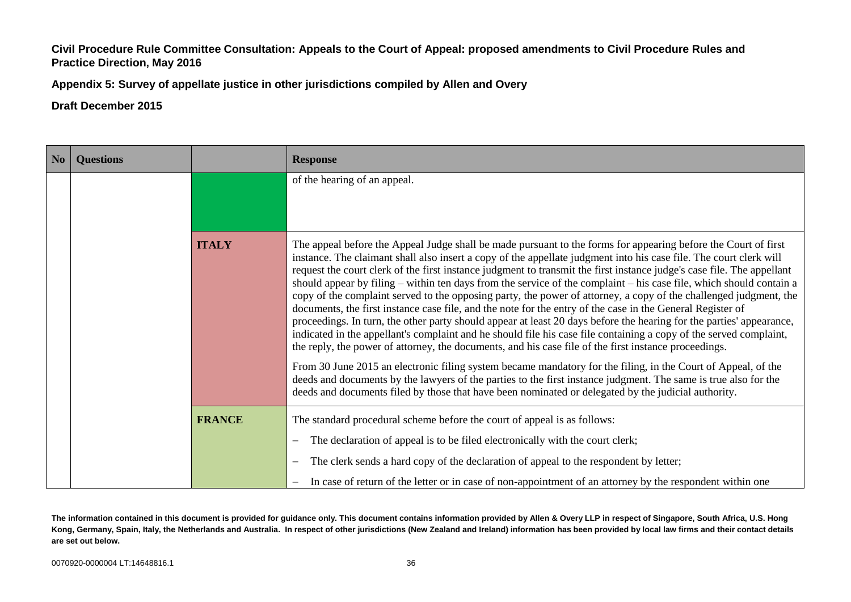**Appendix 5: Survey of appellate justice in other jurisdictions compiled by Allen and Overy**

**Draft December 2015**

| N <sub>o</sub> | <b>Questions</b> |               | <b>Response</b>                                                                                                                                                                                                                                                                                                                                                                                                                                                                                                                                                                                                                                                                                                                                                                                                                                                                                                                                                                                                                                                                                                                                                                                                                                                                                                                                                                                                            |
|----------------|------------------|---------------|----------------------------------------------------------------------------------------------------------------------------------------------------------------------------------------------------------------------------------------------------------------------------------------------------------------------------------------------------------------------------------------------------------------------------------------------------------------------------------------------------------------------------------------------------------------------------------------------------------------------------------------------------------------------------------------------------------------------------------------------------------------------------------------------------------------------------------------------------------------------------------------------------------------------------------------------------------------------------------------------------------------------------------------------------------------------------------------------------------------------------------------------------------------------------------------------------------------------------------------------------------------------------------------------------------------------------------------------------------------------------------------------------------------------------|
|                |                  |               | of the hearing of an appeal.                                                                                                                                                                                                                                                                                                                                                                                                                                                                                                                                                                                                                                                                                                                                                                                                                                                                                                                                                                                                                                                                                                                                                                                                                                                                                                                                                                                               |
|                |                  | <b>ITALY</b>  | The appeal before the Appeal Judge shall be made pursuant to the forms for appearing before the Court of first<br>instance. The claimant shall also insert a copy of the appellate judgment into his case file. The court clerk will<br>request the court clerk of the first instance judgment to transmit the first instance judge's case file. The appellant<br>should appear by filing – within ten days from the service of the complaint – his case file, which should contain a<br>copy of the complaint served to the opposing party, the power of attorney, a copy of the challenged judgment, the<br>documents, the first instance case file, and the note for the entry of the case in the General Register of<br>proceedings. In turn, the other party should appear at least 20 days before the hearing for the parties' appearance,<br>indicated in the appellant's complaint and he should file his case file containing a copy of the served complaint,<br>the reply, the power of attorney, the documents, and his case file of the first instance proceedings.<br>From 30 June 2015 an electronic filing system became mandatory for the filing, in the Court of Appeal, of the<br>deeds and documents by the lawyers of the parties to the first instance judgment. The same is true also for the<br>deeds and documents filed by those that have been nominated or delegated by the judicial authority. |
|                |                  | <b>FRANCE</b> | The standard procedural scheme before the court of appeal is as follows:                                                                                                                                                                                                                                                                                                                                                                                                                                                                                                                                                                                                                                                                                                                                                                                                                                                                                                                                                                                                                                                                                                                                                                                                                                                                                                                                                   |
|                |                  |               | The declaration of appeal is to be filed electronically with the court clerk;<br>The clerk sends a hard copy of the declaration of appeal to the respondent by letter;<br>$\qquad \qquad -$                                                                                                                                                                                                                                                                                                                                                                                                                                                                                                                                                                                                                                                                                                                                                                                                                                                                                                                                                                                                                                                                                                                                                                                                                                |
|                |                  |               | In case of return of the letter or in case of non-appointment of an attorney by the respondent within one                                                                                                                                                                                                                                                                                                                                                                                                                                                                                                                                                                                                                                                                                                                                                                                                                                                                                                                                                                                                                                                                                                                                                                                                                                                                                                                  |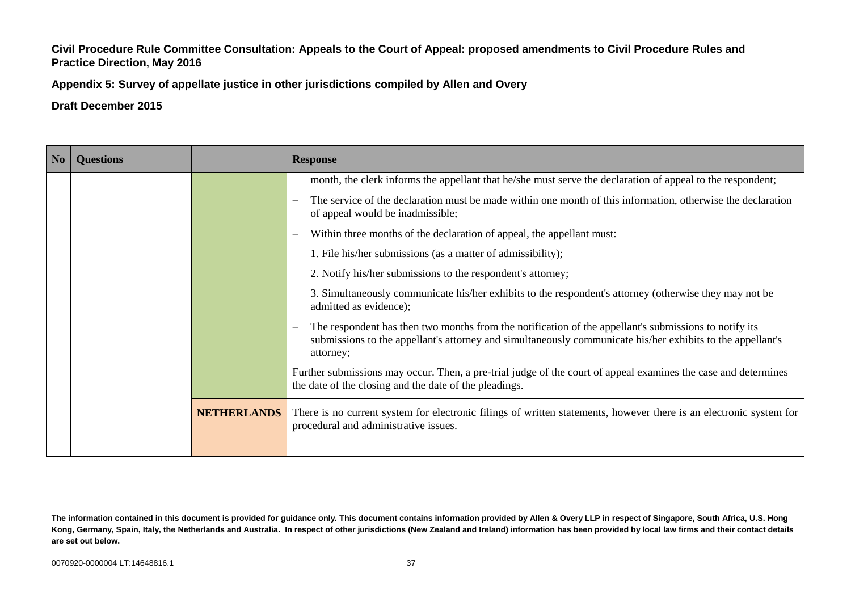**Appendix 5: Survey of appellate justice in other jurisdictions compiled by Allen and Overy**

| N <sub>0</sub> | <b>Questions</b> |                    | <b>Response</b>                                                                                                                                                                                                                  |
|----------------|------------------|--------------------|----------------------------------------------------------------------------------------------------------------------------------------------------------------------------------------------------------------------------------|
|                |                  |                    | month, the clerk informs the appellant that he/she must serve the declaration of appeal to the respondent;                                                                                                                       |
|                |                  |                    | The service of the declaration must be made within one month of this information, otherwise the declaration<br>of appeal would be inadmissible;                                                                                  |
|                |                  |                    | Within three months of the declaration of appeal, the appellant must:                                                                                                                                                            |
|                |                  |                    | 1. File his/her submissions (as a matter of admissibility);                                                                                                                                                                      |
|                |                  |                    | 2. Notify his/her submissions to the respondent's attorney;                                                                                                                                                                      |
|                |                  |                    | 3. Simultaneously communicate his/her exhibits to the respondent's attorney (otherwise they may not be<br>admitted as evidence);                                                                                                 |
|                |                  |                    | The respondent has then two months from the notification of the appellant's submissions to notify its<br>submissions to the appellant's attorney and simultaneously communicate his/her exhibits to the appellant's<br>attorney; |
|                |                  |                    | Further submissions may occur. Then, a pre-trial judge of the court of appeal examines the case and determines<br>the date of the closing and the date of the pleadings.                                                         |
|                |                  | <b>NETHERLANDS</b> | There is no current system for electronic filings of written statements, however there is an electronic system for<br>procedural and administrative issues.                                                                      |

**The information contained in this document is provided for guidance only. This document contains information provided by Allen & Overy LLP in respect of Singapore, South Africa, U.S. Hong Kong, Germany, Spain, Italy, the Netherlands and Australia. In respect of other jurisdictions (New Zealand and Ireland) information has been provided by local law firms and their contact details are set out below.**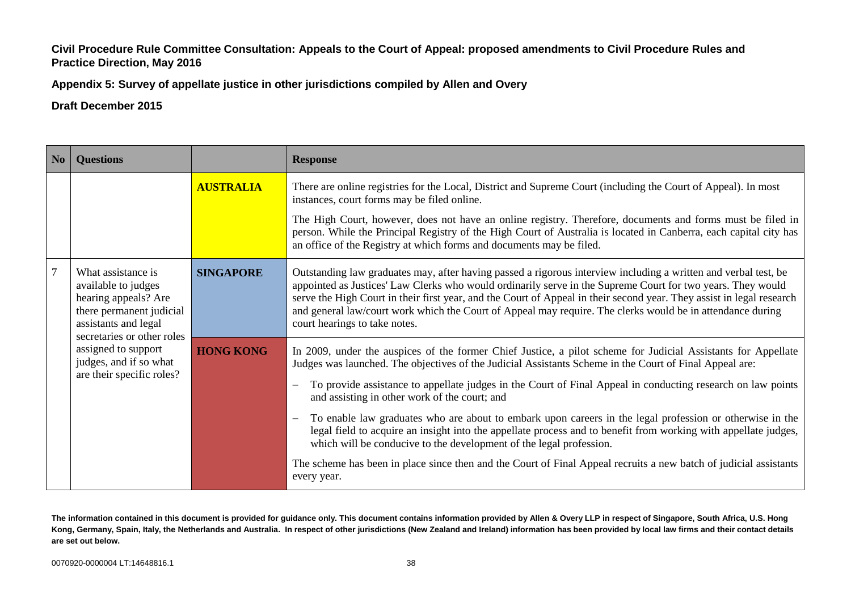**Appendix 5: Survey of appellate justice in other jurisdictions compiled by Allen and Overy**

### **Draft December 2015**

| $\overline{\phantom{a}}$ No | <b>Ouestions</b>                                                                                                      |                  | <b>Response</b>                                                                                                                                                                                                                                                                                                                                                                                                                                                                                                                                                                                                                                                                                                                                                                                                                                                |
|-----------------------------|-----------------------------------------------------------------------------------------------------------------------|------------------|----------------------------------------------------------------------------------------------------------------------------------------------------------------------------------------------------------------------------------------------------------------------------------------------------------------------------------------------------------------------------------------------------------------------------------------------------------------------------------------------------------------------------------------------------------------------------------------------------------------------------------------------------------------------------------------------------------------------------------------------------------------------------------------------------------------------------------------------------------------|
|                             |                                                                                                                       | <b>AUSTRALIA</b> | There are online registries for the Local, District and Supreme Court (including the Court of Appeal). In most<br>instances, court forms may be filed online.                                                                                                                                                                                                                                                                                                                                                                                                                                                                                                                                                                                                                                                                                                  |
|                             |                                                                                                                       |                  | The High Court, however, does not have an online registry. Therefore, documents and forms must be filed in<br>person. While the Principal Registry of the High Court of Australia is located in Canberra, each capital city has<br>an office of the Registry at which forms and documents may be filed.                                                                                                                                                                                                                                                                                                                                                                                                                                                                                                                                                        |
| $\overline{7}$              | What assistance is<br>available to judges<br>hearing appeals? Are<br>there permanent judicial<br>assistants and legal | <b>SINGAPORE</b> | Outstanding law graduates may, after having passed a rigorous interview including a written and verbal test, be<br>appointed as Justices' Law Clerks who would ordinarily serve in the Supreme Court for two years. They would<br>serve the High Court in their first year, and the Court of Appeal in their second year. They assist in legal research<br>and general law/court work which the Court of Appeal may require. The clerks would be in attendance during<br>court hearings to take notes.                                                                                                                                                                                                                                                                                                                                                         |
|                             | secretaries or other roles<br>assigned to support<br>judges, and if so what<br>are their specific roles?              | <b>HONG KONG</b> | In 2009, under the auspices of the former Chief Justice, a pilot scheme for Judicial Assistants for Appellate<br>Judges was launched. The objectives of the Judicial Assistants Scheme in the Court of Final Appeal are:<br>To provide assistance to appellate judges in the Court of Final Appeal in conducting research on law points<br>and assisting in other work of the court; and<br>To enable law graduates who are about to embark upon careers in the legal profession or otherwise in the<br>$\overline{\phantom{m}}$<br>legal field to acquire an insight into the appellate process and to benefit from working with appellate judges,<br>which will be conducive to the development of the legal profession.<br>The scheme has been in place since then and the Court of Final Appeal recruits a new batch of judicial assistants<br>every year. |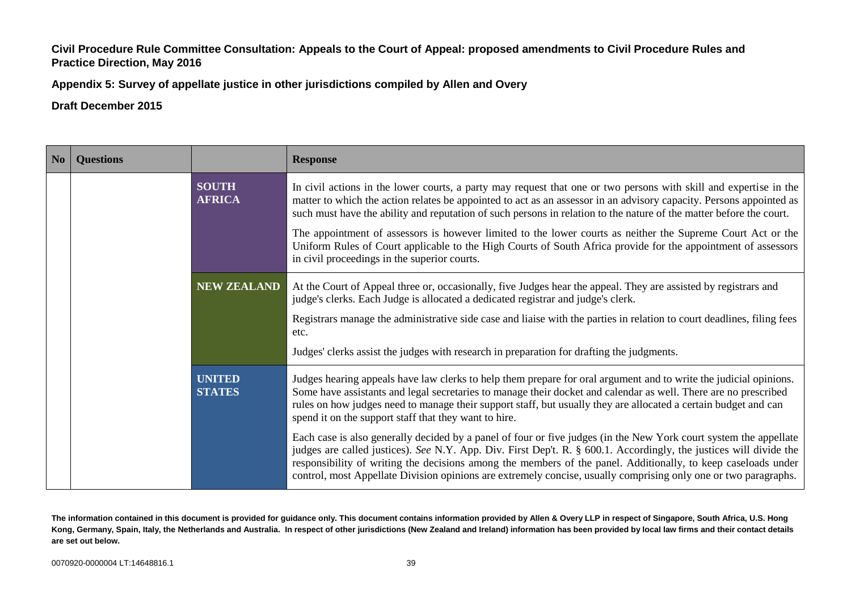**Appendix 5: Survey of appellate justice in other jurisdictions compiled by Allen and Overy**

**Draft December 2015**

| No | <b>Questions</b> |                                | <b>Response</b>                                                                                                                                                                                                                                                                                                                                                                                                                                                             |
|----|------------------|--------------------------------|-----------------------------------------------------------------------------------------------------------------------------------------------------------------------------------------------------------------------------------------------------------------------------------------------------------------------------------------------------------------------------------------------------------------------------------------------------------------------------|
|    |                  | <b>SOUTH</b><br><b>AFRICA</b>  | In civil actions in the lower courts, a party may request that one or two persons with skill and expertise in the<br>matter to which the action relates be appointed to act as an assessor in an advisory capacity. Persons appointed as<br>such must have the ability and reputation of such persons in relation to the nature of the matter before the court.                                                                                                             |
|    |                  |                                | The appointment of assessors is however limited to the lower courts as neither the Supreme Court Act or the<br>Uniform Rules of Court applicable to the High Courts of South Africa provide for the appointment of assessors<br>in civil proceedings in the superior courts.                                                                                                                                                                                                |
|    |                  | <b>NEW ZEALAND</b>             | At the Court of Appeal three or, occasionally, five Judges hear the appeal. They are assisted by registrars and<br>judge's clerks. Each Judge is allocated a dedicated registrar and judge's clerk.                                                                                                                                                                                                                                                                         |
|    |                  |                                | Registrars manage the administrative side case and liaise with the parties in relation to court deadlines, filing fees<br>etc.                                                                                                                                                                                                                                                                                                                                              |
|    |                  |                                | Judges' clerks assist the judges with research in preparation for drafting the judgments.                                                                                                                                                                                                                                                                                                                                                                                   |
|    |                  | <b>UNITED</b><br><b>STATES</b> | Judges hearing appeals have law clerks to help them prepare for oral argument and to write the judicial opinions.<br>Some have assistants and legal secretaries to manage their docket and calendar as well. There are no prescribed<br>rules on how judges need to manage their support staff, but usually they are allocated a certain budget and can<br>spend it on the support staff that they want to hire.                                                            |
|    |                  |                                | Each case is also generally decided by a panel of four or five judges (in the New York court system the appellate<br>judges are called justices). See N.Y. App. Div. First Dep't. R. § 600.1. Accordingly, the justices will divide the<br>responsibility of writing the decisions among the members of the panel. Additionally, to keep caseloads under<br>control, most Appellate Division opinions are extremely concise, usually comprising only one or two paragraphs. |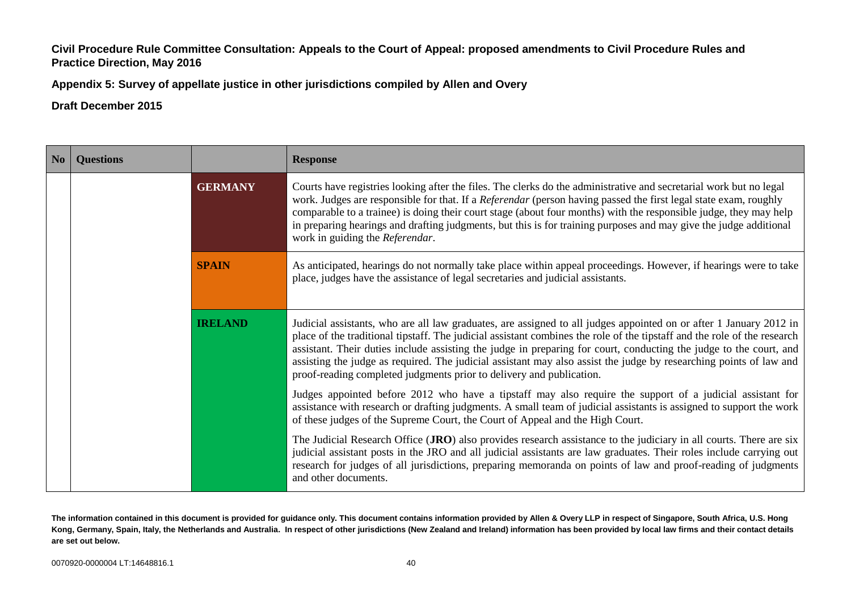**Appendix 5: Survey of appellate justice in other jurisdictions compiled by Allen and Overy**

**Draft December 2015**

| N <sub>0</sub> | <b>Questions</b> |                | <b>Response</b>                                                                                                                                                                                                                                                                                                                                                                                                                                                                                                                                                    |
|----------------|------------------|----------------|--------------------------------------------------------------------------------------------------------------------------------------------------------------------------------------------------------------------------------------------------------------------------------------------------------------------------------------------------------------------------------------------------------------------------------------------------------------------------------------------------------------------------------------------------------------------|
|                |                  | <b>GERMANY</b> | Courts have registries looking after the files. The clerks do the administrative and secretarial work but no legal<br>work. Judges are responsible for that. If a Referendar (person having passed the first legal state exam, roughly<br>comparable to a trainee) is doing their court stage (about four months) with the responsible judge, they may help<br>in preparing hearings and drafting judgments, but this is for training purposes and may give the judge additional<br>work in guiding the Referendar.                                                |
|                |                  | <b>SPAIN</b>   | As anticipated, hearings do not normally take place within appeal proceedings. However, if hearings were to take<br>place, judges have the assistance of legal secretaries and judicial assistants.                                                                                                                                                                                                                                                                                                                                                                |
|                |                  | <b>IRELAND</b> | Judicial assistants, who are all law graduates, are assigned to all judges appointed on or after 1 January 2012 in<br>place of the traditional tipstaff. The judicial assistant combines the role of the tipstaff and the role of the research<br>assistant. Their duties include assisting the judge in preparing for court, conducting the judge to the court, and<br>assisting the judge as required. The judicial assistant may also assist the judge by researching points of law and<br>proof-reading completed judgments prior to delivery and publication. |
|                |                  |                | Judges appointed before 2012 who have a tipstaff may also require the support of a judicial assistant for<br>assistance with research or drafting judgments. A small team of judicial assistants is assigned to support the work<br>of these judges of the Supreme Court, the Court of Appeal and the High Court.                                                                                                                                                                                                                                                  |
|                |                  |                | The Judicial Research Office (JRO) also provides research assistance to the judiciary in all courts. There are six<br>judicial assistant posts in the JRO and all judicial assistants are law graduates. Their roles include carrying out<br>research for judges of all jurisdictions, preparing memoranda on points of law and proof-reading of judgments<br>and other documents.                                                                                                                                                                                 |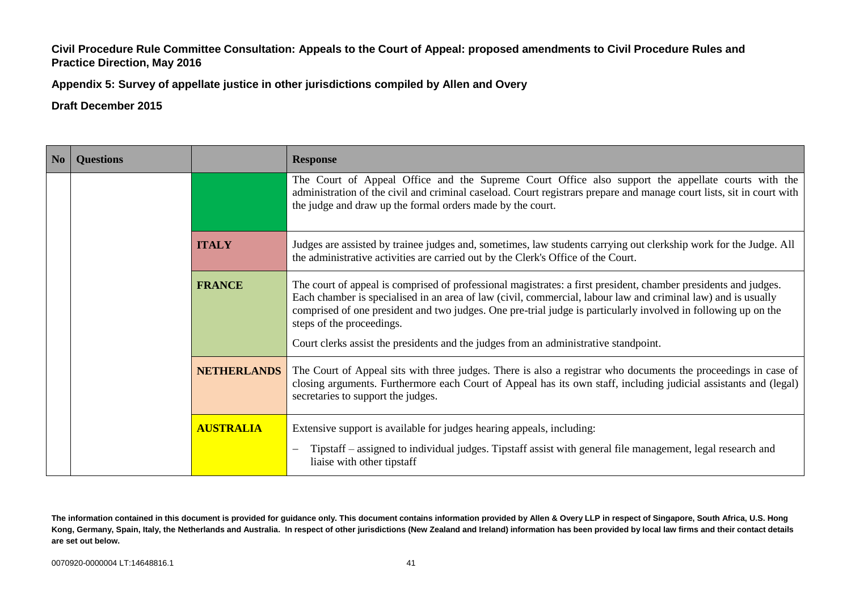**Appendix 5: Survey of appellate justice in other jurisdictions compiled by Allen and Overy**

**Draft December 2015**

| No | <b>Questions</b> |                    | <b>Response</b>                                                                                                                                                                                                                                                                                                                                                                 |
|----|------------------|--------------------|---------------------------------------------------------------------------------------------------------------------------------------------------------------------------------------------------------------------------------------------------------------------------------------------------------------------------------------------------------------------------------|
|    |                  |                    | The Court of Appeal Office and the Supreme Court Office also support the appellate courts with the<br>administration of the civil and criminal caseload. Court registrars prepare and manage court lists, sit in court with<br>the judge and draw up the formal orders made by the court.                                                                                       |
|    |                  | <b>ITALY</b>       | Judges are assisted by trainee judges and, sometimes, law students carrying out clerkship work for the Judge. All<br>the administrative activities are carried out by the Clerk's Office of the Court.                                                                                                                                                                          |
|    |                  | <b>FRANCE</b>      | The court of appeal is comprised of professional magistrates: a first president, chamber presidents and judges.<br>Each chamber is specialised in an area of law (civil, commercial, labour law and criminal law) and is usually<br>comprised of one president and two judges. One pre-trial judge is particularly involved in following up on the<br>steps of the proceedings. |
|    |                  |                    | Court clerks assist the presidents and the judges from an administrative standpoint.                                                                                                                                                                                                                                                                                            |
|    |                  | <b>NETHERLANDS</b> | The Court of Appeal sits with three judges. There is also a registrar who documents the proceedings in case of<br>closing arguments. Furthermore each Court of Appeal has its own staff, including judicial assistants and (legal)<br>secretaries to support the judges.                                                                                                        |
|    |                  | <b>AUSTRALIA</b>   | Extensive support is available for judges hearing appeals, including:                                                                                                                                                                                                                                                                                                           |
|    |                  |                    | Tipstaff – assigned to individual judges. Tipstaff assist with general file management, legal research and<br>liaise with other tipstaff                                                                                                                                                                                                                                        |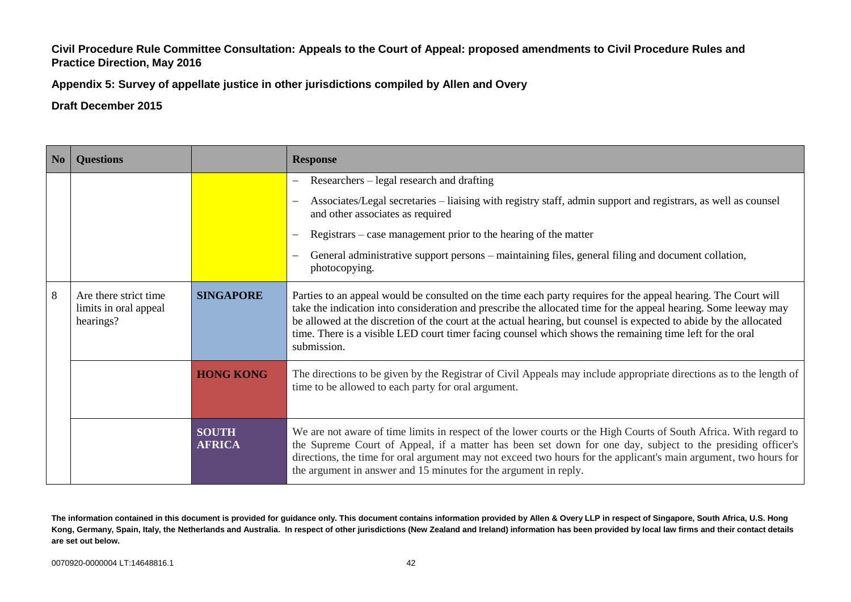**Appendix 5: Survey of appellate justice in other jurisdictions compiled by Allen and Overy**

# **Draft December 2015**

| N <sub>0</sub> | <b>Questions</b>                                            |                               | <b>Response</b>                                                                                                                                                                                                                                                                                                                                                                                                                                                                    |
|----------------|-------------------------------------------------------------|-------------------------------|------------------------------------------------------------------------------------------------------------------------------------------------------------------------------------------------------------------------------------------------------------------------------------------------------------------------------------------------------------------------------------------------------------------------------------------------------------------------------------|
|                |                                                             |                               | Researchers – legal research and drafting<br>$\overline{\phantom{0}}$                                                                                                                                                                                                                                                                                                                                                                                                              |
|                |                                                             |                               | Associates/Legal secretaries – liaising with registry staff, admin support and registrars, as well as counsel<br>and other associates as required                                                                                                                                                                                                                                                                                                                                  |
|                |                                                             |                               | Registrars – case management prior to the hearing of the matter                                                                                                                                                                                                                                                                                                                                                                                                                    |
|                |                                                             |                               | General administrative support persons - maintaining files, general filing and document collation,<br>photocopying.                                                                                                                                                                                                                                                                                                                                                                |
| 8              | Are there strict time<br>limits in oral appeal<br>hearings? | <b>SINGAPORE</b>              | Parties to an appeal would be consulted on the time each party requires for the appeal hearing. The Court will<br>take the indication into consideration and prescribe the allocated time for the appeal hearing. Some leeway may<br>be allowed at the discretion of the court at the actual hearing, but counsel is expected to abide by the allocated<br>time. There is a visible LED court timer facing counsel which shows the remaining time left for the oral<br>submission. |
|                |                                                             | <b>HONG KONG</b>              | The directions to be given by the Registrar of Civil Appeals may include appropriate directions as to the length of<br>time to be allowed to each party for oral argument.                                                                                                                                                                                                                                                                                                         |
|                |                                                             | <b>SOUTH</b><br><b>AFRICA</b> | We are not aware of time limits in respect of the lower courts or the High Courts of South Africa. With regard to<br>the Supreme Court of Appeal, if a matter has been set down for one day, subject to the presiding officer's<br>directions, the time for oral argument may not exceed two hours for the applicant's main argument, two hours for<br>the argument in answer and 15 minutes for the argument in reply.                                                            |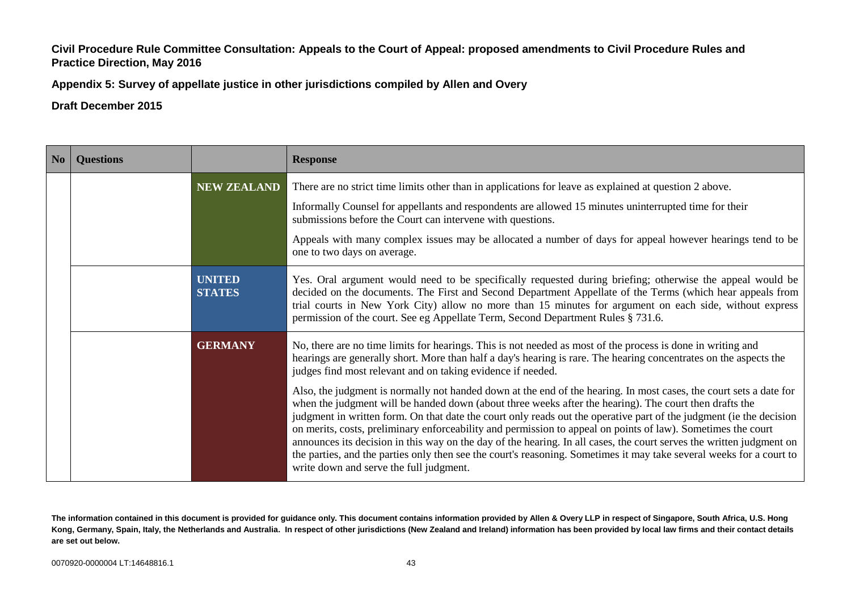**Appendix 5: Survey of appellate justice in other jurisdictions compiled by Allen and Overy**

**Draft December 2015**

| No | <b>Questions</b> |                                | <b>Response</b>                                                                                                                                                                                                                                                                                                                                                                                                                                                                                                                                                                                                                                                                                                                                                |
|----|------------------|--------------------------------|----------------------------------------------------------------------------------------------------------------------------------------------------------------------------------------------------------------------------------------------------------------------------------------------------------------------------------------------------------------------------------------------------------------------------------------------------------------------------------------------------------------------------------------------------------------------------------------------------------------------------------------------------------------------------------------------------------------------------------------------------------------|
|    |                  | <b>NEW ZEALAND</b>             | There are no strict time limits other than in applications for leave as explained at question 2 above.                                                                                                                                                                                                                                                                                                                                                                                                                                                                                                                                                                                                                                                         |
|    |                  |                                | Informally Counsel for appellants and respondents are allowed 15 minutes uninterrupted time for their<br>submissions before the Court can intervene with questions.                                                                                                                                                                                                                                                                                                                                                                                                                                                                                                                                                                                            |
|    |                  |                                | Appeals with many complex issues may be allocated a number of days for appeal however hearings tend to be<br>one to two days on average.                                                                                                                                                                                                                                                                                                                                                                                                                                                                                                                                                                                                                       |
|    |                  | <b>UNITED</b><br><b>STATES</b> | Yes. Oral argument would need to be specifically requested during briefing; otherwise the appeal would be<br>decided on the documents. The First and Second Department Appellate of the Terms (which hear appeals from<br>trial courts in New York City) allow no more than 15 minutes for argument on each side, without express<br>permission of the court. See eg Appellate Term, Second Department Rules § 731.6.                                                                                                                                                                                                                                                                                                                                          |
|    |                  | <b>GERMANY</b>                 | No, there are no time limits for hearings. This is not needed as most of the process is done in writing and<br>hearings are generally short. More than half a day's hearing is rare. The hearing concentrates on the aspects the<br>judges find most relevant and on taking evidence if needed.                                                                                                                                                                                                                                                                                                                                                                                                                                                                |
|    |                  |                                | Also, the judgment is normally not handed down at the end of the hearing. In most cases, the court sets a date for<br>when the judgment will be handed down (about three weeks after the hearing). The court then drafts the<br>judgment in written form. On that date the court only reads out the operative part of the judgment (ie the decision<br>on merits, costs, preliminary enforceability and permission to appeal on points of law). Sometimes the court<br>announces its decision in this way on the day of the hearing. In all cases, the court serves the written judgment on<br>the parties, and the parties only then see the court's reasoning. Sometimes it may take several weeks for a court to<br>write down and serve the full judgment. |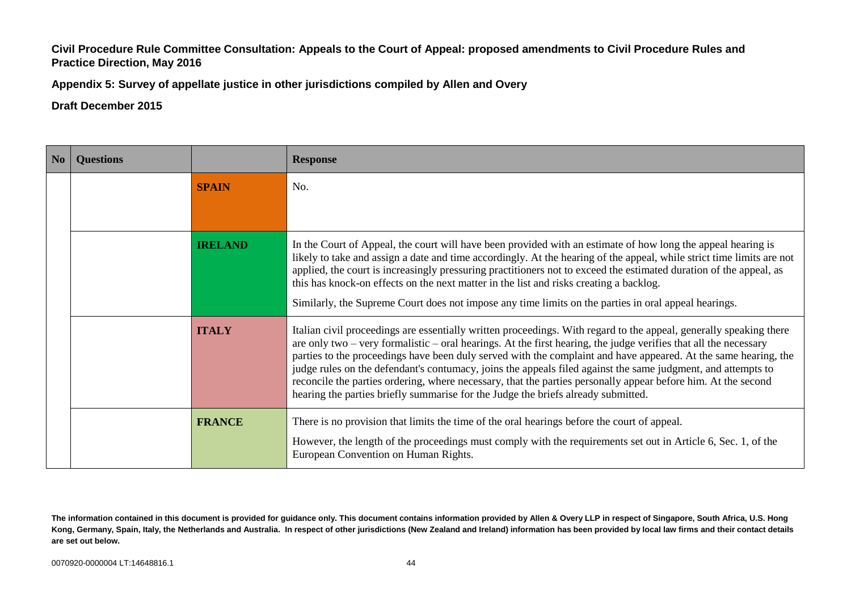**Appendix 5: Survey of appellate justice in other jurisdictions compiled by Allen and Overy**

| No | <b>Questions</b> |                | <b>Response</b>                                                                                                                                                                                                                                                                                                                                                                                                                                                                                                                                                                                                                                                                 |
|----|------------------|----------------|---------------------------------------------------------------------------------------------------------------------------------------------------------------------------------------------------------------------------------------------------------------------------------------------------------------------------------------------------------------------------------------------------------------------------------------------------------------------------------------------------------------------------------------------------------------------------------------------------------------------------------------------------------------------------------|
|    |                  | <b>SPAIN</b>   | No.                                                                                                                                                                                                                                                                                                                                                                                                                                                                                                                                                                                                                                                                             |
|    |                  |                |                                                                                                                                                                                                                                                                                                                                                                                                                                                                                                                                                                                                                                                                                 |
|    |                  | <b>IRELAND</b> | In the Court of Appeal, the court will have been provided with an estimate of how long the appeal hearing is<br>likely to take and assign a date and time accordingly. At the hearing of the appeal, while strict time limits are not<br>applied, the court is increasingly pressuring practitioners not to exceed the estimated duration of the appeal, as<br>this has knock-on effects on the next matter in the list and risks creating a backlog.                                                                                                                                                                                                                           |
|    |                  |                | Similarly, the Supreme Court does not impose any time limits on the parties in oral appeal hearings.                                                                                                                                                                                                                                                                                                                                                                                                                                                                                                                                                                            |
|    |                  | <b>ITALY</b>   | Italian civil proceedings are essentially written proceedings. With regard to the appeal, generally speaking there<br>are only two – very formalistic – oral hearings. At the first hearing, the judge verifies that all the necessary<br>parties to the proceedings have been duly served with the complaint and have appeared. At the same hearing, the<br>judge rules on the defendant's contumacy, joins the appeals filed against the same judgment, and attempts to<br>reconcile the parties ordering, where necessary, that the parties personally appear before him. At the second<br>hearing the parties briefly summarise for the Judge the briefs already submitted. |
|    |                  | <b>FRANCE</b>  | There is no provision that limits the time of the oral hearings before the court of appeal.<br>However, the length of the proceedings must comply with the requirements set out in Article 6, Sec. 1, of the<br>European Convention on Human Rights.                                                                                                                                                                                                                                                                                                                                                                                                                            |

**The information contained in this document is provided for guidance only. This document contains information provided by Allen & Overy LLP in respect of Singapore, South Africa, U.S. Hong Kong, Germany, Spain, Italy, the Netherlands and Australia. In respect of other jurisdictions (New Zealand and Ireland) information has been provided by local law firms and their contact details are set out below.**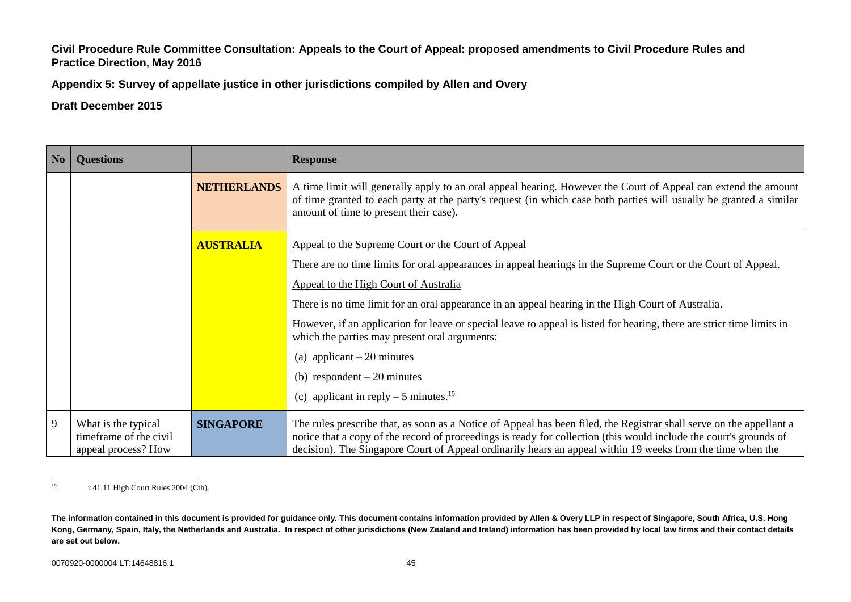**Appendix 5: Survey of appellate justice in other jurisdictions compiled by Allen and Overy**

| No | <b>Questions</b>                                                     |                    | <b>Response</b>                                                                                                                                                                                                                                                                                                                                          |
|----|----------------------------------------------------------------------|--------------------|----------------------------------------------------------------------------------------------------------------------------------------------------------------------------------------------------------------------------------------------------------------------------------------------------------------------------------------------------------|
|    |                                                                      | <b>NETHERLANDS</b> | A time limit will generally apply to an oral appeal hearing. However the Court of Appeal can extend the amount<br>of time granted to each party at the party's request (in which case both parties will usually be granted a similar<br>amount of time to present their case).                                                                           |
|    |                                                                      | <b>AUSTRALIA</b>   | Appeal to the Supreme Court or the Court of Appeal                                                                                                                                                                                                                                                                                                       |
|    |                                                                      |                    | There are no time limits for oral appearances in appeal hearings in the Supreme Court or the Court of Appeal.                                                                                                                                                                                                                                            |
|    |                                                                      |                    | Appeal to the High Court of Australia                                                                                                                                                                                                                                                                                                                    |
|    |                                                                      |                    | There is no time limit for an oral appearance in an appeal hearing in the High Court of Australia.                                                                                                                                                                                                                                                       |
|    |                                                                      |                    | However, if an application for leave or special leave to appeal is listed for hearing, there are strict time limits in<br>which the parties may present oral arguments:                                                                                                                                                                                  |
|    |                                                                      |                    | (a) applicant $-20$ minutes                                                                                                                                                                                                                                                                                                                              |
|    |                                                                      |                    | (b) respondent $-20$ minutes                                                                                                                                                                                                                                                                                                                             |
|    |                                                                      |                    | (c) applicant in reply $-5$ minutes. <sup>19</sup>                                                                                                                                                                                                                                                                                                       |
| 9  | What is the typical<br>timeframe of the civil<br>appeal process? How | <b>SINGAPORE</b>   | The rules prescribe that, as soon as a Notice of Appeal has been filed, the Registrar shall serve on the appellant a<br>notice that a copy of the record of proceedings is ready for collection (this would include the court's grounds of<br>decision). The Singapore Court of Appeal ordinarily hears an appeal within 19 weeks from the time when the |

 $19$ r 41.11 High Court Rules 2004 (Cth).

**The information contained in this document is provided for guidance only. This document contains information provided by Allen & Overy LLP in respect of Singapore, South Africa, U.S. Hong Kong, Germany, Spain, Italy, the Netherlands and Australia. In respect of other jurisdictions (New Zealand and Ireland) information has been provided by local law firms and their contact details are set out below.**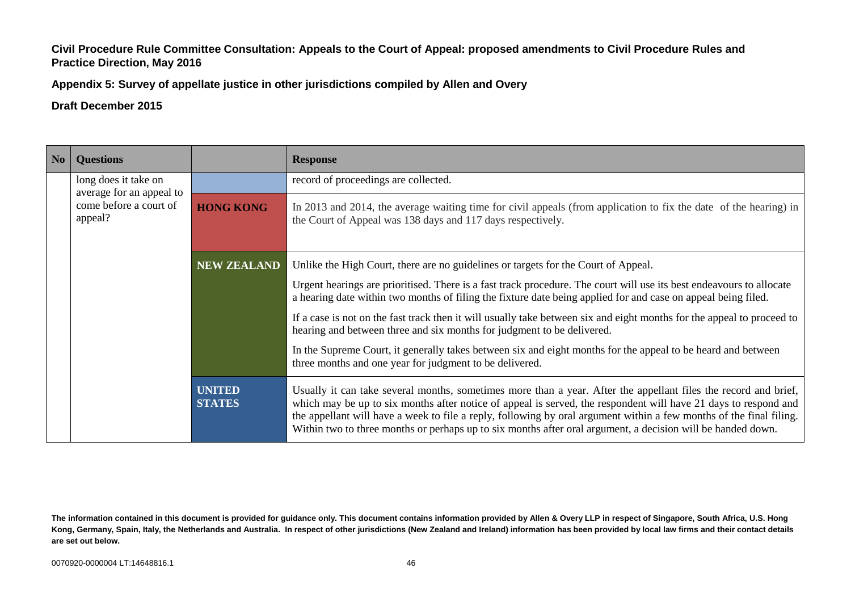**Appendix 5: Survey of appellate justice in other jurisdictions compiled by Allen and Overy**

| No | <b>Questions</b>                                                                      |                                | <b>Response</b>                                                                                                                                                                                                                                                                                                                                                                                                                                                          |
|----|---------------------------------------------------------------------------------------|--------------------------------|--------------------------------------------------------------------------------------------------------------------------------------------------------------------------------------------------------------------------------------------------------------------------------------------------------------------------------------------------------------------------------------------------------------------------------------------------------------------------|
|    | long does it take on<br>average for an appeal to<br>come before a court of<br>appeal? |                                | record of proceedings are collected.                                                                                                                                                                                                                                                                                                                                                                                                                                     |
|    |                                                                                       | <b>HONG KONG</b>               | In 2013 and 2014, the average waiting time for civil appeals (from application to fix the date of the hearing) in<br>the Court of Appeal was 138 days and 117 days respectively.                                                                                                                                                                                                                                                                                         |
|    |                                                                                       | <b>NEW ZEALAND</b>             | Unlike the High Court, there are no guidelines or targets for the Court of Appeal.                                                                                                                                                                                                                                                                                                                                                                                       |
|    |                                                                                       |                                | Urgent hearings are prioritised. There is a fast track procedure. The court will use its best endeavours to allocate<br>a hearing date within two months of filing the fixture date being applied for and case on appeal being filed.                                                                                                                                                                                                                                    |
|    |                                                                                       |                                | If a case is not on the fast track then it will usually take between six and eight months for the appeal to proceed to<br>hearing and between three and six months for judgment to be delivered.                                                                                                                                                                                                                                                                         |
|    |                                                                                       |                                | In the Supreme Court, it generally takes between six and eight months for the appeal to be heard and between<br>three months and one year for judgment to be delivered.                                                                                                                                                                                                                                                                                                  |
|    |                                                                                       | <b>UNITED</b><br><b>STATES</b> | Usually it can take several months, sometimes more than a year. After the appellant files the record and brief,<br>which may be up to six months after notice of appeal is served, the respondent will have 21 days to respond and<br>the appellant will have a week to file a reply, following by oral argument within a few months of the final filing.<br>Within two to three months or perhaps up to six months after oral argument, a decision will be handed down. |

**The information contained in this document is provided for guidance only. This document contains information provided by Allen & Overy LLP in respect of Singapore, South Africa, U.S. Hong Kong, Germany, Spain, Italy, the Netherlands and Australia. In respect of other jurisdictions (New Zealand and Ireland) information has been provided by local law firms and their contact details are set out below.**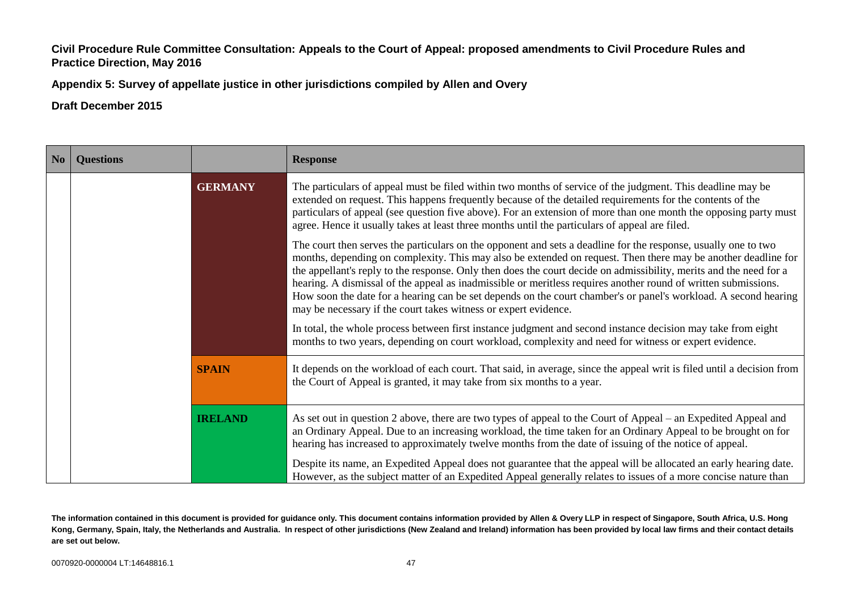**Appendix 5: Survey of appellate justice in other jurisdictions compiled by Allen and Overy**

**Draft December 2015**

| No | <b>Questions</b> |                | <b>Response</b>                                                                                                                                                                                                                                                                                                                                                                                                                                                                                                                                                                                                                                               |
|----|------------------|----------------|---------------------------------------------------------------------------------------------------------------------------------------------------------------------------------------------------------------------------------------------------------------------------------------------------------------------------------------------------------------------------------------------------------------------------------------------------------------------------------------------------------------------------------------------------------------------------------------------------------------------------------------------------------------|
|    |                  | <b>GERMANY</b> | The particulars of appeal must be filed within two months of service of the judgment. This deadline may be<br>extended on request. This happens frequently because of the detailed requirements for the contents of the<br>particulars of appeal (see question five above). For an extension of more than one month the opposing party must<br>agree. Hence it usually takes at least three months until the particulars of appeal are filed.                                                                                                                                                                                                                 |
|    |                  |                | The court then serves the particulars on the opponent and sets a deadline for the response, usually one to two<br>months, depending on complexity. This may also be extended on request. Then there may be another deadline for<br>the appellant's reply to the response. Only then does the court decide on admissibility, merits and the need for a<br>hearing. A dismissal of the appeal as inadmissible or meritless requires another round of written submissions.<br>How soon the date for a hearing can be set depends on the court chamber's or panel's workload. A second hearing<br>may be necessary if the court takes witness or expert evidence. |
|    |                  |                | In total, the whole process between first instance judgment and second instance decision may take from eight<br>months to two years, depending on court workload, complexity and need for witness or expert evidence.                                                                                                                                                                                                                                                                                                                                                                                                                                         |
|    |                  | <b>SPAIN</b>   | It depends on the workload of each court. That said, in average, since the appeal writ is filed until a decision from<br>the Court of Appeal is granted, it may take from six months to a year.                                                                                                                                                                                                                                                                                                                                                                                                                                                               |
|    |                  | <b>IRELAND</b> | As set out in question 2 above, there are two types of appeal to the Court of Appeal – an Expedited Appeal and<br>an Ordinary Appeal. Due to an increasing workload, the time taken for an Ordinary Appeal to be brought on for<br>hearing has increased to approximately twelve months from the date of issuing of the notice of appeal.                                                                                                                                                                                                                                                                                                                     |
|    |                  |                | Despite its name, an Expedited Appeal does not guarantee that the appeal will be allocated an early hearing date.<br>However, as the subject matter of an Expedited Appeal generally relates to issues of a more concise nature than                                                                                                                                                                                                                                                                                                                                                                                                                          |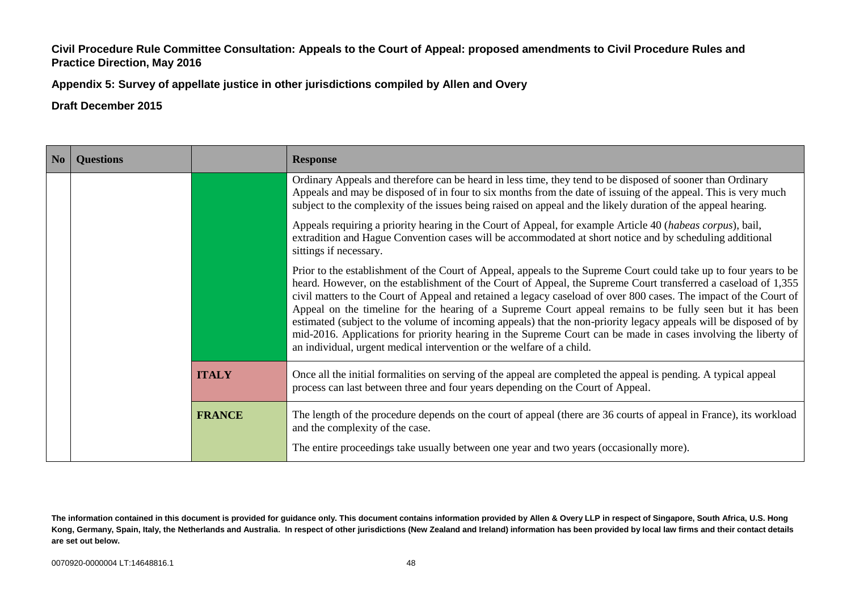**Appendix 5: Survey of appellate justice in other jurisdictions compiled by Allen and Overy**

| N <sub>o</sub> | <b>Questions</b> |               | <b>Response</b>                                                                                                                                                                                                                                                                                                                                                                                                                                                                                                                                                                                                                                                                                                                                                                       |
|----------------|------------------|---------------|---------------------------------------------------------------------------------------------------------------------------------------------------------------------------------------------------------------------------------------------------------------------------------------------------------------------------------------------------------------------------------------------------------------------------------------------------------------------------------------------------------------------------------------------------------------------------------------------------------------------------------------------------------------------------------------------------------------------------------------------------------------------------------------|
|                |                  |               | Ordinary Appeals and therefore can be heard in less time, they tend to be disposed of sooner than Ordinary<br>Appeals and may be disposed of in four to six months from the date of issuing of the appeal. This is very much<br>subject to the complexity of the issues being raised on appeal and the likely duration of the appeal hearing.                                                                                                                                                                                                                                                                                                                                                                                                                                         |
|                |                  |               | Appeals requiring a priority hearing in the Court of Appeal, for example Article 40 (habeas corpus), bail,<br>extradition and Hague Convention cases will be accommodated at short notice and by scheduling additional<br>sittings if necessary.                                                                                                                                                                                                                                                                                                                                                                                                                                                                                                                                      |
|                |                  |               | Prior to the establishment of the Court of Appeal, appeals to the Supreme Court could take up to four years to be<br>heard. However, on the establishment of the Court of Appeal, the Supreme Court transferred a caseload of 1,355<br>civil matters to the Court of Appeal and retained a legacy caseload of over 800 cases. The impact of the Court of<br>Appeal on the timeline for the hearing of a Supreme Court appeal remains to be fully seen but it has been<br>estimated (subject to the volume of incoming appeals) that the non-priority legacy appeals will be disposed of by<br>mid-2016. Applications for priority hearing in the Supreme Court can be made in cases involving the liberty of<br>an individual, urgent medical intervention or the welfare of a child. |
|                |                  | <b>ITALY</b>  | Once all the initial formalities on serving of the appeal are completed the appeal is pending. A typical appeal<br>process can last between three and four years depending on the Court of Appeal.                                                                                                                                                                                                                                                                                                                                                                                                                                                                                                                                                                                    |
|                |                  | <b>FRANCE</b> | The length of the procedure depends on the court of appeal (there are 36 courts of appeal in France), its workload<br>and the complexity of the case.                                                                                                                                                                                                                                                                                                                                                                                                                                                                                                                                                                                                                                 |
|                |                  |               | The entire proceedings take usually between one year and two years (occasionally more).                                                                                                                                                                                                                                                                                                                                                                                                                                                                                                                                                                                                                                                                                               |

**The information contained in this document is provided for guidance only. This document contains information provided by Allen & Overy LLP in respect of Singapore, South Africa, U.S. Hong Kong, Germany, Spain, Italy, the Netherlands and Australia. In respect of other jurisdictions (New Zealand and Ireland) information has been provided by local law firms and their contact details are set out below.**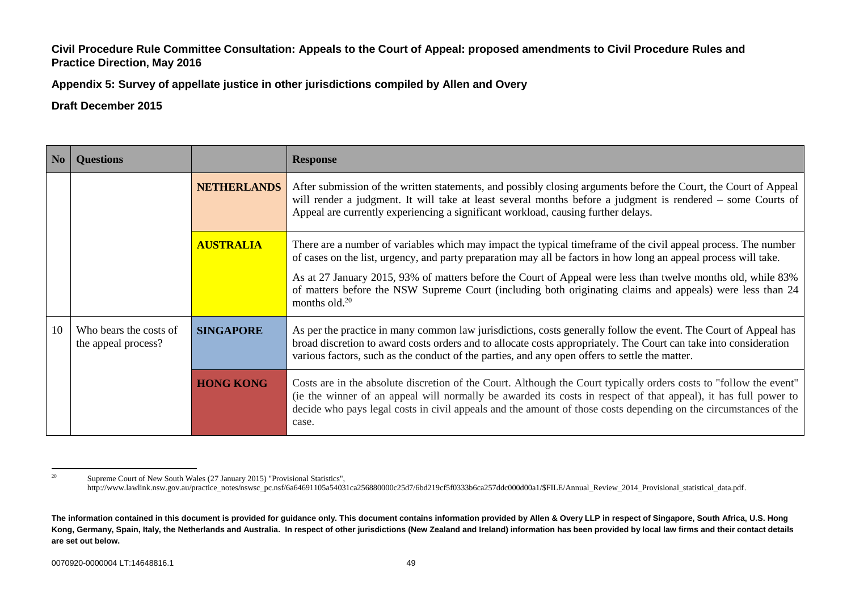**Appendix 5: Survey of appellate justice in other jurisdictions compiled by Allen and Overy**

| N <sub>0</sub>                                                          | <b>Ouestions</b> |                    | <b>Response</b>                                                                                                                                                                                                                                                                                                                                                    |
|-------------------------------------------------------------------------|------------------|--------------------|--------------------------------------------------------------------------------------------------------------------------------------------------------------------------------------------------------------------------------------------------------------------------------------------------------------------------------------------------------------------|
|                                                                         |                  | <b>NETHERLANDS</b> | After submission of the written statements, and possibly closing arguments before the Court, the Court of Appeal<br>will render a judgment. It will take at least several months before a judgment is rendered – some Courts of<br>Appeal are currently experiencing a significant workload, causing further delays.                                               |
|                                                                         |                  | <b>AUSTRALIA</b>   | There are a number of variables which may impact the typical time frame of the civil appeal process. The number<br>of cases on the list, urgency, and party preparation may all be factors in how long an appeal process will take.                                                                                                                                |
|                                                                         |                  |                    | As at 27 January 2015, 93% of matters before the Court of Appeal were less than twelve months old, while 83%<br>of matters before the NSW Supreme Court (including both originating claims and appeals) were less than 24<br>months old. $20$                                                                                                                      |
| 10<br>Who bears the costs of<br><b>SINGAPORE</b><br>the appeal process? |                  |                    | As per the practice in many common law jurisdictions, costs generally follow the event. The Court of Appeal has<br>broad discretion to award costs orders and to allocate costs appropriately. The Court can take into consideration<br>various factors, such as the conduct of the parties, and any open offers to settle the matter.                             |
|                                                                         |                  | <b>HONG KONG</b>   | Costs are in the absolute discretion of the Court. Although the Court typically orders costs to "follow the event"<br>(ie the winner of an appeal will normally be awarded its costs in respect of that appeal), it has full power to<br>decide who pays legal costs in civil appeals and the amount of those costs depending on the circumstances of the<br>case. |

 $20$ <sup>20</sup> Supreme Court of New South Wales (27 January 2015) "Provisional Statistics", http://www.lawlink.nsw.gov.au/practice\_notes/nswsc\_pc.nsf/6a64691105a54031ca256880000c25d7/6bd219cf5f0333b6ca257ddc000d00a1/\$FILE/Annual\_Review\_2014\_Provisional\_statistical\_data.pdf.

**The information contained in this document is provided for guidance only. This document contains information provided by Allen & Overy LLP in respect of Singapore, South Africa, U.S. Hong Kong, Germany, Spain, Italy, the Netherlands and Australia. In respect of other jurisdictions (New Zealand and Ireland) information has been provided by local law firms and their contact details are set out below.**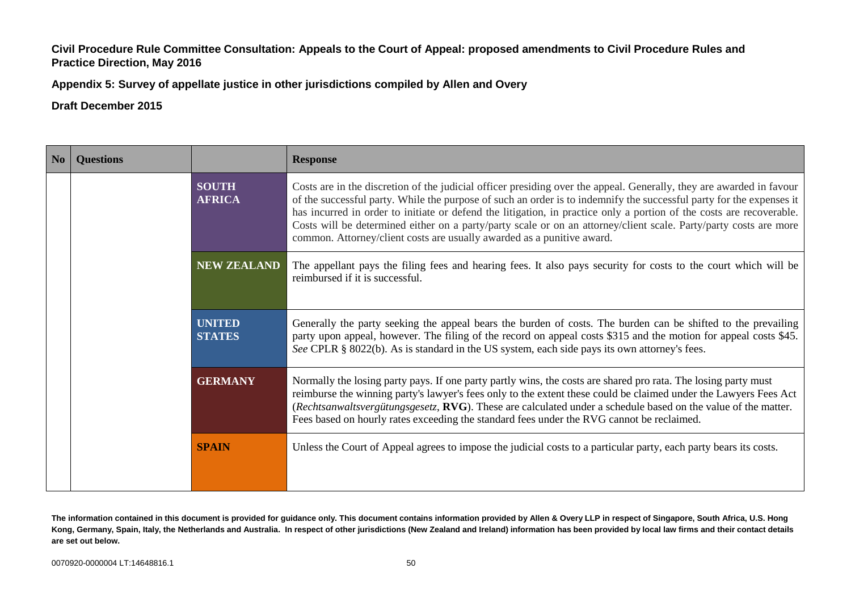**Appendix 5: Survey of appellate justice in other jurisdictions compiled by Allen and Overy**

| N <sub>0</sub> | <b>Ouestions</b>                                      | <b>Response</b>                                                                                                 |                                                                                                                                                                                                                                                                                                                                                                                                                                                                                                                                                                     |
|----------------|-------------------------------------------------------|-----------------------------------------------------------------------------------------------------------------|---------------------------------------------------------------------------------------------------------------------------------------------------------------------------------------------------------------------------------------------------------------------------------------------------------------------------------------------------------------------------------------------------------------------------------------------------------------------------------------------------------------------------------------------------------------------|
|                |                                                       | <b>SOUTH</b><br><b>AFRICA</b>                                                                                   | Costs are in the discretion of the judicial officer presiding over the appeal. Generally, they are awarded in favour<br>of the successful party. While the purpose of such an order is to indemnify the successful party for the expenses it<br>has incurred in order to initiate or defend the litigation, in practice only a portion of the costs are recoverable.<br>Costs will be determined either on a party/party scale or on an attorney/client scale. Party/party costs are more<br>common. Attorney/client costs are usually awarded as a punitive award. |
|                | <b>NEW ZEALAND</b><br>reimbursed if it is successful. | The appellant pays the filing fees and hearing fees. It also pays security for costs to the court which will be |                                                                                                                                                                                                                                                                                                                                                                                                                                                                                                                                                                     |
|                |                                                       | <b>UNITED</b><br><b>STATES</b>                                                                                  | Generally the party seeking the appeal bears the burden of costs. The burden can be shifted to the prevailing<br>party upon appeal, however. The filing of the record on appeal costs \$315 and the motion for appeal costs \$45.<br>See CPLR § 8022(b). As is standard in the US system, each side pays its own attorney's fees.                                                                                                                                                                                                                                   |
|                |                                                       | <b>GERMANY</b>                                                                                                  | Normally the losing party pays. If one party partly wins, the costs are shared pro rata. The losing party must<br>reimburse the winning party's lawyer's fees only to the extent these could be claimed under the Lawyers Fees Act<br>(Rechtsanwaltsvergütungsgesetz, RVG). These are calculated under a schedule based on the value of the matter.<br>Fees based on hourly rates exceeding the standard fees under the RVG cannot be reclaimed.                                                                                                                    |
|                |                                                       | <b>SPAIN</b>                                                                                                    | Unless the Court of Appeal agrees to impose the judicial costs to a particular party, each party bears its costs.                                                                                                                                                                                                                                                                                                                                                                                                                                                   |

**The information contained in this document is provided for guidance only. This document contains information provided by Allen & Overy LLP in respect of Singapore, South Africa, U.S. Hong Kong, Germany, Spain, Italy, the Netherlands and Australia. In respect of other jurisdictions (New Zealand and Ireland) information has been provided by local law firms and their contact details are set out below.**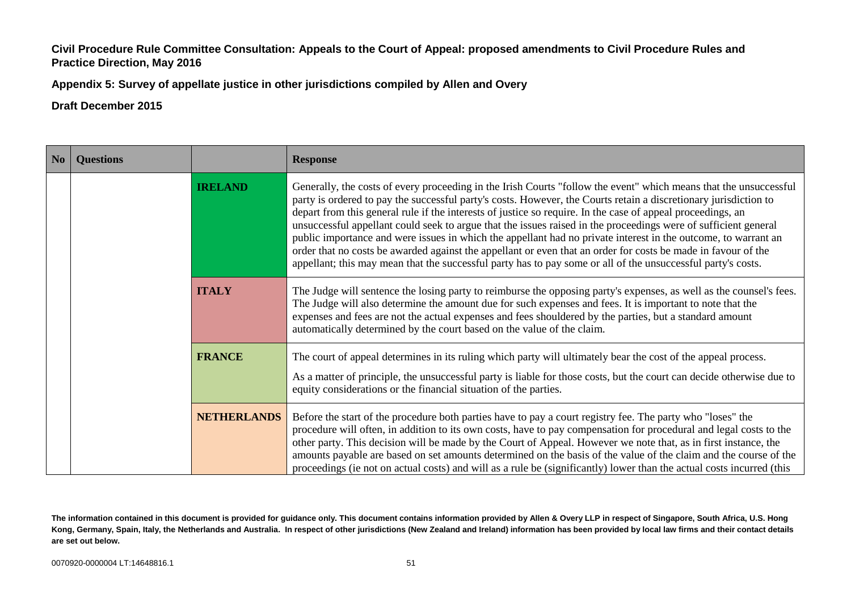**Appendix 5: Survey of appellate justice in other jurisdictions compiled by Allen and Overy**

| N <sub>o</sub> | <b>Questions</b><br><b>Response</b> |                    |                                                                                                                                                                                                                                                                                                                                                                                                                                                                                                                                                                                                                                                                                                                                                                                                                            |
|----------------|-------------------------------------|--------------------|----------------------------------------------------------------------------------------------------------------------------------------------------------------------------------------------------------------------------------------------------------------------------------------------------------------------------------------------------------------------------------------------------------------------------------------------------------------------------------------------------------------------------------------------------------------------------------------------------------------------------------------------------------------------------------------------------------------------------------------------------------------------------------------------------------------------------|
|                |                                     | <b>IRELAND</b>     | Generally, the costs of every proceeding in the Irish Courts "follow the event" which means that the unsuccessful<br>party is ordered to pay the successful party's costs. However, the Courts retain a discretionary jurisdiction to<br>depart from this general rule if the interests of justice so require. In the case of appeal proceedings, an<br>unsuccessful appellant could seek to argue that the issues raised in the proceedings were of sufficient general<br>public importance and were issues in which the appellant had no private interest in the outcome, to warrant an<br>order that no costs be awarded against the appellant or even that an order for costs be made in favour of the<br>appellant; this may mean that the successful party has to pay some or all of the unsuccessful party's costs. |
|                |                                     | <b>ITALY</b>       | The Judge will sentence the losing party to reimburse the opposing party's expenses, as well as the counsel's fees.<br>The Judge will also determine the amount due for such expenses and fees. It is important to note that the<br>expenses and fees are not the actual expenses and fees shouldered by the parties, but a standard amount<br>automatically determined by the court based on the value of the claim.                                                                                                                                                                                                                                                                                                                                                                                                      |
|                |                                     | <b>FRANCE</b>      | The court of appeal determines in its ruling which party will ultimately bear the cost of the appeal process.<br>As a matter of principle, the unsuccessful party is liable for those costs, but the court can decide otherwise due to<br>equity considerations or the financial situation of the parties.                                                                                                                                                                                                                                                                                                                                                                                                                                                                                                                 |
|                |                                     | <b>NETHERLANDS</b> | Before the start of the procedure both parties have to pay a court registry fee. The party who "loses" the<br>procedure will often, in addition to its own costs, have to pay compensation for procedural and legal costs to the<br>other party. This decision will be made by the Court of Appeal. However we note that, as in first instance, the<br>amounts payable are based on set amounts determined on the basis of the value of the claim and the course of the<br>proceedings (ie not on actual costs) and will as a rule be (significantly) lower than the actual costs incurred (this                                                                                                                                                                                                                           |

**The information contained in this document is provided for guidance only. This document contains information provided by Allen & Overy LLP in respect of Singapore, South Africa, U.S. Hong Kong, Germany, Spain, Italy, the Netherlands and Australia. In respect of other jurisdictions (New Zealand and Ireland) information has been provided by local law firms and their contact details are set out below.**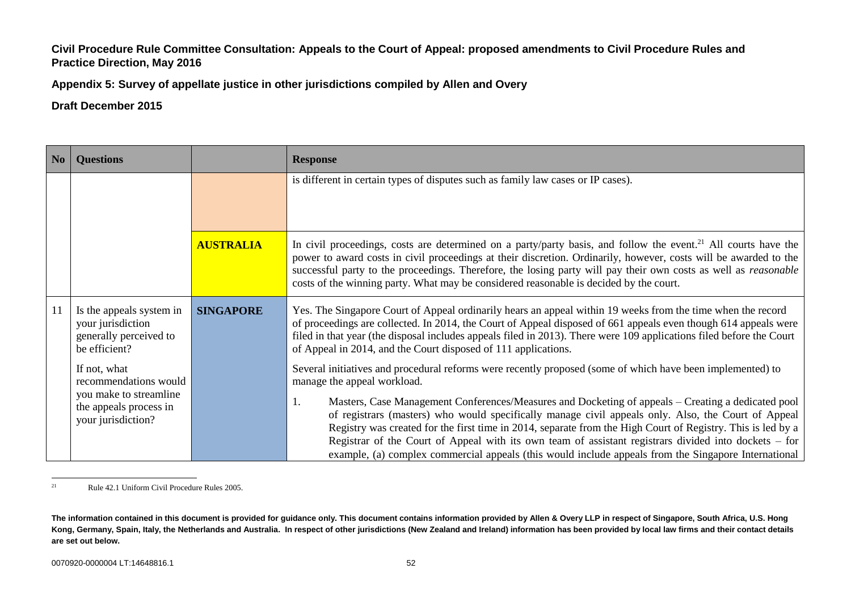**Appendix 5: Survey of appellate justice in other jurisdictions compiled by Allen and Overy**

#### **Draft December 2015**

| N <sub>0</sub>                                                       | <b>Questions</b>                                                                         |                  | <b>Response</b>                                                                                                                                                                                                                                                                                                                                                                                                                                                                                                                                 |  |
|----------------------------------------------------------------------|------------------------------------------------------------------------------------------|------------------|-------------------------------------------------------------------------------------------------------------------------------------------------------------------------------------------------------------------------------------------------------------------------------------------------------------------------------------------------------------------------------------------------------------------------------------------------------------------------------------------------------------------------------------------------|--|
|                                                                      |                                                                                          |                  | is different in certain types of disputes such as family law cases or IP cases).                                                                                                                                                                                                                                                                                                                                                                                                                                                                |  |
|                                                                      |                                                                                          | <b>AUSTRALIA</b> | In civil proceedings, costs are determined on a party/party basis, and follow the event. <sup>21</sup> All courts have the<br>power to award costs in civil proceedings at their discretion. Ordinarily, however, costs will be awarded to the<br>successful party to the proceedings. Therefore, the losing party will pay their own costs as well as <i>reasonable</i><br>costs of the winning party. What may be considered reasonable is decided by the court.                                                                              |  |
| 11                                                                   | Is the appeals system in<br>your jurisdiction<br>generally perceived to<br>be efficient? | <b>SINGAPORE</b> | Yes. The Singapore Court of Appeal ordinarily hears an appeal within 19 weeks from the time when the record<br>of proceedings are collected. In 2014, the Court of Appeal disposed of 661 appeals even though 614 appeals were<br>filed in that year (the disposal includes appeals filed in 2013). There were 109 applications filed before the Court<br>of Appeal in 2014, and the Court disposed of 111 applications.                                                                                                                        |  |
| If not, what<br>recommendations would<br>manage the appeal workload. |                                                                                          |                  | Several initiatives and procedural reforms were recently proposed (some of which have been implemented) to                                                                                                                                                                                                                                                                                                                                                                                                                                      |  |
|                                                                      | you make to streamline<br>the appeals process in<br>your jurisdiction?                   |                  | Masters, Case Management Conferences/Measures and Docketing of appeals – Creating a dedicated pool<br>1.<br>of registrars (masters) who would specifically manage civil appeals only. Also, the Court of Appeal<br>Registry was created for the first time in 2014, separate from the High Court of Registry. This is led by a<br>Registrar of the Court of Appeal with its own team of assistant registrars divided into dockets – for<br>example, (a) complex commercial appeals (this would include appeals from the Singapore International |  |

 $21$ <sup>21</sup> Rule 42.1 Uniform Civil Procedure Rules 2005.

**The information contained in this document is provided for guidance only. This document contains information provided by Allen & Overy LLP in respect of Singapore, South Africa, U.S. Hong Kong, Germany, Spain, Italy, the Netherlands and Australia. In respect of other jurisdictions (New Zealand and Ireland) information has been provided by local law firms and their contact details are set out below.**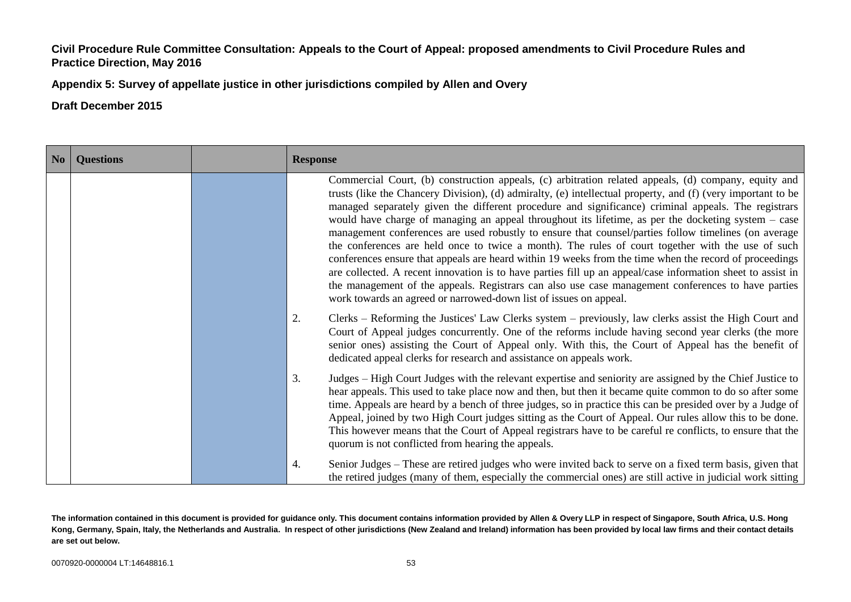**Appendix 5: Survey of appellate justice in other jurisdictions compiled by Allen and Overy**

**Draft December 2015**

| No | <b>Questions</b> | <b>Response</b>                                                                                                                                                                                                                                                                                                                                                                                                                                                                                                                                                                                                                                                                                                                                                                                                                                                                                                                                                                                                                                     |  |
|----|------------------|-----------------------------------------------------------------------------------------------------------------------------------------------------------------------------------------------------------------------------------------------------------------------------------------------------------------------------------------------------------------------------------------------------------------------------------------------------------------------------------------------------------------------------------------------------------------------------------------------------------------------------------------------------------------------------------------------------------------------------------------------------------------------------------------------------------------------------------------------------------------------------------------------------------------------------------------------------------------------------------------------------------------------------------------------------|--|
|    |                  | Commercial Court, (b) construction appeals, (c) arbitration related appeals, (d) company, equity and<br>trusts (like the Chancery Division), (d) admiralty, (e) intellectual property, and (f) (very important to be<br>managed separately given the different procedure and significance) criminal appeals. The registrars<br>would have charge of managing an appeal throughout its lifetime, as per the docketing system – case<br>management conferences are used robustly to ensure that counsel/parties follow timelines (on average<br>the conferences are held once to twice a month). The rules of court together with the use of such<br>conferences ensure that appeals are heard within 19 weeks from the time when the record of proceedings<br>are collected. A recent innovation is to have parties fill up an appeal/case information sheet to assist in<br>the management of the appeals. Registrars can also use case management conferences to have parties<br>work towards an agreed or narrowed-down list of issues on appeal. |  |
|    |                  | Clerks – Reforming the Justices' Law Clerks system – previously, law clerks assist the High Court and<br>2.<br>Court of Appeal judges concurrently. One of the reforms include having second year clerks (the more<br>senior ones) assisting the Court of Appeal only. With this, the Court of Appeal has the benefit of<br>dedicated appeal clerks for research and assistance on appeals work.                                                                                                                                                                                                                                                                                                                                                                                                                                                                                                                                                                                                                                                    |  |
|    |                  | Judges – High Court Judges with the relevant expertise and seniority are assigned by the Chief Justice to<br>3.<br>hear appeals. This used to take place now and then, but then it became quite common to do so after some<br>time. Appeals are heard by a bench of three judges, so in practice this can be presided over by a Judge of<br>Appeal, joined by two High Court judges sitting as the Court of Appeal. Our rules allow this to be done.<br>This however means that the Court of Appeal registrars have to be careful re conflicts, to ensure that the<br>quorum is not conflicted from hearing the appeals.                                                                                                                                                                                                                                                                                                                                                                                                                            |  |
|    |                  | Senior Judges - These are retired judges who were invited back to serve on a fixed term basis, given that<br>4.<br>the retired judges (many of them, especially the commercial ones) are still active in judicial work sitting                                                                                                                                                                                                                                                                                                                                                                                                                                                                                                                                                                                                                                                                                                                                                                                                                      |  |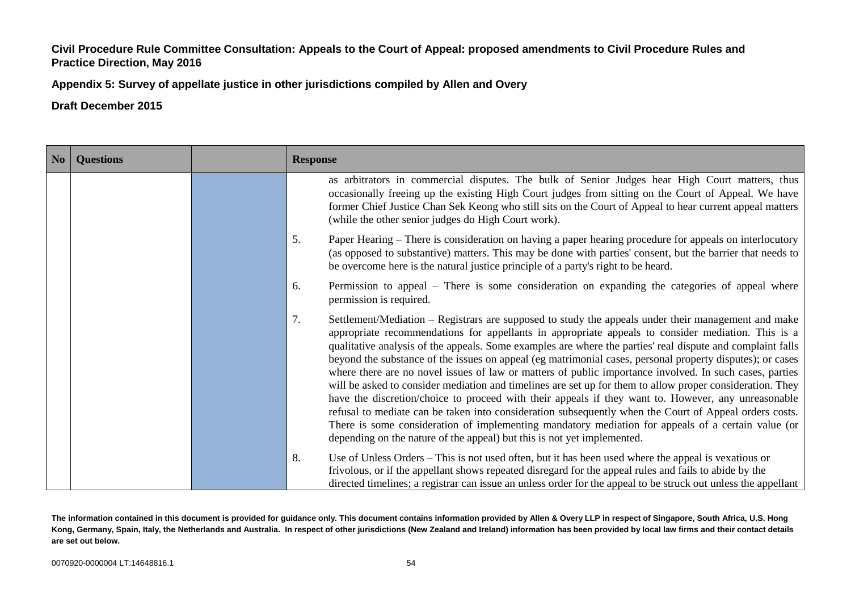**Appendix 5: Survey of appellate justice in other jurisdictions compiled by Allen and Overy**

| No | <b>Questions</b> | <b>Response</b>                                                                                                                                                                                                                                                                                                                                                                                                                                                                                                                                                                                                                                                                                                                                                                                                                                                                                                                                                                                                                                                      |  |
|----|------------------|----------------------------------------------------------------------------------------------------------------------------------------------------------------------------------------------------------------------------------------------------------------------------------------------------------------------------------------------------------------------------------------------------------------------------------------------------------------------------------------------------------------------------------------------------------------------------------------------------------------------------------------------------------------------------------------------------------------------------------------------------------------------------------------------------------------------------------------------------------------------------------------------------------------------------------------------------------------------------------------------------------------------------------------------------------------------|--|
|    |                  | as arbitrators in commercial disputes. The bulk of Senior Judges hear High Court matters, thus<br>occasionally freeing up the existing High Court judges from sitting on the Court of Appeal. We have<br>former Chief Justice Chan Sek Keong who still sits on the Court of Appeal to hear current appeal matters<br>(while the other senior judges do High Court work).                                                                                                                                                                                                                                                                                                                                                                                                                                                                                                                                                                                                                                                                                             |  |
|    |                  | 5.<br>Paper Hearing – There is consideration on having a paper hearing procedure for appeals on interlocutory<br>(as opposed to substantive) matters. This may be done with parties' consent, but the barrier that needs to<br>be overcome here is the natural justice principle of a party's right to be heard.                                                                                                                                                                                                                                                                                                                                                                                                                                                                                                                                                                                                                                                                                                                                                     |  |
|    |                  | Permission to appeal – There is some consideration on expanding the categories of appeal where<br>6.<br>permission is required.                                                                                                                                                                                                                                                                                                                                                                                                                                                                                                                                                                                                                                                                                                                                                                                                                                                                                                                                      |  |
|    |                  | 7.<br>Settlement/Mediation – Registrars are supposed to study the appeals under their management and make<br>appropriate recommendations for appellants in appropriate appeals to consider mediation. This is a<br>qualitative analysis of the appeals. Some examples are where the parties' real dispute and complaint falls<br>beyond the substance of the issues on appeal (eg matrimonial cases, personal property disputes); or cases<br>where there are no novel issues of law or matters of public importance involved. In such cases, parties<br>will be asked to consider mediation and timelines are set up for them to allow proper consideration. They<br>have the discretion/choice to proceed with their appeals if they want to. However, any unreasonable<br>refusal to mediate can be taken into consideration subsequently when the Court of Appeal orders costs.<br>There is some consideration of implementing mandatory mediation for appeals of a certain value (or<br>depending on the nature of the appeal) but this is not yet implemented. |  |
|    |                  | 8.<br>Use of Unless Orders – This is not used often, but it has been used where the appeal is vexatious or<br>frivolous, or if the appellant shows repeated disregard for the appeal rules and fails to abide by the<br>directed timelines; a registrar can issue an unless order for the appeal to be struck out unless the appellant                                                                                                                                                                                                                                                                                                                                                                                                                                                                                                                                                                                                                                                                                                                               |  |

**The information contained in this document is provided for guidance only. This document contains information provided by Allen & Overy LLP in respect of Singapore, South Africa, U.S. Hong Kong, Germany, Spain, Italy, the Netherlands and Australia. In respect of other jurisdictions (New Zealand and Ireland) information has been provided by local law firms and their contact details are set out below.**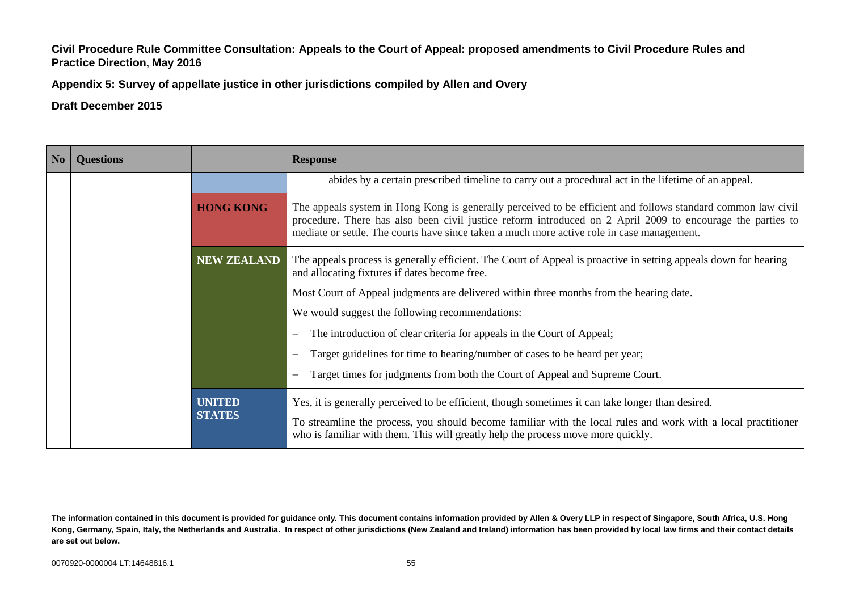**Appendix 5: Survey of appellate justice in other jurisdictions compiled by Allen and Overy**

| No                                                                  | <b>Questions</b> |                                                                                                                  | <b>Response</b>                                                                                                                                                                                                                                                                                                          |  |
|---------------------------------------------------------------------|------------------|------------------------------------------------------------------------------------------------------------------|--------------------------------------------------------------------------------------------------------------------------------------------------------------------------------------------------------------------------------------------------------------------------------------------------------------------------|--|
|                                                                     |                  |                                                                                                                  | abides by a certain prescribed timeline to carry out a procedural act in the lifetime of an appeal.                                                                                                                                                                                                                      |  |
| <b>HONG KONG</b>                                                    |                  |                                                                                                                  | The appeals system in Hong Kong is generally perceived to be efficient and follows standard common law civil<br>procedure. There has also been civil justice reform introduced on 2 April 2009 to encourage the parties to<br>mediate or settle. The courts have since taken a much more active role in case management. |  |
| <b>NEW ZEALAND</b><br>and allocating fixtures if dates become free. |                  | The appeals process is generally efficient. The Court of Appeal is proactive in setting appeals down for hearing |                                                                                                                                                                                                                                                                                                                          |  |
|                                                                     |                  |                                                                                                                  | Most Court of Appeal judgments are delivered within three months from the hearing date.                                                                                                                                                                                                                                  |  |
|                                                                     |                  |                                                                                                                  | We would suggest the following recommendations:                                                                                                                                                                                                                                                                          |  |
|                                                                     |                  |                                                                                                                  | The introduction of clear criteria for appeals in the Court of Appeal;<br>$\overline{\phantom{m}}$                                                                                                                                                                                                                       |  |
|                                                                     |                  |                                                                                                                  | Target guidelines for time to hearing/number of cases to be heard per year;                                                                                                                                                                                                                                              |  |
|                                                                     |                  | Target times for judgments from both the Court of Appeal and Supreme Court.                                      |                                                                                                                                                                                                                                                                                                                          |  |
|                                                                     |                  | <b>UNITED</b><br><b>STATES</b>                                                                                   | Yes, it is generally perceived to be efficient, though sometimes it can take longer than desired.<br>To streamline the process, you should become familiar with the local rules and work with a local practitioner<br>who is familiar with them. This will greatly help the process move more quickly.                   |  |

**The information contained in this document is provided for guidance only. This document contains information provided by Allen & Overy LLP in respect of Singapore, South Africa, U.S. Hong Kong, Germany, Spain, Italy, the Netherlands and Australia. In respect of other jurisdictions (New Zealand and Ireland) information has been provided by local law firms and their contact details are set out below.**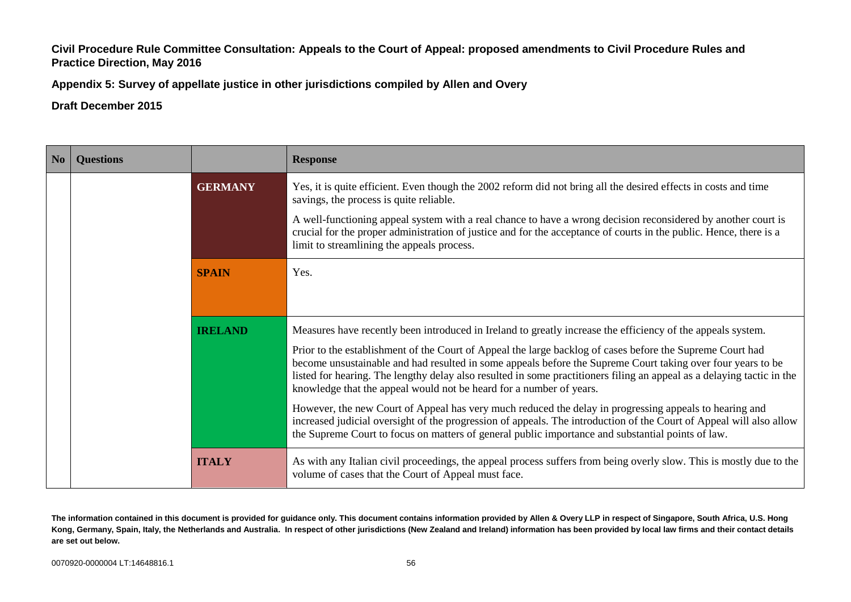**Appendix 5: Survey of appellate justice in other jurisdictions compiled by Allen and Overy**

| N <sub>o</sub> | <b>Ouestions</b><br><b>Response</b> |                |                                                                                                                                                                                                                                                                                                                                                                                                                           |
|----------------|-------------------------------------|----------------|---------------------------------------------------------------------------------------------------------------------------------------------------------------------------------------------------------------------------------------------------------------------------------------------------------------------------------------------------------------------------------------------------------------------------|
|                |                                     | <b>GERMANY</b> | Yes, it is quite efficient. Even though the 2002 reform did not bring all the desired effects in costs and time<br>savings, the process is quite reliable.                                                                                                                                                                                                                                                                |
|                |                                     |                | A well-functioning appeal system with a real chance to have a wrong decision reconsidered by another court is<br>crucial for the proper administration of justice and for the acceptance of courts in the public. Hence, there is a<br>limit to streamlining the appeals process.                                                                                                                                         |
|                |                                     | <b>SPAIN</b>   | Yes.                                                                                                                                                                                                                                                                                                                                                                                                                      |
| <b>IRELAND</b> |                                     |                | Measures have recently been introduced in Ireland to greatly increase the efficiency of the appeals system.                                                                                                                                                                                                                                                                                                               |
|                |                                     |                | Prior to the establishment of the Court of Appeal the large backlog of cases before the Supreme Court had<br>become unsustainable and had resulted in some appeals before the Supreme Court taking over four years to be<br>listed for hearing. The lengthy delay also resulted in some practitioners filing an appeal as a delaying tactic in the<br>knowledge that the appeal would not be heard for a number of years. |
|                |                                     |                | However, the new Court of Appeal has very much reduced the delay in progressing appeals to hearing and<br>increased judicial oversight of the progression of appeals. The introduction of the Court of Appeal will also allow<br>the Supreme Court to focus on matters of general public importance and substantial points of law.                                                                                        |
|                |                                     | <b>ITALY</b>   | As with any Italian civil proceedings, the appeal process suffers from being overly slow. This is mostly due to the<br>volume of cases that the Court of Appeal must face.                                                                                                                                                                                                                                                |

**The information contained in this document is provided for guidance only. This document contains information provided by Allen & Overy LLP in respect of Singapore, South Africa, U.S. Hong Kong, Germany, Spain, Italy, the Netherlands and Australia. In respect of other jurisdictions (New Zealand and Ireland) information has been provided by local law firms and their contact details are set out below.**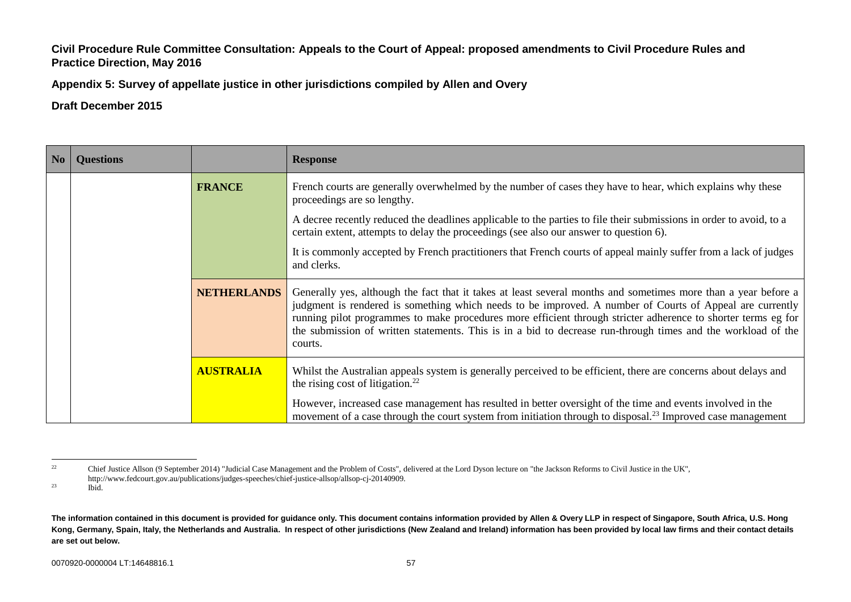**Appendix 5: Survey of appellate justice in other jurisdictions compiled by Allen and Overy**

| No          | <b>Questions</b> |                                                                                                                  | <b>Response</b>                                                                                                                                                                                                                                                                                                                                                                                                                                                        |
|-------------|------------------|------------------------------------------------------------------------------------------------------------------|------------------------------------------------------------------------------------------------------------------------------------------------------------------------------------------------------------------------------------------------------------------------------------------------------------------------------------------------------------------------------------------------------------------------------------------------------------------------|
|             | <b>FRANCE</b>    |                                                                                                                  | French courts are generally overwhelmed by the number of cases they have to hear, which explains why these<br>proceedings are so lengthy.                                                                                                                                                                                                                                                                                                                              |
|             |                  |                                                                                                                  | A decree recently reduced the deadlines applicable to the parties to file their submissions in order to avoid, to a<br>certain extent, attempts to delay the proceedings (see also our answer to question 6).                                                                                                                                                                                                                                                          |
| and clerks. |                  | It is commonly accepted by French practitioners that French courts of appeal mainly suffer from a lack of judges |                                                                                                                                                                                                                                                                                                                                                                                                                                                                        |
|             |                  | <b>NETHERLANDS</b>                                                                                               | Generally yes, although the fact that it takes at least several months and sometimes more than a year before a<br>judgment is rendered is something which needs to be improved. A number of Courts of Appeal are currently<br>running pilot programmes to make procedures more efficient through stricter adherence to shorter terms eg for<br>the submission of written statements. This is in a bid to decrease run-through times and the workload of the<br>courts. |
|             |                  | <b>AUSTRALIA</b>                                                                                                 | Whilst the Australian appeals system is generally perceived to be efficient, there are concerns about delays and<br>the rising cost of litigation. $22$                                                                                                                                                                                                                                                                                                                |
|             |                  |                                                                                                                  | However, increased case management has resulted in better oversight of the time and events involved in the<br>movement of a case through the court system from initiation through to disposal. <sup>23</sup> Improved case management                                                                                                                                                                                                                                  |

 $22\,$ <sup>22</sup> Chief Justice Allson (9 September 2014) "Judicial Case Management and the Problem of Costs", delivered at the Lord Dyson lecture on "the Jackson Reforms to Civil Justice in the UK", http://www.fedcourt.gov.au/publications/judges-speeches/chief-justice-allsop/allsop-cj-20140909.

 $^{23}$  Ibid.

**The information contained in this document is provided for guidance only. This document contains information provided by Allen & Overy LLP in respect of Singapore, South Africa, U.S. Hong Kong, Germany, Spain, Italy, the Netherlands and Australia. In respect of other jurisdictions (New Zealand and Ireland) information has been provided by local law firms and their contact details are set out below.**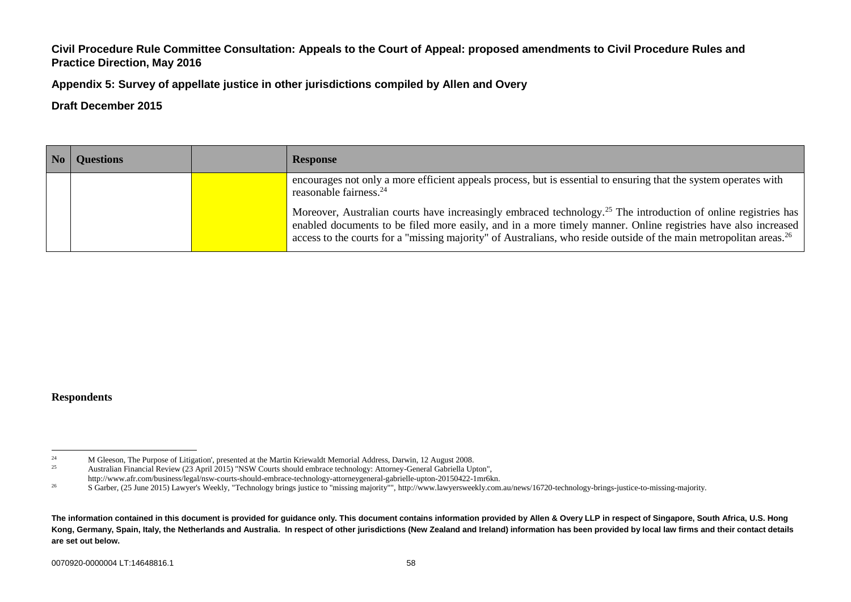**Appendix 5: Survey of appellate justice in other jurisdictions compiled by Allen and Overy**

#### **Draft December 2015**

| <b>Questions</b> | <b>Response</b>                                                                                                                                                                                                                                                                                                                                                               |
|------------------|-------------------------------------------------------------------------------------------------------------------------------------------------------------------------------------------------------------------------------------------------------------------------------------------------------------------------------------------------------------------------------|
|                  | encourages not only a more efficient appeals process, but is essential to ensuring that the system operates with<br>reasonable fairness. <sup>24</sup>                                                                                                                                                                                                                        |
|                  | Moreover, Australian courts have increasingly embraced technology. <sup>25</sup> The introduction of online registries has<br>enabled documents to be filed more easily, and in a more timely manner. Online registries have also increased<br>access to the courts for a "missing majority" of Australians, who reside outside of the main metropolitan areas. <sup>26</sup> |

#### **Respondents**

 $\overline{24}$ <sup>24</sup> M Gleeson, The Purpose of Litigation', presented at the Martin Kriewaldt Memorial Address, Darwin, 12 August 2008.<br><sup>25</sup> Australian Financial Paviaw (23 April 2015) "NSW Courts should embrace technology: Attorney Gene <sup>25</sup> Australian Financial Review (23 April 2015) "NSW Courts should embrace technology: Attorney-General Gabriella Upton", http://www.afr.com/business/legal/nsw-courts-should-embrace-technology-attorneygeneral-gabrielle-upton-20150422-1mr6kn.

<sup>&</sup>lt;sup>26</sup> S Garber, (25 June 2015) Lawyer's Weekly, "Technology brings justice to "missing majority"", http://www.lawyersweekly.com.au/news/16720-technology-brings-justice-to-missing-majority.

**The information contained in this document is provided for guidance only. This document contains information provided by Allen & Overy LLP in respect of Singapore, South Africa, U.S. Hong Kong, Germany, Spain, Italy, the Netherlands and Australia. In respect of other jurisdictions (New Zealand and Ireland) information has been provided by local law firms and their contact details are set out below.**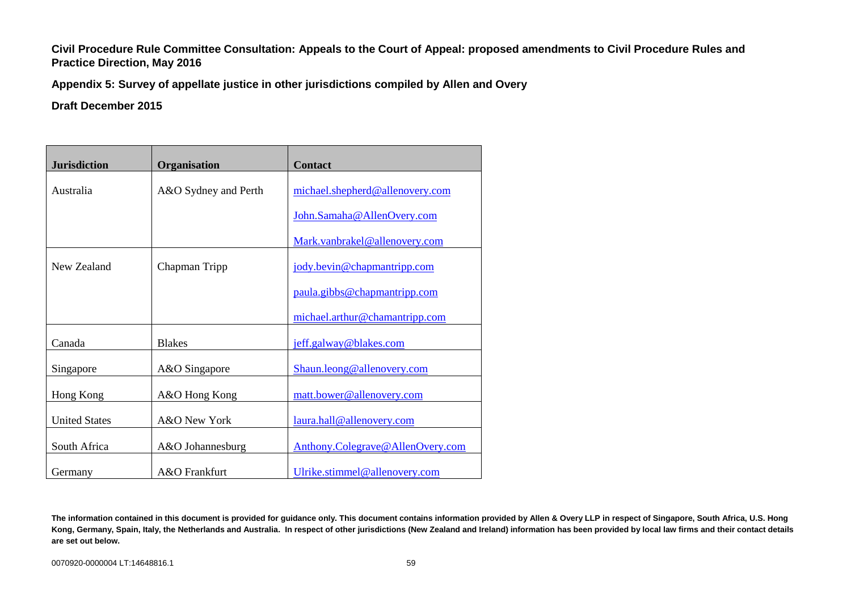**Appendix 5: Survey of appellate justice in other jurisdictions compiled by Allen and Overy**

| <b>Jurisdiction</b>  | <b>Organisation</b>  | <b>Contact</b>                   |
|----------------------|----------------------|----------------------------------|
| Australia            | A&O Sydney and Perth | michael.shepherd@allenovery.com  |
|                      |                      | John.Samaha@AllenOvery.com       |
|                      |                      | Mark.vanbrakel@allenovery.com    |
| New Zealand          | Chapman Tripp        | jody.bevin@chapmantripp.com      |
|                      |                      | paula.gibbs@chapmantripp.com     |
|                      |                      | michael.arthur@chamantripp.com   |
| Canada               | <b>Blakes</b>        | jeff.galway@blakes.com           |
| Singapore            | A&O Singapore        | Shaun.leong@allenovery.com       |
| Hong Kong            | A&O Hong Kong        | matt.bower@allenovery.com        |
| <b>United States</b> | A&O New York         | laura.hall@allenovery.com        |
| South Africa         | A&O Johannesburg     | Anthony.Colegrave@AllenOvery.com |
| Germany              | A&O Frankfurt        | Ulrike.stimmel@allenovery.com    |

**The information contained in this document is provided for guidance only. This document contains information provided by Allen & Overy LLP in respect of Singapore, South Africa, U.S. Hong Kong, Germany, Spain, Italy, the Netherlands and Australia. In respect of other jurisdictions (New Zealand and Ireland) information has been provided by local law firms and their contact details are set out below.**